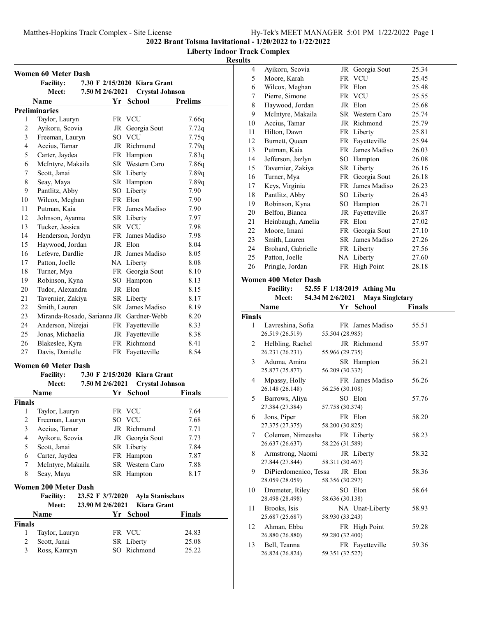# **Liberty Indoor Track Complex**

# **Results**

|                         | <b>Women 60 Meter Dash</b>               |                 |                              |                |
|-------------------------|------------------------------------------|-----------------|------------------------------|----------------|
|                         | <b>Facility:</b>                         |                 | 7.30 F 2/15/2020 Kiara Grant |                |
|                         | Meet:                                    | 7.50 M 2/6/2021 | <b>Crystal Johnson</b>       |                |
|                         | <b>Name</b>                              | Υr              | <b>School</b>                | <b>Prelims</b> |
|                         | <b>Preliminaries</b>                     |                 |                              |                |
| 1                       | Taylor, Lauryn                           |                 | FR VCU                       | 7.66q          |
| $\overline{c}$          | Ayikoru, Scovia                          |                 | JR Georgia Sout              | 7.72q          |
| 3                       | Freeman, Lauryn                          |                 | SO VCU                       | 7.75q          |
| 4                       | Accius, Tamar                            |                 | JR Richmond                  | 7.79q          |
| 5                       | Carter, Jaydea                           |                 | FR Hampton                   | 7.83q          |
| 6                       | McIntyre, Makaila                        |                 | SR Western Caro              | 7.86q          |
| 7                       | Scott, Janai                             |                 | SR Liberty                   | 7.89q          |
| 8                       | Seay, Maya                               |                 | SR Hampton                   | 7.89q          |
| 9                       | Pantlitz, Abby                           |                 | SO Liberty                   | 7.90           |
| 10                      | Wilcox, Meghan                           |                 | FR Elon                      | 7.90           |
| 11                      | Putman, Kaia                             |                 | FR James Madiso              | 7.90           |
| 12                      | Johnson, Ayanna                          |                 | SR Liberty                   | 7.97           |
| 13                      | Tucker, Jessica                          |                 | SR VCU                       | 7.98           |
| 14                      | Henderson, Jordyn                        |                 | FR James Madiso              | 7.98           |
| 15                      | Haywood, Jordan                          |                 | JR Elon                      | 8.04           |
| 16                      | Lefevre, Dardlie                         |                 | JR James Madiso              | 8.05           |
| 17                      | Patton, Joelle                           |                 | NA Liberty                   | 8.08           |
| 18                      | Turner, Mya                              |                 | FR Georgia Sout              | 8.10           |
| 19                      | Robinson, Kyna                           |                 | SO Hampton                   | 8.13           |
| 20                      | Tudor, Alexandra                         |                 | JR Elon                      | 8.15           |
| 21                      | Tavernier, Zakiya                        |                 | SR Liberty                   | 8.17           |
| 22                      | Smith, Lauren                            |                 | SR James Madiso              | 8.19           |
| 23                      | Miranda-Rosado, Sarianna JR Gardner-Webb |                 |                              | 8.20           |
| 24                      | Anderson, Nizejai                        |                 | FR Fayetteville              | 8.33           |
| 25                      | Jonas, Michaelia                         |                 | JR Fayetteville              | 8.38           |
| 26                      | Blakeslee, Kyra                          |                 | FR Richmond                  | 8.41           |
| 27                      | Davis, Danielle                          |                 | FR Fayetteville              | 8.54           |
|                         |                                          |                 |                              |                |
|                         | <b>Women 60 Meter Dash</b>               |                 |                              |                |
|                         | <b>Facility:</b>                         |                 | 7.30 F 2/15/2020 Kiara Grant |                |
|                         | Meet:                                    | 7.50 M 2/6/2021 | <b>Crystal Johnson</b>       |                |
|                         | Name                                     |                 | Yr School                    | <b>Finals</b>  |
| <b>Finals</b>           |                                          |                 |                              |                |
| 1                       | Taylor, Lauryn                           |                 | FR VCU                       | 7.64           |
| 2                       | Freeman, Lauryn                          |                 | SO VCU                       | 7.68           |
| 3                       | Accius, Tamar                            |                 | JR Richmond                  | 7.71           |
| $\overline{\mathbf{4}}$ | Ayikoru, Scovia                          | JR              | Georgia Sout                 | 7.73           |
| 5                       | Scott, Janai                             |                 | SR Liberty                   | 7.84           |
| 6                       | Carter, Jaydea                           |                 | FR Hampton                   | 7.87           |
| 7                       | McIntyre, Makaila                        | SR              | Western Caro                 | 7.88           |
| 8                       | Seay, Maya                               |                 | SR Hampton                   | 8.17           |

#### **Women 200 Meter Dash**

|               | <b>Facility:</b><br>Meet: | 23.52 F 3/7/2020<br>23.90 M 2/6/2021 | <b>Ayla Stanisclaus</b><br>Kiara Grant |        |
|---------------|---------------------------|--------------------------------------|----------------------------------------|--------|
|               | <b>Name</b>               |                                      | Yr School                              | Finals |
| <b>Finals</b> |                           |                                      |                                        |        |
|               | Taylor, Lauryn            |                                      | FR VCU                                 | 24.83  |
|               | Scott, Janai              |                                      | SR Liberty                             | 25.08  |
| 3             | Ross, Kamryn              |                                      | SO Richmond                            | 25.22  |

| 4  | Ayikoru, Scovia    | JR Georgia Sout | 25.34 |
|----|--------------------|-----------------|-------|
| 5  | Moore, Karah       | FR VCU          | 25.45 |
| 6  | Wilcox, Meghan     | FR Elon         | 25.48 |
| 7  | Pierre, Simone     | FR VCU          | 25.55 |
| 8  | Haywood, Jordan    | JR Elon         | 25.68 |
| 9  | McIntyre, Makaila  | SR Western Caro | 25.74 |
| 10 | Accius, Tamar      | JR Richmond     | 25.79 |
| 11 | Hilton, Dawn       | FR Liberty      | 25.81 |
| 12 | Burnett, Queen     | FR Fayetteville | 25.94 |
| 13 | Putman, Kaia       | FR James Madiso | 26.03 |
| 14 | Jefferson, Jazlyn  | SO Hampton      | 26.08 |
| 15 | Tavernier, Zakiya  | SR Liberty      | 26.16 |
| 16 | Turner, Mya        | FR Georgia Sout | 26.18 |
| 17 | Keys, Virginia     | FR James Madiso | 26.23 |
| 18 | Pantlitz, Abby     | SO Liberty      | 26.43 |
| 19 | Robinson, Kyna     | SO Hampton      | 26.71 |
| 20 | Belfon, Bianca     | JR Fayetteville | 26.87 |
| 21 | Heinbaugh, Amelia  | FR Elon         | 27.02 |
| 22 | Moore, Imani       | FR Georgia Sout | 27.10 |
| 23 | Smith, Lauren      | SR James Madiso | 27.26 |
| 24 | Brohard, Gabrielle | FR Liberty      | 27.56 |
| 25 | Patton, Joelle     | NA Liberty      | 27.60 |
| 26 | Pringle, Jordan    | FR High Point   | 28.18 |
|    |                    |                 |       |

### **Women 400 Meter Dash**

Facility: 52.55 F 1/18/2019 Athing Mu

| <b>Meet:</b> | 54.34 M 2/6/2021 | <b>Maya Singletary</b> |
|--------------|------------------|------------------------|
|              |                  |                        |

|               | Name                  | Yr              | School          | <b>Finals</b> |  |
|---------------|-----------------------|-----------------|-----------------|---------------|--|
| <b>Finals</b> |                       |                 |                 |               |  |
| 1             | Lavreshina, Sofia     |                 | FR James Madiso | 55.51         |  |
|               | 26.519 (26.519)       | 55.504 (28.985) |                 |               |  |
| 2             | Helbling, Rachel      |                 | JR Richmond     | 55.97         |  |
|               | 26.231 (26.231)       | 55.966 (29.735) |                 |               |  |
| 3             | Aduma, Amira          |                 | SR Hampton      | 56.21         |  |
|               | 25.877 (25.877)       | 56.209 (30.332) |                 |               |  |
| 4             | Mpassy, Holly         |                 | FR James Madiso | 56.26         |  |
|               | 26.148 (26.148)       | 56.256 (30.108) |                 |               |  |
| 5.            | Barrows, Aliya        |                 | SO Elon         | 57.76         |  |
|               | 27.384 (27.384)       | 57.758 (30.374) |                 |               |  |
| 6             | Jons, Piper           |                 | FR Elon         | 58.20         |  |
|               | 27.375 (27.375)       | 58.200 (30.825) |                 |               |  |
| 7             | Coleman, Nimeesha     |                 | FR Liberty      | 58.23         |  |
|               | 26.637 (26.637)       | 58.226 (31.589) |                 |               |  |
| 8             | Armstrong, Naomi      |                 | JR Liberty      | 58.32         |  |
|               | 27.844 (27.844)       | 58.311 (30.467) |                 |               |  |
| 9             | DiPierdomenico, Tessa |                 | JR Elon         | 58.36         |  |
|               | 28.059 (28.059)       | 58.356 (30.297) |                 |               |  |
| 10            | Drometer, Riley       |                 | SO Elon         | 58.64         |  |
|               | 28.498 (28.498)       | 58.636 (30.138) |                 |               |  |
| 11            | Brooks, Isis          |                 | NA Unat-Liberty | 58.93         |  |
|               | 25.687 (25.687)       | 58.930 (33.243) |                 |               |  |
| 12            | Ahman, Ebba           |                 | FR High Point   | 59.28         |  |
|               | 26.880 (26.880)       | 59.280 (32.400) |                 |               |  |
| 13            | Bell, Teanna          |                 | FR Fayetteville | 59.36         |  |
|               | 26.824 (26.824)       | 59.351 (32.527) |                 |               |  |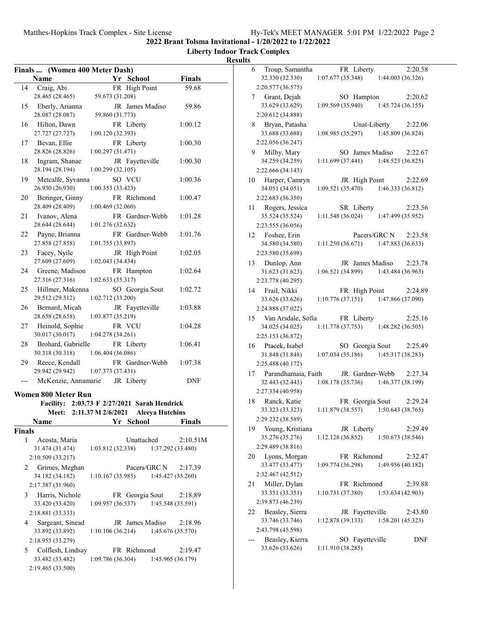|  |  |  |  |  | Hy-Tek's MEET MANAGER 5:01 PM 1/22/2022 Page 2 |  |
|--|--|--|--|--|------------------------------------------------|--|
|--|--|--|--|--|------------------------------------------------|--|

**Liberty Indoor Track Complex**

|        | Finals  (Women 400 Meter Dash) |                    |    |                 |                                    |               |
|--------|--------------------------------|--------------------|----|-----------------|------------------------------------|---------------|
|        | Name                           |                    |    | Yr School       |                                    | <b>Finals</b> |
| 14     | Craig, Abi                     |                    |    | FR High Point   |                                    | 59.68         |
|        | 28.465 (28.465)                | 59.673 (31.208)    |    |                 |                                    |               |
| 15     | Eberly, Arianna                |                    |    | JR James Madiso |                                    | 59.86         |
|        | 28.087 (28.087)                | 59.860 (31.773)    |    |                 |                                    |               |
| 16     | Hilton, Dawn                   |                    |    | FR Liberty      |                                    | 1:00.12       |
|        | 27.727 (27.727)                | 1:00.120 (32.393)  |    |                 |                                    |               |
| 17     | Bevan, Ellie                   |                    |    | FR Liberty      |                                    | 1:00.30       |
|        | 28.826 (28.826)                | 1:00.297 (31.471)  |    |                 |                                    |               |
| 18     | Ingram, Shanae                 |                    |    | JR Fayetteville |                                    | 1:00.30       |
|        | 28.194 (28.194)                | 1:00.299 (32.105)  |    |                 |                                    |               |
| 19     | Metcalfe, Syvanna              |                    |    | SO VCU          |                                    | 1:00.36       |
|        | 26.930 (26.930)                | 1:00.353 (33.423)  |    |                 |                                    |               |
| 20     | Beringer, Ginny                |                    |    | FR Richmond     |                                    | 1:00.47       |
|        | 28.409 (28.409)                | 1:00.469 (32.060)  |    |                 |                                    |               |
| 21     | Ivanov, Alena                  |                    |    | FR Gardner-Webb |                                    | 1:01.28       |
|        | 28.644 (28.644)                | 1:01.276(32.632)   |    |                 |                                    |               |
| 22     | Payne, Brianna                 |                    |    | FR Gardner-Webb |                                    | 1:01.76       |
|        | 27.858 (27.858)                | 1:01.755 (33.897)  |    |                 |                                    |               |
| 23     | Facey, Nyile                   |                    |    | JR High Point   |                                    | 1:02.05       |
|        | 27.609 (27.609)                | 1:02.043 (34.434)  |    |                 |                                    |               |
| 24     | Greene, Madison                |                    |    | FR Hampton      |                                    | 1:02.64       |
|        | 27.316 (27.316)                | 1:02.633(35.317)   |    |                 |                                    |               |
| 25     | Hillmer, Makenna               |                    |    | SO Georgia Sout |                                    | 1:02.72       |
|        | 29.512 (29.512)                | 1:02.712 (33.200)  |    |                 |                                    |               |
| 26     | Bernard, Micah                 |                    |    | JR Fayetteville |                                    | 1:03.88       |
|        | 28.658 (28.658)                | 1:03.877 (35.219)  |    |                 |                                    |               |
| 27     | Heinold, Sophie                |                    |    | FR VCU          |                                    | 1:04.28       |
|        | 30.017 (30.017)                | 1:04.278(34.261)   |    |                 |                                    |               |
| 28     | Brohard, Gabrielle             |                    |    | FR Liberty      |                                    | 1:06.41       |
|        | 30.318 (30.318)                | 1:06.404 (36.086)  |    |                 |                                    |               |
| 29     | Reece, Kendall                 |                    |    | FR Gardner-Webb |                                    | 1:07.38       |
|        | 29.942 (29.942)                | 1:07.373(37.431)   |    |                 |                                    |               |
| ---    | McKenzie, Annamarie JR Liberty |                    |    |                 |                                    | <b>DNF</b>    |
|        |                                |                    |    |                 |                                    |               |
|        | Women 800 Meter Run            |                    |    |                 |                                    |               |
|        | <b>Facility:</b>               |                    |    |                 | 2:03.73 F 2/27/2021 Sarah Hendrick |               |
|        | <b>Meet:</b>                   | 2:11.37 M 2/6/2021 |    |                 | <b>Aleeva Hutchins</b>             |               |
|        | Name                           |                    | Yr | <b>School</b>   |                                    | <b>Finals</b> |
| Finals |                                |                    |    |                 |                                    |               |
| 1      | Acosta, Maria                  |                    |    | Unattached      |                                    | 2:10.51M      |
|        | 31.474 (31.474)                | 1:03.812 (32.338)  |    |                 | 1:37.292 (33.480)                  |               |
|        | 2:10.509 (33.217)              |                    |    |                 |                                    |               |
| 2      | Grimes, Meghan                 |                    |    | Pacers/GRC N    |                                    | 2:17.39       |
|        | 34.182 (34.182)                | 1:10.167(35.985)   |    |                 | 1:45.427 (35.260)                  |               |
|        | 2:17.387 (31.960)              |                    |    |                 |                                    |               |
| 3      | Harris, Nichole                |                    |    | FR Georgia Sout |                                    | 2:18.89       |
|        | 33.420 (33.420)                | 1:09.957 (36.537)  |    |                 | 1:45.548 (35.591)                  |               |
|        | 2:18.881 (33.333)              |                    |    |                 |                                    |               |
| 4      | Sargeant, Sinead               |                    |    | JR James Madiso |                                    | 2:18.96       |
|        | 33.892 (33.892)                | 1:10.106(36.214)   |    |                 | 1:45.676 (35.570)                  |               |
|        | 2:18.955 (33.279)              |                    |    |                 |                                    |               |
| 5      | Colflesh, Lindsay              |                    |    | FR Richmond     |                                    | 2:19.47       |
|        | 33.482 (33.482)                | 1:09.786 (36.304)  |    |                 | 1:45.965 (36.179)                  |               |
|        | 2:19.465 (33.500)              |                    |    |                 |                                    |               |

| 6  | Troup, Samantha                                                                                                | FR Liberty                                          |                        | 2:20.58 |
|----|----------------------------------------------------------------------------------------------------------------|-----------------------------------------------------|------------------------|---------|
|    | 32.330 (32.330)                                                                                                | 1:07.677 (35.348)                                   | 1:44.003 (36.326)      |         |
|    | 2:20.577 (36.575)                                                                                              |                                                     |                        |         |
|    | 7 Grant, Dejah                                                                                                 | SO Hampton 2:20.62                                  |                        |         |
|    | 33.629 (33.629)                                                                                                | $1:09.569(35.940)$ $1:45.724(36.155)$               |                        |         |
|    | 2:20.612 (34.888)                                                                                              |                                                     |                        |         |
|    |                                                                                                                |                                                     |                        |         |
|    | 8 Bryan, Patasha                                                                                               |                                                     | Unat-Liberty 2:22.06   |         |
|    | 33.688 (33.688)                                                                                                | $1:08.985(35.297)$ $1:45.809(36.824)$               |                        |         |
|    | 2:22.056 (36.247)                                                                                              |                                                     |                        |         |
|    | 9 Milby, Mary                                                                                                  | SO James Madiso 2:22.67                             |                        |         |
|    | 34.259 (34.259)                                                                                                | $1:11.699(37.441)$ $1:48.523(36.825)$               |                        |         |
|    | 2:22.666 (34.143)                                                                                              |                                                     |                        |         |
|    | 10 Harper, Camryn                                                                                              | JR High Point                                       |                        | 2:22.69 |
|    | 34.051 (34.051)                                                                                                | $1:09.521(35.470)$ $1:46.333(36.812)$               |                        |         |
|    | 2:22.683 (36.350)                                                                                              |                                                     |                        |         |
|    | 11 Rogers, Jessica                                                                                             |                                                     |                        | 2:23.56 |
|    | 35.524 (35.524)                                                                                                | SR Liberty<br>$1:11.548(36.024)$ $1:47.499(35.952)$ |                        |         |
|    |                                                                                                                |                                                     |                        |         |
|    | 2:23.555 (36.056)                                                                                              |                                                     |                        |         |
|    | 12 Foshee, Erin                                                                                                |                                                     | Pacers/GRC N $2:23.58$ |         |
|    | 34.580 (34.580)                                                                                                | $1:11.250(36.671)$ $1:47.883(36.633)$               |                        |         |
|    | 2:23.580 (35.698)                                                                                              |                                                     |                        |         |
|    | 13 Dunlop, Ann                                                                                                 | JR James Madiso 2:23.78                             |                        |         |
|    | 31.623 (31.623)                                                                                                | $1:06.521(34.899)$ $1:43.484(36.963)$               |                        |         |
|    | 2:23.778 (40.295)                                                                                              |                                                     |                        |         |
|    | 14 Frail, Nikki                                                                                                | FR High Point 2:24.89                               |                        |         |
|    | 33.626 (33.626)                                                                                                | $1:10.776(37.151)$ $1:47.866(37.090)$               |                        |         |
|    | 2:24.888 (37.022)                                                                                              |                                                     |                        |         |
|    |                                                                                                                |                                                     |                        |         |
|    | 15 Van Arsdale, Sofia                                                                                          | FR Liberty                                          |                        | 2:25.16 |
|    | 34.025 (34.025)                                                                                                | $1:11.778(37.753)$ $1:48.282(36.505)$               |                        |         |
|    | 2:25.153 (36.872)                                                                                              |                                                     |                        |         |
|    | 16 Ptacek, Isabel                                                                                              | SO Georgia Sout 2:25.49                             |                        |         |
|    | 31.848 (31.848)                                                                                                | $1:07.034(35.186)$ $1:45.317(38.283)$               |                        |         |
|    | 2:25.488 (40.172)                                                                                              |                                                     |                        |         |
|    | 17 Parandhamaia, Faith                                                                                         | JR Gardner-Webb                                     |                        | 2:27.34 |
|    | 32.443 (32.443)                                                                                                | $1:08.178(35.736)$ $1:46.377(38.199)$               |                        |         |
|    | 2:27.334 (40.958)                                                                                              |                                                     |                        |         |
|    | Ranck, Katie FR Georgia Sout 2:29.24<br>33.323 (33.323) 1:11.879 (38.557) 1:50.643 (38.765)<br>18 Ranck, Katie | FR Georgia Sout 2:29.24                             |                        |         |
|    |                                                                                                                |                                                     |                        |         |
|    | 2:29.232 (38.589)                                                                                              |                                                     |                        |         |
|    |                                                                                                                |                                                     |                        |         |
| 19 | Young, Kristiana                                                                                               | JR Liberty                                          |                        | 2:29.49 |
|    | 35.276 (35.276)                                                                                                | 1:12.128(36.852)                                    | 1:50.673 (38.546)      |         |
|    | 2:29.489 (38.816)                                                                                              |                                                     |                        |         |
| 20 | Lyons, Morgan                                                                                                  | FR Richmond                                         |                        | 2:32.47 |
|    | 33.477 (33.477)                                                                                                | 1:09.774 (36.298)                                   | 1:49.956 (40.182)      |         |
|    | 2:32.467 (42.512)                                                                                              |                                                     |                        |         |
| 21 | Miller, Dylan                                                                                                  | FR Richmond                                         |                        | 2:39.88 |
|    | 33.351 (33.351)                                                                                                | 1:10.731 (37.380)                                   | 1:53.634 (42.903)      |         |
|    | 2:39.873 (46.239)                                                                                              |                                                     |                        |         |
| 22 |                                                                                                                | JR Fayetteville                                     |                        |         |
|    | Beasley, Sierra                                                                                                |                                                     |                        | 2:43.80 |
|    | 33.746 (33.746)                                                                                                | 1:12.878 (39.133)                                   | 1:58.201 (45.323)      |         |
|    | 2:43.798 (45.598)                                                                                              |                                                     |                        |         |
|    | Beasley, Kierra                                                                                                | Fayetteville<br>SO                                  |                        | DNF     |
|    | 33.626 (33.626)                                                                                                | 1:11.910 (38.285)                                   |                        |         |
|    |                                                                                                                |                                                     |                        |         |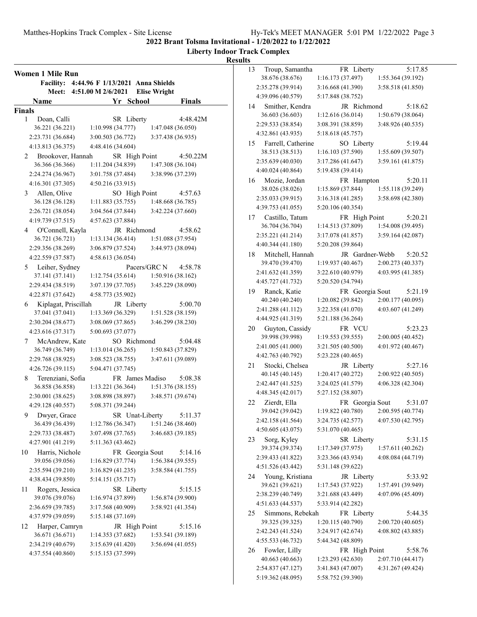**Liberty Indoor Track Complex**

#### **Results**

**Women 1 Mile Run Facility: 4:44.96 F 1/13/2021 Anna Shields Meet: 4:51.00 M 2/6/2021 Elise Wright Name Finals Property Property Property Property Property Property Property Property Property Property Property Property Property Property Property Property Property Property Propert Finals** 1 Doan, Calli SR Liberty 4:48.42M 36.221 (36.221) 1:10.998 (34.777) 1:47.048 (36.050) 2:23.731 (36.684) 3:00.503 (36.772) 3:37.438 (36.935) 4:13.813 (36.375) 4:48.416 (34.604) 2 Brookover, Hannah SR High Point 4:50.22M 36.366 (36.366) 1:11.204 (34.839) 1:47.308 (36.104) 2:24.274 (36.967) 3:01.758 (37.484) 3:38.996 (37.239) 4:16.301 (37.305) 4:50.216 (33.915) 3 Allen, Olive SO High Point 4:57.63 36.128 (36.128) 1:11.883 (35.755) 1:48.668 (36.785) 2:26.721 (38.054) 3:04.564 (37.844) 3:42.224 (37.660) 4:19.739 (37.515) 4:57.623 (37.884) 4 4:58.62 O'Connell, Kayla JR Richmond 36.721 (36.721) 1:13.134 (36.414) 1:51.088 (37.954) 2:29.356 (38.269) 3:06.879 (37.524) 3:44.973 (38.094) 4:22.559 (37.587) 4:58.613 (36.054) 5 Leiher, Sydney Pacers/GRC N 4:58.78 37.141 (37.141) 1:12.754 (35.614) 1:50.916 (38.162) 2:29.434 (38.519) 3:07.139 (37.705) 3:45.229 (38.090) 4:22.871 (37.642) 4:58.773 (35.902) 6 Kiplagat, Priscillah JR Liberty 5:00.70<br>37.041 (37.041) 1:13.369 (36.329) 1:51.528 (38.159) 37.041 (37.041) 1:13.369 (36.329) 1:51.528 (38.159) 2:30.204 (38.677) 3:08.069 (37.865) 3:46.299 (38.230) 4:23.616 (37.317) 5:00.693 (37.077) McAndrew, Kate SO Richmond 5:04.48 36.749 (36.749) 1:13.014 (36.265) 1:50.843 (37.829) 2:29.768 (38.925) 3:08.523 (38.755) 3:47.611 (39.089) 4:26.726 (39.115) 5:04.471 (37.745) 8 Terenziani, Sofia FR James Madiso 5:08.38 36.858 (36.858) 1:13.221 (36.364) 1:51.376 (38.155) 2:30.001 (38.625) 3:08.898 (38.897) 3:48.571 (39.674) 4:29.128 (40.557) 5:08.371 (39.244) 9 Dwyer, Grace SR Unat-Liberty 5:11.37 36.439 (36.439) 1:12.786 (36.347) 1:51.246 (38.460) 2:29.733 (38.487) 3:07.498 (37.765) 3:46.683 (39.185) 4:27.901 (41.219) 5:11.363 (43.462) 10 Harris, Nichole FR Georgia Sout 5:14.16 39.056 (39.056) 1:16.829 (37.774) 1:56.384 (39.555) 2:35.594 (39.210) 3:16.829 (41.235) 3:58.584 (41.755) 4:38.434 (39.850) 5:14.151 (35.717) 11 Rogers, Jessica SR Liberty 5:15.15 39.076 (39.076) 1:16.974 (37.899) 1:56.874 (39.900) 2:36.659 (39.785) 3:17.568 (40.909) 3:58.921 (41.354) 4:37.979 (39.059) 5:15.148 (37.169) 12 Harper, Camryn JR High Point 5:15.16 36.671 (36.671) 1:14.353 (37.682) 1:53.541 (39.189) 2:34.219 (40.679) 3:15.639 (41.420) 3:56.694 (41.055) 4:37.554 (40.860) 5:15.153 (37.599)

| 13 | Troup, Samantha                        |                                        | FR Liberty      |                   | 5:17.85 |
|----|----------------------------------------|----------------------------------------|-----------------|-------------------|---------|
|    | 38.676 (38.676)                        | 1:16.173 (37.497)                      |                 | 1:55.364 (39.192) |         |
|    | 2:35.278 (39.914)                      | 3:16.668 (41.390)                      |                 | 3:58.518 (41.850) |         |
|    | 4:39.096 (40.579)                      | 5:17.848 (38.752)                      |                 |                   |         |
| 14 | Smither, Kendra                        |                                        | JR Richmond     |                   | 5:18.62 |
|    | 36.603 (36.603)                        | 1:12.616(36.014)                       |                 | 1:50.679 (38.064) |         |
|    | 2:29.533 (38.854)                      | 3:08.391 (38.859)                      |                 | 3:48.926 (40.535) |         |
|    | 4:32.861 (43.935)                      | 5:18.618 (45.757)                      |                 |                   |         |
| 15 | Farrell, Catherine                     |                                        | SO Liberty      |                   | 5:19.44 |
|    | 38.513 (38.513)                        | 1:16.103 (37.590)                      |                 | 1:55.609 (39.507) |         |
|    | 2:35.639 (40.030)                      | 3:17.286 (41.647)                      |                 | 3:59.161 (41.875) |         |
|    | 4:40.024 (40.864)                      | 5:19.438 (39.414)                      |                 |                   |         |
| 16 | Mozie, Jordan                          |                                        | FR Hampton      |                   | 5:20.11 |
|    | 38.026 (38.026)                        | 1:15.869 (37.844)                      |                 | 1:55.118 (39.249) |         |
|    | 2:35.033 (39.915)                      | 3:16.318(41.285)                       |                 | 3:58.698 (42.380) |         |
|    | 4:39.753 (41.055)                      | 5:20.106 (40.354)                      |                 |                   |         |
|    | 17 Castillo, Tatum                     |                                        | FR High Point   |                   | 5:20.21 |
|    | 36.704 (36.704)                        | 1:14.513 (37.809)                      |                 | 1:54.008 (39.495) |         |
|    | 2:35.221 (41.214)                      | 3:17.078 (41.857)                      |                 | 3:59.164 (42.087) |         |
|    | 4:40.344 (41.180)                      | 5:20.208 (39.864)                      |                 |                   |         |
| 18 | Mitchell, Hannah                       |                                        | JR Gardner-Webb |                   | 5:20.52 |
|    | 39.470 (39.470)                        | 1:19.937 (40.467)                      |                 | 2:00.273 (40.337) |         |
|    | 2:41.632 (41.359)                      | 3:22.610 (40.979)                      |                 | 4:03.995 (41.385) |         |
|    | 4:45.727 (41.732)                      | 5:20.520 (34.794)                      |                 |                   |         |
|    | 19 Ranck, Katie                        |                                        | FR Georgia Sout |                   | 5:21.19 |
|    | 40.240 (40.240)                        | 1:20.082 (39.842)                      |                 | 2:00.177 (40.095) |         |
|    | 2:41.288 (41.112)                      | 3:22.358 (41.070)                      |                 | 4:03.607 (41.249) |         |
|    | 4:44.925 (41.319)                      | 5:21.188 (36.264)                      |                 |                   |         |
| 20 | Guyton, Cassidy                        |                                        | FR VCU          |                   | 5:23.23 |
|    | 39.998 (39.998)                        | 1:19.553 (39.555)                      |                 | 2:00.005 (40.452) |         |
|    | 2:41.005 (41.000)                      | 3:21.505 (40.500)                      |                 | 4:01.972 (40.467) |         |
|    | 4:42.763 (40.792)                      | 5:23.228 (40.465)                      |                 |                   |         |
| 21 | Stocki, Chelsea                        |                                        | JR Liberty      |                   | 5:27.16 |
|    | 40.145 (40.145)                        | 1:20.417 (40.272)                      |                 | 2:00.922 (40.505) |         |
|    | 2:42.447 (41.525)                      | 3:24.025 (41.579)                      |                 | 4:06.328 (42.304) |         |
|    | 4:48.345 (42.017)                      | 5:27.152 (38.807)                      |                 |                   |         |
| 22 | Zierdt, Ella                           |                                        | FR Georgia Sout |                   | 5:31.07 |
|    | 39.042 (39.042)                        | 1:19.822 (40.780)                      |                 | 2:00.595 (40.774) |         |
|    | 2:42.158 (41.564)                      | 3:24.735 (42.577)                      |                 | 4:07.530 (42.795) |         |
|    | 4:50.605(43.075)                       | 5:31.070 (40.465)                      |                 |                   |         |
| 23 | Sorg, Kyley                            |                                        | SR Liberty      |                   | 5:31.15 |
|    | 39.374 (39.374)                        | 1:17.349 (37.975)                      |                 | 1:57.611 (40.262) |         |
|    | 2:39.433 (41.822)                      | 3:23.366 (43.934)                      |                 | 4:08.084 (44.719) |         |
|    | 4:51.526 (43.442)                      | 5:31.148 (39.622)                      |                 |                   |         |
| 24 | Young, Kristiana                       |                                        | JR Liberty      |                   | 5:33.92 |
|    | 39.621 (39.621)                        | 1:17.543 (37.922)                      |                 | 1:57.491 (39.949) |         |
|    | 2:38.239 (40.749)                      | 3:21.688 (43.449)                      |                 | 4:07.096 (45.409) |         |
|    | 4:51.633 (44.537)                      | 5:33.914 (42.282)                      |                 |                   |         |
| 25 | Simmons, Rebekah                       |                                        | FR Liberty      |                   | 5:44.35 |
|    | 39.325 (39.325)                        | 1:20.115 (40.790)                      |                 | 2:00.720 (40.605) |         |
|    | 2:42.243 (41.524)                      | 3:24.917 (42.674)                      |                 | 4:08.802 (43.885) |         |
|    | 4:55.533 (46.732)                      | 5:44.342 (48.809)                      |                 |                   |         |
|    |                                        |                                        |                 |                   |         |
|    |                                        |                                        |                 |                   |         |
| 26 | Fowler, Lilly                          |                                        | FR High Point   |                   | 5:58.76 |
|    | 40.663 (40.663)                        | 1:23.293 (42.630)                      |                 | 2:07.710 (44.417) |         |
|    | 2:54.837 (47.127)<br>5:19.362 (48.095) | 3:41.843 (47.007)<br>5:58.752 (39.390) |                 | 4:31.267 (49.424) |         |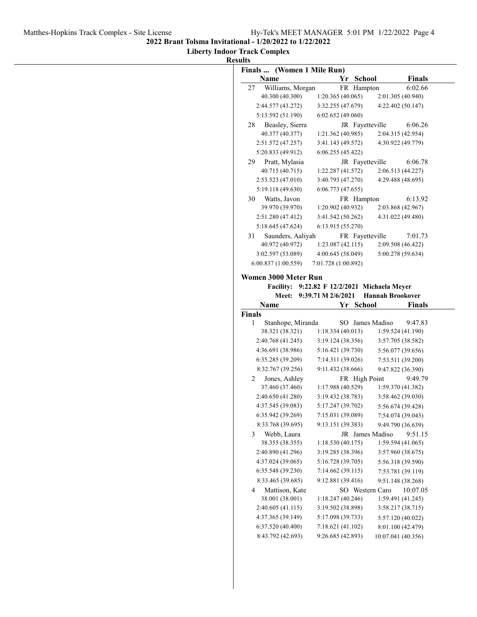**2022 Brant Tolsma Invitational - 1/20/2022 to 1/22/2022**

#### **Liberty Indoor Track Complex**

|              | Finals  (Women 1 Mile Run)                   |                                       |               |                         |                                                                                                                                                                                                                                                                                                                                                                 |
|--------------|----------------------------------------------|---------------------------------------|---------------|-------------------------|-----------------------------------------------------------------------------------------------------------------------------------------------------------------------------------------------------------------------------------------------------------------------------------------------------------------------------------------------------------------|
|              | Name                                         |                                       | Yr School     |                         | <b>Finals</b>                                                                                                                                                                                                                                                                                                                                                   |
| 27           | Williams, Morgan                             |                                       | FR Hampton    |                         | 6:02.66                                                                                                                                                                                                                                                                                                                                                         |
|              | 40.300 (40.300)                              | 1:20.365(40.065)                      |               |                         | 2:01.305 (40.940)                                                                                                                                                                                                                                                                                                                                               |
|              | 2:44.577 (43.272)                            | 3:32.255 (47.679)                     |               |                         | 4:22.402 (50.147)                                                                                                                                                                                                                                                                                                                                               |
|              | 5:13.592 (51.190)                            | 6:02.652(49.060)                      |               |                         |                                                                                                                                                                                                                                                                                                                                                                 |
| 28           | Beasley, Sierra                              |                                       |               | JR Fayetteville         | 6:06.26                                                                                                                                                                                                                                                                                                                                                         |
|              | 40.377 (40.377)                              | 1:21.362(40.985)                      |               |                         | 2:04.315 (42.954)                                                                                                                                                                                                                                                                                                                                               |
|              | 2:51.572 (47.257)                            | 3:41.143 (49.572)                     |               |                         | 4:30.922 (49.779)                                                                                                                                                                                                                                                                                                                                               |
|              | 5:20.833 (49.912)                            | 6:06.255(45.422)                      |               |                         |                                                                                                                                                                                                                                                                                                                                                                 |
| 29           | Pratt, Mylasia                               |                                       |               | JR Fayetteville         | 6:06.78                                                                                                                                                                                                                                                                                                                                                         |
|              | 40.715 (40.715)                              | 1:22.287 (41.572)                     |               |                         | 2:06.513 (44.227)                                                                                                                                                                                                                                                                                                                                               |
|              | 2:53.523(47.010)                             | 3:40.793 (47.270)                     |               |                         | 4:29.488 (48.695)                                                                                                                                                                                                                                                                                                                                               |
|              | 5:19.118 (49.630)                            | 6:06.773(47.655)                      |               |                         |                                                                                                                                                                                                                                                                                                                                                                 |
|              | 30 Watts, Javon<br>39.970 (39.970)           | 1:20.902 (40.932)                     | FR Hampton    |                         | 6:13.92                                                                                                                                                                                                                                                                                                                                                         |
|              |                                              |                                       |               |                         | 2:03.868 (42.967)                                                                                                                                                                                                                                                                                                                                               |
|              | 2:51.280 (47.412)<br>5:18.645(47.624)        | 3:41.542 (50.262)<br>6:13.915(55.270) |               |                         | 4:31.022 (49.480)                                                                                                                                                                                                                                                                                                                                               |
|              |                                              |                                       |               |                         |                                                                                                                                                                                                                                                                                                                                                                 |
| 31           | Saunders, Aaliyah<br>40.972 (40.972)         | 1:23.087(42.115)                      |               | FR Fayetteville         | 7:01.73<br>2:09.508 (46.422)                                                                                                                                                                                                                                                                                                                                    |
|              | 3:02.597 (53.089)                            | 4:00.645 (58.049)                     |               |                         | 5:00.278 (59.634)                                                                                                                                                                                                                                                                                                                                               |
|              | 6:00.837(1:00.559)                           | 7:01.728 (1:00.892)                   |               |                         |                                                                                                                                                                                                                                                                                                                                                                 |
|              |                                              |                                       |               |                         |                                                                                                                                                                                                                                                                                                                                                                 |
|              | Women 3000 Meter Run                         |                                       |               |                         |                                                                                                                                                                                                                                                                                                                                                                 |
|              | Facility: 9:22.82 F 12/2/2021 Michaela Meyer |                                       |               |                         |                                                                                                                                                                                                                                                                                                                                                                 |
|              |                                              |                                       |               |                         |                                                                                                                                                                                                                                                                                                                                                                 |
|              |                                              | Meet: 9:39.71 M 2/6/2021              |               | <b>Hannah Brookover</b> |                                                                                                                                                                                                                                                                                                                                                                 |
|              | Name                                         |                                       | Yr School     |                         |                                                                                                                                                                                                                                                                                                                                                                 |
| Finals       |                                              |                                       |               |                         |                                                                                                                                                                                                                                                                                                                                                                 |
| $\mathbf{1}$ | Stanhope, Miranda                            |                                       |               | SO James Madiso         |                                                                                                                                                                                                                                                                                                                                                                 |
|              | 38.321 (38.321)                              | 1:18.334(40.013)                      |               |                         |                                                                                                                                                                                                                                                                                                                                                                 |
|              | 2:40.768 (41.245)                            | 3:19.124 (38.356)                     |               |                         |                                                                                                                                                                                                                                                                                                                                                                 |
|              | 4:36.691 (38.986)                            | 5:16.421 (39.730)                     |               |                         |                                                                                                                                                                                                                                                                                                                                                                 |
|              | 6:35.285 (39.209)                            | 7:14.311 (39.026)                     |               |                         |                                                                                                                                                                                                                                                                                                                                                                 |
| 2            | 8:32.767 (39.256)                            | 9:11.432 (38.666)                     |               |                         |                                                                                                                                                                                                                                                                                                                                                                 |
|              | Jones, Ashley<br>37.460 (37.460)             | 1:17.988 (40.529)                     | FR High Point |                         |                                                                                                                                                                                                                                                                                                                                                                 |
|              | 2:40.650 (41.280)                            | 3:19.432 (38.783)                     |               |                         |                                                                                                                                                                                                                                                                                                                                                                 |
|              | 4:37.545 (39.083)                            | 5:17.247 (39.702)                     |               |                         | 1:59.370 (41.382)<br>3:58.462 (39.030)<br>5:56.674 (39.428)                                                                                                                                                                                                                                                                                                     |
|              | 6:35.942 (39.269)                            | 7:15.031 (39.089)                     |               |                         | 7:54.074 (39.043)                                                                                                                                                                                                                                                                                                                                               |
|              | 8:33.768 (39.695)                            | 9:13.151 (39.383)                     |               |                         |                                                                                                                                                                                                                                                                                                                                                                 |
| 3            | Webb, Laura                                  |                                       |               | JR James Madiso         |                                                                                                                                                                                                                                                                                                                                                                 |
|              | 38.355 (38.355)                              | 1:18.530(40.175)                      |               |                         |                                                                                                                                                                                                                                                                                                                                                                 |
|              | 2:40.890 (41.296)                            | 3:19.285 (38.396)                     |               |                         |                                                                                                                                                                                                                                                                                                                                                                 |
|              | 4:37.024 (39.065)                            | 5:16.728 (39.705)                     |               |                         |                                                                                                                                                                                                                                                                                                                                                                 |
|              | 6:35.548 (39.230)                            | 7:14.662(39.115)                      |               |                         |                                                                                                                                                                                                                                                                                                                                                                 |
|              | 8:33.465 (39.685)                            | 9:12.881 (39.416)                     |               |                         |                                                                                                                                                                                                                                                                                                                                                                 |
| 4            | Mattison, Kate                               |                                       |               | SO Western Caro         |                                                                                                                                                                                                                                                                                                                                                                 |
|              | 38.001 (38.001)                              | 1:18.247(40.246)                      |               |                         |                                                                                                                                                                                                                                                                                                                                                                 |
|              | 2:40.605 (41.115)                            | 3:19.502 (38.898)                     |               |                         |                                                                                                                                                                                                                                                                                                                                                                 |
|              | 4:37.365 (39.149)                            | 5:17.098 (39.733)                     |               |                         | <b>Finals</b><br>9:47.83<br>1:59.524 (41.190)<br>3:57.705 (38.582)<br>5:56.077 (39.656)<br>7:53.511 (39.200)<br>9:47.822 (36.390)<br>9:49.79<br>9:49.790 (36.639)<br>9:51.15<br>1:59.594(41.065)<br>3:57.960 (38.675)<br>5:56.318 (39.590)<br>7:53.781 (39.119)<br>9:51.148 (38.268)<br>10:07.05<br>1:59.491 (41.245)<br>3:58.217 (38.715)<br>5:57.120 (40.022) |
|              | 6:37.520 (40.400)                            | 7:18.621 (41.102)                     |               |                         | 8:01.100 (42.479)                                                                                                                                                                                                                                                                                                                                               |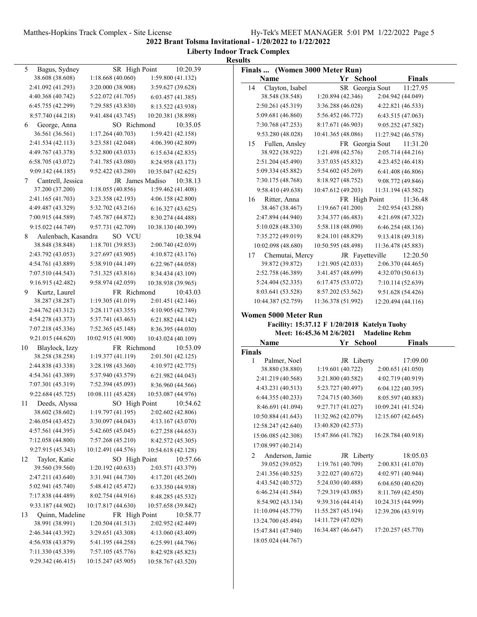#### Matthes-Hopkins Track Complex - Site License Hy-Tek's MEET MANAGER 5:01 PM 1/22/2022 Page 5

**2022 Brant Tolsma Invitational - 1/20/2022 to 1/22/2022**

**Liberty Indoor Track Complex Results**

| Bagus, Sydney<br>5                     | SR High Point      | 10:20.39           | Finals  (Women 3000 Meter Run) |                                              |                      |
|----------------------------------------|--------------------|--------------------|--------------------------------|----------------------------------------------|----------------------|
| 38.608 (38.608)                        | 1:18.668(40.060)   | 1:59.800 (41.132)  | Name                           | Yr School                                    | <b>Finals</b>        |
| 2:41.092 (41.293)                      | 3:20.000 (38.908)  | 3:59.627 (39.628)  | Clayton, Isabel<br>14          | SR Georgia Sout                              | 11:27.95             |
| 4:40.368 (40.742)                      | 5:22.072 (41.705)  | 6:03.457(41.385)   | 38.548 (38.548)                | 1:20.894 (42.346)                            | 2:04.942 (44.049)    |
| 6:45.755 (42.299)                      | 7:29.585 (43.830)  | 8:13.522 (43.938)  | 2:50.261 (45.319)              | 3:36.288 (46.028)                            | 4:22.821 (46.533)    |
| 8:57.740 (44.218)                      | 9:41.484 (43.745)  | 10:20.381 (38.898) | 5:09.681 (46.860)              | 5:56.452 (46.772)                            | 6:43.515(47.063)     |
| George, Anna<br>6                      | SO Richmond        | 10:35.05           | 7:30.768 (47.253)              | 8:17.671 (46.903)                            | 9:05.252 (47.582)    |
| 36.561 (36.561)                        | 1:17.264(40.703)   | 1:59.421 (42.158)  | 9:53.280 (48.028)              | 10:41.365 (48.086)                           | 11:27.942 (46.578)   |
| 2:41.534 (42.113)                      | 3:23.581 (42.048)  | 4:06.390 (42.809)  | Fullen, Ansley<br>15           | FR Georgia Sout                              | 11:31.20             |
| 4:49.767 (43.378)                      | 5:32.800 (43.033)  | 6:15.634(42.835)   | 38.922 (38.922)                | 1:21.498 (42.576)                            | 2:05.714 (44.216)    |
| 6:58.705 (43.072)                      | 7:41.785 (43.080)  | 8:24.958 (43.173)  | 2:51.204 (45.490)              | 3:37.035 (45.832)                            | 4:23.452 (46.418)    |
| 9:09.142 (44.185)                      | 9:52.422 (43.280)  | 10:35.047 (42.625) | 5:09.334 (45.882)              | 5:54.602 (45.269)                            | 6:41.408 (46.806)    |
| Cantrell, Jessica<br>7                 | JR James Madiso    | 10:38.13           | 7:30.175 (48.768)              | 8:18.927 (48.752)                            | 9:08.772 (49.846)    |
| 37.200 (37.200)                        | 1:18.055(40.856)   | 1:59.462 (41.408)  | 9:58.410 (49.638)              | 10:47.612 (49.203)                           | 11:31.194 (43.582)   |
| 2:41.165 (41.703)                      | 3:23.358 (42.193)  | 4:06.158 (42.800)  | Ritter, Anna<br>16             | FR High Point                                | 11:36.48             |
| 4:49.487 (43.329)                      | 5:32.702 (43.216)  | 6:16.327(43.625)   | 38.467 (38.467)                | 1:19.667 (41.200)                            | 2:02.954 (43.288)    |
| 7:00.915 (44.589)                      | 7:45.787 (44.872)  | 8:30.274 (44.488)  | 2:47.894 (44.940)              | 3:34.377 (46.483)                            | 4:21.698 (47.322)    |
| 9:15.022 (44.749)                      | 9:57.731 (42.709)  | 10:38.130 (40.399) | 5:10.028(48.330)               | 5:58.118 (48.090)                            | 6:46.254(48.136)     |
| Aulenbach, Kasandra<br>8               | SO VCU             | 10:38.94           | 7:35.272 (49.019)              | 8:24.101 (48.829)                            | 9:13.418 (49.318)    |
| 38.848 (38.848)                        | 1:18.701 (39.853)  | 2:00.740 (42.039)  | 10:02.098 (48.680)             | 10:50.595 (48.498)                           | 11:36.478 (45.883)   |
| 2:43.792 (43.053)                      | 3:27.697(43.905)   | 4:10.872 (43.176)  | Chemutai, Mercy<br>17          | JR Fayetteville                              | 12:20.50             |
| 4:54.761 (43.889)                      | 5:38.910 (44.149)  | 6:22.967(44.058)   | 39.872 (39.872)                | 1:21.905 (42.033)                            | 2:06.370 (44.465)    |
| 7:07.510 (44.543)                      | 7:51.325(43.816)   | 8:34.434 (43.109)  | 2:52.758 (46.389)              | 3:41.457 (48.699)                            | 4:32.070 (50.613)    |
| 9:16.915 (42.482)                      | 9:58.974 (42.059)  | 10:38.938 (39.965) | 5:24.404 (52.335)              | 6:17.475 (53.072)                            | 7:10.114 (52.639)    |
| Kurtz, Laurel<br>9                     | FR Richmond        | 10:43.03           | 8:03.641 (53.528)              | 8:57.202 (53.562)                            | 9:51.628 (54.426)    |
| 38.287 (38.287)                        | 1:19.305(41.019)   | 2:01.451 (42.146)  | 10:44.387 (52.759)             | 11:36.378 (51.992)                           |                      |
| 2:44.762 (43.312)                      | 3:28.117(43.355)   | 4:10.905 (42.789)  |                                |                                              | 12:20.494 (44.116)   |
|                                        |                    |                    |                                |                                              |                      |
|                                        |                    |                    | Women 5000 Meter Run           |                                              |                      |
| 4:54.278 (43.373)                      | 5:37.741 (43.463)  | 6:21.882 (44.142)  |                                | Facility: 15:37.12 F 1/20/2018 Katelyn Tuohy |                      |
| 7:07.218 (45.336)                      | 7:52.365 (45.148)  | 8:36.395 (44.030)  |                                | Meet: 16:45.36 M 2/6/2021                    | <b>Madeline Rehm</b> |
| 9:21.015 (44.620)                      | 10:02.915 (41.900) | 10:43.024 (40.109) | Name                           | Yr School                                    | Finals               |
| 10<br>Blaylock, Izzy                   | FR Richmond        | 10:53.09           | Finals                         |                                              |                      |
| 38.258 (38.258)                        | 1:19.377(41.119)   | 2:01.501 (42.125)  | Palmer, Noel<br>1              | JR Liberty                                   | 17:09.00             |
| 2:44.838 (43.338)                      | 3:28.198 (43.360)  | 4:10.972 (42.775)  | 38.880 (38.880)                | 1:19.601 (40.722)                            | 2:00.651 (41.050)    |
| 4:54.361 (43.389)                      | 5:37.940 (43.579)  | 6:21.982 (44.043)  | 2:41.219 (40.568)              | 3:21.800 (40.582)                            | 4:02.719 (40.919)    |
| 7:07.301 (45.319)                      | 7:52.394 (45.093)  | 8:36.960 (44.566)  | 4:43.231 (40.513)              | 5:23.727 (40.497)                            | 6:04.122 (40.395)    |
| 9:22.684(45.725)                       | 10:08.111 (45.428) | 10:53.087 (44.976) | 6:44.355 (40.233)              | 7:24.715 (40.360)                            | 8:05.597 (40.883)    |
| Deeds, Alyssa<br>11                    | SO High Point      | 10:54.62           | 8:46.691 (41.094)              | 9:27.717 (41.027)                            | 10:09.241 (41.524)   |
| 38.602 (38.602)                        | 1:19.797 (41.195)  | 2:02.602 (42.806)  | 10:50.884 (41.643)             | 11:32.962 (42.079)                           | 12:15.607 (42.645)   |
| 2:46.054 (43.452)                      | 3:30.097 (44.043)  | 4:13.167 (43.070)  | 12:58.247 (42.640)             | 13:40.820 (42.573)                           |                      |
| 4:57.561 (44.395)                      | 5:42.605 (45.045)  | 6:27.258 (44.653)  | 15:06.085 (42.308)             | 15:47.866 (41.782)                           | 16:28.784 (40.918)   |
| 7:12.058 (44.800)                      | 7:57.268 (45.210)  | 8:42.572 (45.305)  |                                |                                              |                      |
| 9:27.915 (45.343)                      | 10:12.491 (44.576) | 10:54.618 (42.128) | 17:08.997 (40.214)             |                                              |                      |
| Taylor, Katie                          | SO High Point      | 10:57.66           | Anderson, Jamie<br>2           | JR Liberty                                   | 18:05.03             |
| 39.560 (39.560)                        | 1:20.192(40.633)   | 2:03.571 (43.379)  | 39.052 (39.052)                | 1:19.761 (40.709)                            | 2:00.831 (41.070)    |
| 2:47.211 (43.640)                      | 3:31.941 (44.730)  | 4:17.201 (45.260)  | 2:41.356 (40.525)              | 3:22.027 (40.672)                            | 4:02.971 (40.944)    |
| 5:02.941 (45.740)                      | 5:48.412 (45.472)  | 6:33.350 (44.938)  | 4:43.542 (40.572)              | 5:24.030 (40.488)                            | 6:04.650 (40.620)    |
| 7:17.838 (44.489)                      | 8:02.754 (44.916)  | 8:48.285 (45.532)  | 6:46.234 (41.584)              | 7:29.319 (43.085)                            | 8:11.769 (42.450)    |
| 12<br>9:33.187 (44.902)                | 10:17.817 (44.630) | 10:57.658 (39.842) | 8:54.902 (43.134)              | 9:39.316 (44.414)                            | 10:24.315 (44.999)   |
| Quinn, Madeline                        | FR High Point      | 10:58.77           | 11:10.094 (45.779)             | 11:55.287 (45.194)                           | 12:39.206 (43.919)   |
| 38.991 (38.991)                        | 1:20.504(41.513)   | 2:02.952 (42.449)  | 13:24.700 (45.494)             | 14:11.729 (47.029)                           |                      |
| 2:46.344 (43.392)                      | 3:29.651 (43.308)  | 4:13.060 (43.409)  | 15:47.841 (47.940)             | 16:34.487 (46.647)                           | 17:20.257 (45.770)   |
| 13<br>4:56.938 (43.879)                | 5:41.195 (44.258)  | 6:25.991 (44.796)  | 18:05.024 (44.767)             |                                              |                      |
| 7:11.330 (45.339)<br>9:29.342 (46.415) | 7:57.105 (45.776)  | 8:42.928 (45.823)  |                                |                                              |                      |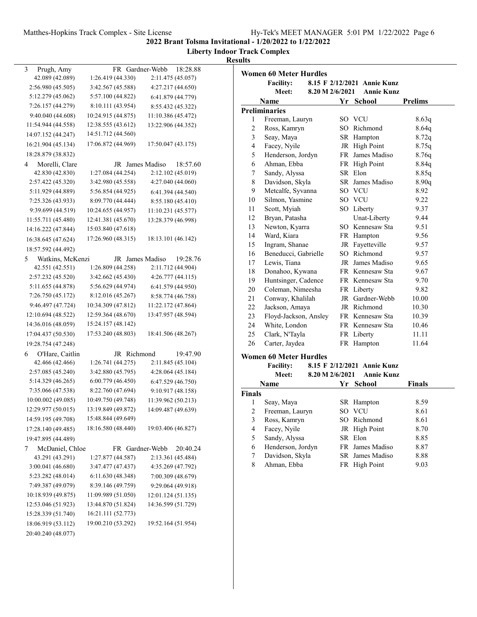# Matthes-Hopkins Track Complex - Site License Hy-Tek's MEET MANAGER 5:01 PM 1/22/2022 Page 6

**2022 Brant Tolsma Invitational - 1/20/2022 to 1/22/2022**

**Liberty Indoor Track Complex**

| esults |
|--------|
|        |

| 3<br>Prugh, Amy       |                    | FR Gardner-Webb | 18:28.88           |
|-----------------------|--------------------|-----------------|--------------------|
| 42.089 (42.089)       | 1:26.419 (44.330)  |                 | 2:11.475 (45.057)  |
| 2:56.980 (45.505)     | 3:42.567 (45.588)  |                 | 4:27.217 (44.650)  |
| 5:12.279 (45.062)     | 5:57.100 (44.822)  |                 | 6:41.879 (44.779)  |
| 7:26.157 (44.279)     | 8:10.111 (43.954)  |                 | 8:55.432 (45.322)  |
| 9:40.040 (44.608)     | 10:24.915 (44.875) |                 | 11:10.386 (45.472) |
| 11:54.944 (44.558)    | 12:38.555 (43.612) |                 | 13:22.906 (44.352) |
| 14:07.152 (44.247)    | 14:51.712 (44.560) |                 |                    |
| 16:21.904 (45.134)    | 17:06.872 (44.969) |                 | 17:50.047 (43.175) |
| 18:28.879 (38.832)    |                    |                 |                    |
| Morelli, Clare<br>4   |                    | JR James Madiso | 18:57.60           |
| 42.830 (42.830)       | 1:27.084 (44.254)  |                 | 2:12.102 (45.019)  |
| 2:57.422 (45.320)     | 3:42.980 (45.558)  |                 | 4:27.040 (44.060)  |
| 5:11.929 (44.889)     | 5:56.854 (44.925)  |                 | 6:41.394 (44.540)  |
| 7:25.326 (43.933)     | 8:09.770 (44.444)  |                 | 8:55.180 (45.410)  |
| 9:39.699 (44.519)     | 10:24.655 (44.957) |                 | 11:10.231 (45.577) |
| 11:55.711 (45.480)    | 12:41.381 (45.670) |                 |                    |
|                       |                    |                 | 13:28.379 (46.998) |
| 14:16.222 (47.844)    | 15:03.840 (47.618) |                 |                    |
| 16:38.645 (47.624)    | 17:26.960 (48.315) |                 | 18:13.101 (46.142) |
| 18:57.592 (44.492)    |                    |                 |                    |
| Watkins, McKenzi<br>5 |                    | JR James Madiso | 19:28.76           |
| 42.551 (42.551)       | 1:26.809 (44.258)  |                 | 2:11.712 (44.904)  |
| 2:57.232 (45.520)     | 3:42.662 (45.430)  |                 | 4:26.777 (44.115)  |
| 5:11.655 (44.878)     | 5:56.629 (44.974)  |                 | 6:41.579 (44.950)  |
| 7:26.750 (45.172)     | 8:12.016 (45.267)  |                 | 8:58.774 (46.758)  |
| 9:46.497 (47.724)     | 10:34.309 (47.812) |                 | 11:22.172 (47.864) |
| 12:10.694 (48.522)    | 12:59.364 (48.670) |                 | 13:47.957 (48.594) |
| 14:36.016 (48.059)    | 15:24.157 (48.142) |                 |                    |
| 17:04.437 (50.530)    | 17:53.240 (48.803) |                 | 18:41.506 (48.267) |
| 19:28.754 (47.248)    |                    |                 |                    |
| O'Hare, Caitlin<br>6  |                    | JR Richmond     | 19:47.90           |
| 42.466 (42.466)       | 1:26.741 (44.275)  |                 | 2:11.845 (45.104)  |
| 2:57.085 (45.240)     | 3:42.880 (45.795)  |                 | 4:28.064 (45.184)  |
| 5:14.329 (46.265)     | 6:00.779 (46.450)  |                 | 6:47.529 (46.750)  |
| 7:35.066 (47.538)     | 8:22.760 (47.694)  |                 | 9:10.917 (48.158)  |
| 10:00.002 (49.085)    | 10:49.750 (49.748) |                 | 11:39.962 (50.213) |
| 12:29.977 (50.015)    | 13:19.849 (49.872) |                 | 14:09.487 (49.639) |
| 14:59.195 (49.708)    | 15:48.844 (49.649) |                 |                    |
| 17:28.140 (49.485)    | 18:16.580 (48.440) |                 | 19:03.406 (46.827) |
| 19:47.895 (44.489)    |                    |                 |                    |
| McDaniel, Chloe<br>7  |                    | FR Gardner-Webb | 20:40.24           |
| 43.291 (43.291)       | 1:27.877 (44.587)  |                 | 2:13.361 (45.484)  |
| 3:00.041 (46.680)     | 3:47.477 (47.437)  |                 | 4:35.269 (47.792)  |
| 5:23.282 (48.014)     | 6:11.630 (48.348)  |                 | 7:00.309 (48.679)  |
| 7:49.387 (49.079)     | 8:39.146 (49.759)  |                 | 9:29.064 (49.918)  |
| 10:18.939 (49.875)    | 11:09.989 (51.050) |                 | 12:01.124 (51.135) |
| 12:53.046 (51.923)    | 13:44.870 (51.824) |                 | 14:36.599 (51.729) |
| 15:28.339 (51.740)    | 16:21.111 (52.773) |                 |                    |
| 18:06.919 (53.112)    | 19:00.210 (53.292) |                 | 19:52.164 (51.954) |
| 20:40.240 (48.077)    |                    |                 |                    |

| <b>Women 60 Meter Hurdles</b> |                               |                 |         |  |                             |                |
|-------------------------------|-------------------------------|-----------------|---------|--|-----------------------------|----------------|
|                               | <b>Facility:</b>              |                 |         |  | 8.15 F 2/12/2021 Annie Kunz |                |
|                               | Meet:                         | 8.20 M 2/6/2021 |         |  | <b>Annie Kunz</b>           |                |
|                               | Name                          |                 | Yr      |  | School                      | <b>Prelims</b> |
|                               | <b>Preliminaries</b>          |                 |         |  |                             |                |
| 1                             | Freeman, Lauryn               |                 | SO VCU  |  |                             | 8.63q          |
| 2                             | Ross, Kamryn                  |                 |         |  | SO Richmond                 | 8.64q          |
| 3                             | Seay, Maya                    |                 |         |  | SR Hampton                  | 8.72q          |
| $\overline{4}$                | Facey, Nyile                  |                 |         |  | JR High Point               | 8.75q          |
| 5                             | Henderson, Jordyn             |                 | FR      |  | James Madiso                | 8.76q          |
| 6                             | Ahman, Ebba                   |                 |         |  | FR High Point               | 8.84q          |
| 7                             | Sandy, Alyssa                 |                 | SR Elon |  |                             | 8.85q          |
| 8                             | Davidson, Skyla               |                 |         |  | SR James Madiso             | 8.90q          |
| 9                             | Metcalfe, Syvanna             |                 | SO VCU  |  |                             | 8.92           |
| 10                            | Silmon, Yasmine               |                 | SO VCU  |  |                             | 9.22           |
| 11                            | Scott, Myiah                  |                 |         |  | SO Liberty                  | 9.37           |
| 12                            | Bryan, Patasha                |                 |         |  | Unat-Liberty                | 9.44           |
| 13                            | Newton, Kyarra                |                 |         |  | SO Kennesaw Sta             | 9.51           |
| 14                            | Ward, Kiara                   |                 |         |  | FR Hampton                  | 9.56           |
| 15                            | Ingram, Shanae                |                 |         |  | JR Fayetteville             | 9.57           |
| 16                            | Beneducci, Gabrielle          |                 | SO.     |  | Richmond                    | 9.57           |
| 17                            | Lewis, Tiana                  |                 |         |  | JR James Madiso             | 9.65           |
| 18                            | Donahoo, Kywana               |                 |         |  | FR Kennesaw Sta             | 9.67           |
| 19                            | Huntsinger, Cadence           |                 |         |  | FR Kennesaw Sta             | 9.70           |
| 20                            | Coleman, Nimeesha             |                 |         |  | FR Liberty                  | 9.82           |
| 21                            | Conway, Khalilah              |                 |         |  | JR Gardner-Webb             | 10.00          |
| 22                            | Jackson, Amaya                |                 |         |  | JR Richmond                 | 10.30          |
| 23                            | Floyd-Jackson, Ansley         |                 |         |  | FR Kennesaw Sta             | 10.39          |
| 24                            | White, London                 |                 |         |  | FR Kennesaw Sta             | 10.46          |
| 25                            | Clark, N'Tayla                |                 |         |  | FR Liberty                  | 11.11          |
| 26                            | Carter, Jaydea                |                 |         |  | FR Hampton                  | 11.64          |
|                               | <b>Women 60 Meter Hurdles</b> |                 |         |  |                             |                |

| <b>Facility:</b> | 8.15 F 2/12/2021 Annie Kunz |  |
|------------------|-----------------------------|--|
|                  |                             |  |

|               | Meet:             | 8.20 M 2/6/2021 | <b>Annie Kunz</b> |        |
|---------------|-------------------|-----------------|-------------------|--------|
|               | Name              | Yr.             | - School          | Finals |
| <b>Finals</b> |                   |                 |                   |        |
| L             | Seay, Maya        |                 | SR Hampton        | 8.59   |
| 2             | Freeman, Lauryn   |                 | SO VCU            | 8.61   |
| 3             | Ross, Kamryn      |                 | SO Richmond       | 8.61   |
| 4             | Facey, Nyile      |                 | JR High Point     | 8.70   |
| 5             | Sandy, Alyssa     |                 | SR Elon           | 8.85   |
| 6             | Henderson, Jordyn |                 | FR James Madiso   | 8.87   |
| 7             | Davidson, Skyla   |                 | SR James Madiso   | 8.88   |
| 8             | Ahman, Ebba       |                 | FR High Point     | 9.03   |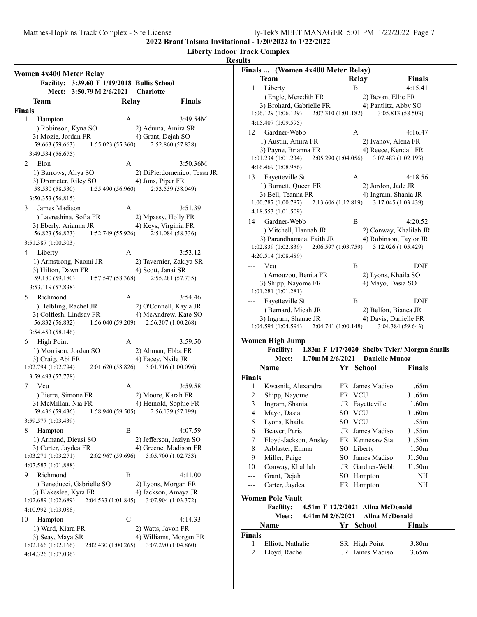**Liberty Indoor Track Complex**

| Women 4x400 Meter Relay                     |                                             |       |                                              |
|---------------------------------------------|---------------------------------------------|-------|----------------------------------------------|
|                                             | Facility: 3:39.60 F 1/19/2018 Bullis School |       |                                              |
| <b>Meet:</b>                                | 3:50.79 M 2/6/2021                          |       | <b>Charlotte</b>                             |
| Team                                        |                                             | Relay | Finals                                       |
| <b>Finals</b>                               |                                             |       |                                              |
| 1<br>Hampton                                |                                             | А     | 3:49.54M                                     |
| 1) Robinson, Kyna SO                        |                                             |       | 2) Aduma, Amira SR                           |
| 3) Mozie, Jordan FR<br>59.663 (59.663)      | 1:55.023 (55.360)                           |       | 4) Grant, Dejah SO<br>2:52.860 (57.838)      |
| 3:49.534 (56.675)                           |                                             |       |                                              |
| Elon<br>2                                   |                                             | A     | 3:50.36M                                     |
| 1) Barrows, Aliya SO                        |                                             |       | 2) DiPierdomenico, Tessa JR                  |
| 3) Drometer, Riley SO                       |                                             |       | 4) Jons, Piper FR                            |
| 58.530 (58.530)                             | 1:55.490 (56.960)                           |       | 2:53.539 (58.049)                            |
| 3:50.353 (56.815)                           |                                             |       |                                              |
| James Madison<br>3                          |                                             | А     | 3:51.39                                      |
| 1) Lavreshina, Sofia FR                     |                                             |       | 2) Mpassy, Holly FR                          |
| 3) Eberly, Arianna JR<br>56.823 (56.823)    | 1:52.749 (55.926)                           |       | 4) Keys, Virginia FR<br>2:51.084 (58.336)    |
| 3:51.387 (1:00.303)                         |                                             |       |                                              |
| 4<br>Liberty                                |                                             | А     | 3:53.12                                      |
| 1) Armstrong, Naomi JR                      |                                             |       | 2) Tavernier, Zakiya SR                      |
| 3) Hilton, Dawn FR                          |                                             |       | 4) Scott, Janai SR                           |
| 59.180 (59.180)                             | 1:57.547(58.368)                            |       | 2:55.281 (57.735)                            |
| 3:53.119 (57.838)                           |                                             |       |                                              |
| Richmond<br>5                               |                                             | А     | 3:54.46                                      |
| 1) Helbling, Rachel JR                      |                                             |       | 2) O'Connell, Kayla JR                       |
| 3) Colflesh, Lindsay FR                     |                                             |       | 4) McAndrew, Kate SO                         |
| 56.832 (56.832)<br>3:54.453 (58.146)        | 1:56.040 (59.209)                           |       | 2:56.307 (1:00.268)                          |
| 6                                           |                                             | А     | 3:59.50                                      |
| <b>High Point</b><br>1) Morrison, Jordan SO |                                             |       | 2) Ahman, Ebba FR                            |
| 3) Craig, Abi FR                            |                                             |       | 4) Facey, Nyile JR                           |
| 1:02.794 (1:02.794)                         | 2:01.620(58.826)                            |       | 3:01.716 (1:00.096)                          |
| 3:59.493 (57.778)                           |                                             |       |                                              |
| Vcu<br>7                                    |                                             | А     | 3:59.58                                      |
| 1) Pierre, Simone FR                        |                                             |       | 2) Moore, Karah FR                           |
| 3) McMillan, Nia FR                         |                                             |       | 4) Heinold, Sophie FR                        |
| 59.436 (59.436)                             | 1:58.940 (59.505)                           |       | 2:56.139 (57.199)                            |
| 3:59.577 (1:03.439)                         |                                             | В     |                                              |
| 8<br>Hampton<br>1) Armand, Dieusi SO        |                                             |       | 4:07.59<br>2) Jefferson, Jazlyn SO           |
| 3) Carter, Jaydea FR                        |                                             |       | 4) Greene, Madison FR                        |
| 1:03.271 (1:03.271)                         | 2:02.967 (59.696)                           |       | 3:05.700 (1:02.733)                          |
| 4:07.587 (1:01.888)                         |                                             |       |                                              |
| Richmond<br>9                               |                                             | В     | 4:11.00                                      |
|                                             | 1) Beneducci, Gabrielle SO                  |       | 2) Lyons, Morgan FR                          |
| 3) Blakeslee, Kyra FR                       |                                             |       | 4) Jackson, Amaya JR                         |
| 1:02.689 (1:02.689)                         | 2:04.533 (1:01.845)                         |       | 3:07.904 (1:03.372)                          |
| 4:10.992 (1:03.088)                         |                                             |       |                                              |
| 10<br>Hampton                               |                                             | C     | 4:14.33                                      |
| 1) Ward, Kiara FR<br>3) Seay, Maya SR       |                                             |       | 2) Watts, Javon FR<br>4) Williams, Morgan FR |
| 1:02.166 (1:02.166)                         | 2:02.430 (1:00.265)                         |       | 3:07.290 (1:04.860)                          |
| 4:14.326 (1:07.036)                         |                                             |       |                                              |

| ulu           | Finals  (Women 4x400 Meter Relay)          |                 |                                               |
|---------------|--------------------------------------------|-----------------|-----------------------------------------------|
|               | Team                                       | <b>Relay</b>    | <b>Finals</b>                                 |
| 11            | Liberty                                    | В               | 4:15.41                                       |
|               | 1) Engle, Meredith FR                      |                 | 2) Bevan, Ellie FR                            |
|               | 3) Brohard, Gabrielle FR                   |                 | 4) Pantlitz, Abby SO                          |
|               | 1:06.129(1:06.129)<br>2:07.310 (1:01.182)  |                 | 3:05.813 (58.503)                             |
|               | 4:15.407 (1:09.595)                        |                 |                                               |
| 12            | Gardner-Webb                               | А               | 4:16.47                                       |
|               | 1) Austin, Amira FR                        |                 | 2) Ivanov, Alena FR                           |
|               | 3) Payne, Brianna FR                       |                 | 4) Reece, Kendall FR                          |
|               | 1:01.234(1:01.234)<br>2:05.290 (1:04.056)  |                 | 3:07.483 (1:02.193)                           |
|               | 4:16.469 (1:08.986)                        |                 |                                               |
| 13            | Fayetteville St.                           | A               | 4:18.56                                       |
|               | 1) Burnett, Queen FR                       |                 | 2) Jordon, Jade JR                            |
|               | 3) Bell, Teanna FR                         |                 | 4) Ingram, Shania JR                          |
|               | 1:00.787(1:00.787)<br>2:13.606 (1:12.819)  |                 | 3:17.045 (1:03.439)                           |
|               | 4:18.553 (1:01.509)                        |                 |                                               |
| 14            | Gardner-Webb                               | Β               | 4:20.52                                       |
|               | 1) Mitchell, Hannah JR                     |                 | 2) Conway, Khalilah JR                        |
|               | 3) Parandhamaia, Faith JR                  |                 | 4) Robinson, Taylor JR                        |
|               | 2:06.597(1:03.759)<br>1:02.839(1:02.839)   |                 | 3:12.026 (1:05.429)                           |
|               | 4:20.514 (1:08.489)                        |                 |                                               |
| ---           | Vcu                                        | Β               | DNF                                           |
|               | 1) Amouzou, Benita FR                      |                 | 2) Lyons, Khaila SO<br>4) Mayo, Dasia SO      |
|               | 3) Shipp, Nayome FR<br>1:01.281 (1:01.281) |                 |                                               |
|               | Fayetteville St.                           | Β               | <b>DNF</b>                                    |
|               | 1) Bernard, Micah JR                       |                 | 2) Belfon, Bianca JR                          |
|               | 3) Ingram, Shanae JR                       |                 | 4) Davis, Danielle FR                         |
|               | 1:04.594 (1:04.594)<br>2:04.741 (1:00.148) |                 | 3:04.384 (59.643)                             |
|               |                                            |                 |                                               |
|               | <b>Women High Jump</b><br><b>Facility:</b> |                 | 1.83m F 1/17/2020 Shelby Tyler/ Morgan Smalls |
|               | <b>Meet:</b><br>1.70m M 2/6/2021           |                 | <b>Danielle Munoz</b>                         |
|               | Name                                       | Yr<br>School    | Finals                                        |
| Finals        |                                            |                 |                                               |
| 1             | Kwasnik, Alexandra                         | FR James Madiso | 1.65m                                         |
| 2             | Shipp, Nayome                              | VCU<br>FR       | J1.65m                                        |
| 3             | Ingram, Shania                             | JR Fayetteville | 1.60m                                         |
| 4             | Mayo, Dasia                                | SO VCU          | J1.60m                                        |
| 5             | Lyons, Khaila                              | SO VCU          | 1.55m                                         |
| 6             | Beaver, Paris                              | JR              | James Madiso<br>J1.55m                        |
| 7             | Floyd-Jackson, Ansley                      |                 | FR Kennesaw Sta<br>J1.55m                     |
| 8             | Arblaster, Emma                            | SO Liberty      | 1.50 <sub>m</sub>                             |
| 9             | Miller, Paige                              |                 | SO James Madiso<br>J1.50m                     |
| 10            | Conway, Khalilah                           |                 | JR Gardner-Webb<br>J1.50m                     |
| ---           | Grant, Dejah                               | SO Hampton      | NH                                            |
| ---           | Carter, Jaydea                             | FR Hampton      | NΗ                                            |
|               | <b>Women Pole Vault</b>                    |                 |                                               |
|               | <b>Facility:</b>                           |                 | 4.51m F 12/2/2021 Alina McDonald              |
|               | 4.41m M 2/6/2021<br><b>Meet:</b>           |                 | Alina McDonald                                |
|               | Name                                       | Yr School       | Finals                                        |
| <b>Finals</b> |                                            |                 |                                               |
| 1             | Elliott, Nathalie                          | SR High Point   | 3.80m                                         |
| 2             | Lloyd, Rachel                              |                 | JR James Madiso<br>3.65m                      |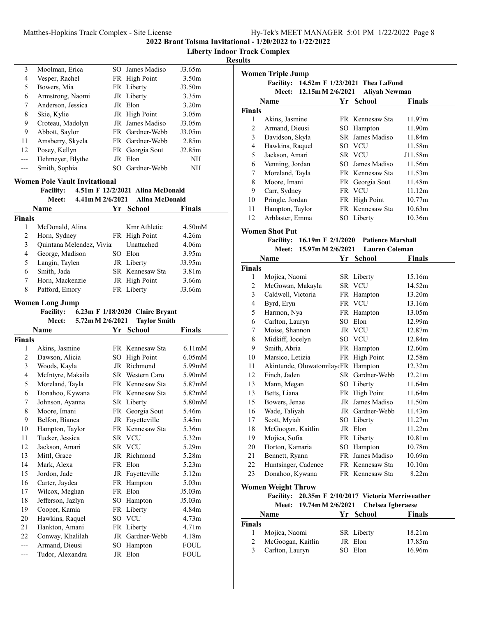# Matthes-Hopkins Track Complex - Site License

| Hy-Tek's MEET MANAGER 5:01 PM 1/22/2022 Page 8 |
|------------------------------------------------|
|------------------------------------------------|

**2022 Brant Tolsma Invitational - 1/20/2022 to 1/22/2022**

**Liberty Indoor Track Complex**

**Results**

| 3                       | Moolman, Erica                       |           | SO James Madiso                  | J3.65m              |
|-------------------------|--------------------------------------|-----------|----------------------------------|---------------------|
| 4                       | Vesper, Rachel                       |           | FR High Point                    | 3.50 <sub>m</sub>   |
| 5                       | Bowers, Mia                          |           | FR Liberty                       | J3.50m              |
| 6                       | Armstrong, Naomi                     |           | JR Liberty                       | 3.35m               |
| 7                       | Anderson, Jessica                    |           | JR Elon                          | 3.20 <sub>m</sub>   |
| 8                       | Skie, Kylie                          |           | JR High Point                    | 3.05 <sub>m</sub>   |
| 9                       | Croteau, Madolyn                     | JR        | James Madiso                     | J3.05m              |
| 9                       | Abbott, Saylor                       |           | FR Gardner-Webb                  | J3.05m              |
| 11                      | Amsberry, Skyela                     |           | FR Gardner-Webb                  | 2.85m               |
| 12                      | Posey, Kellyn                        | FR        | Georgia Sout                     | J2.85m              |
| ---                     | Hehmeyer, Blythe                     |           | JR Elon                          | NH                  |
|                         | Smith, Sophia                        |           | SO Gardner-Webb                  |                     |
| ---                     |                                      |           |                                  | NΗ                  |
|                         | <b>Women Pole Vault Invitational</b> |           |                                  |                     |
|                         | <b>Facility:</b>                     |           | 4.51m F 12/2/2021 Alina McDonald |                     |
|                         | 4.41m M 2/6/2021<br><b>Meet:</b>     |           | <b>Alina McDonald</b>            |                     |
|                         | Name                                 |           | Yr School                        | Finals              |
| <b>Finals</b>           |                                      |           |                                  |                     |
| 1                       | McDonald, Alina                      |           | Kmr Athletic                     | 4.50 <sub>m</sub> M |
| 2                       | Horn, Sydney                         | FR        | <b>High Point</b>                | 4.26m               |
| $\mathfrak{Z}$          | Quintana Melendez, Viviar            |           | Unattached                       | 4.06m               |
| $\overline{\mathbf{4}}$ | George, Madison                      |           | SO Elon                          | 3.95m               |
| 5                       | Langin, Taylen                       |           | JR Liberty                       | J3.95m              |
| 6                       | Smith, Jada                          |           | SR Kennesaw Sta                  | 3.81m               |
| 7                       | Horn, Mackenzie                      |           | JR High Point                    | 3.66m               |
| $\,$ 8 $\,$             | Pafford, Emory                       |           | FR Liberty                       | J3.66m              |
|                         |                                      |           |                                  |                     |
|                         | <b>Women Long Jump</b>               |           |                                  |                     |
|                         | <b>Facility:</b>                     |           | 6.23m F 1/18/2020 Claire Bryant  |                     |
|                         | Meet:<br>5.72m M 2/6/2021            |           | <b>Taylor Smith</b>              |                     |
|                         | Name                                 |           | Yr School                        | Finals              |
| <b>Finals</b>           |                                      |           |                                  |                     |
| 1                       | Akins, Jasmine                       |           | FR Kennesaw Sta                  | 6.11 <sub>m</sub> M |
| 2                       | Dawson, Alicia                       |           | SO High Point                    | 6.05 <sub>m</sub> M |
| $\mathfrak{Z}$          | Woods, Kayla                         |           | JR Richmond                      | 5.99mM              |
| $\overline{\mathbf{4}}$ | McIntyre, Makaila                    |           | SR Western Caro                  | 5.90mM              |
| 5                       | Moreland, Tayla                      |           | FR Kennesaw Sta                  | 5.87mM              |
| 6                       | Donahoo, Kywana                      |           | FR Kennesaw Sta                  | 5.82mM              |
| 7                       | Johnson, Ayanna                      |           | SR Liberty                       | 5.80mM              |
| 8                       | Moore, Imani                         |           | FR Georgia Sout                  | 5.46m               |
| 9                       | Belfon, Bianca                       |           | JR Fayetteville                  | 5.45m               |
| 10                      | Hampton, Taylor                      | FR        | Kennesaw Sta                     | 5.36m               |
| 11                      | Tucker, Jessica                      | SR        | <b>VCU</b>                       | 5.32m               |
| 12                      | Jackson, Amari                       | SR        | <b>VCU</b>                       | 5.29m               |
| 13                      | Mittl, Grace                         | JR        | Richmond                         | 5.28m               |
| 14                      | Mark, Alexa                          | FR        | Elon                             | 5.23m               |
| 15                      | Jordon, Jade                         | <b>JR</b> | Fayetteville                     | 5.12m               |
| 16                      | Carter, Jaydea                       | <b>FR</b> | Hampton                          | 5.03 <sub>m</sub>   |
| 17                      |                                      |           |                                  |                     |
|                         | Wilcox, Meghan                       | FR        | Elon                             | J5.03m              |
| 18                      | Jefferson, Jazlyn                    | SO        | Hampton                          | J5.03m              |
| 19                      | Cooper, Kamia                        | FR        | Liberty                          | 4.84m               |
| 20                      | Hawkins, Raquel                      | SO        | <b>VCU</b>                       | 4.73m               |
| 21                      | Hankton, Amani                       | FR        | Liberty                          | 4.71 <sub>m</sub>   |
| 22                      | Conway, Khalilah                     | JR        | Gardner-Webb                     | 4.18m               |
| ---                     | Armand, Dieusi                       | SO        | Hampton                          | <b>FOUL</b>         |

|                  | <b>Women Triple Jump</b>                                            |    |                          |         |
|------------------|---------------------------------------------------------------------|----|--------------------------|---------|
|                  | Facility: 14.52m F 1/23/2021 Thea LaFond<br>Meet: 12.15m M 2/6/2021 |    | <b>Aliyah Newman</b>     |         |
|                  | Name                                                                |    | Yr School                | Finals  |
| <b>Finals</b>    |                                                                     |    |                          |         |
| 1                | Akins, Jasmine                                                      |    | FR Kennesaw Sta          | 11.97m  |
| $\overline{c}$   | Armand, Dieusi                                                      |    | SO Hampton               | 11.90m  |
| 3                | Davidson, Skyla                                                     |    | SR James Madiso          | 11.84m  |
| $\overline{4}$   | Hawkins, Raquel                                                     |    | SO VCU                   | 11.58m  |
| 5                | Jackson, Amari                                                      |    | SR VCU                   | J11.58m |
| 6                | Venning, Jordan                                                     |    | SO James Madiso          | 11.56m  |
| $\boldsymbol{7}$ | Moreland, Tayla                                                     |    | FR Kennesaw Sta          | 11.53m  |
| 8                | Moore, Imani                                                        |    | FR Georgia Sout          | 11.48m  |
| 9                | Carr, Sydney                                                        |    | FR VCU                   | 11.12m  |
| 10               | Pringle, Jordan                                                     |    | FR High Point            | 10.77m  |
| 11               | Hampton, Taylor                                                     |    | FR Kennesaw Sta          | 10.63m  |
| 12               | Arblaster, Emma                                                     |    | SO Liberty               | 10.36m  |
|                  | <b>Women Shot Put</b>                                               |    |                          |         |
|                  | <b>Facility:</b><br>16.19m F 2/1/2020                               |    | <b>Patience Marshall</b> |         |
|                  | Meet:<br>15.97m M 2/6/2021                                          |    | <b>Lauren Coleman</b>    |         |
|                  | Name                                                                | Yr | School                   | Finals  |
| <b>Finals</b>    |                                                                     |    |                          |         |
| 1                | Mojica, Naomi                                                       |    | SR Liberty               | 15.16m  |
| $\overline{c}$   | McGowan, Makayla                                                    |    | SR VCU                   | 14.52m  |
| 3                | Caldwell, Victoria                                                  |    | FR Hampton               | 13.20m  |
| 4                | Byrd, Eryn                                                          |    | FR VCU                   | 13.16m  |
| 5                | Harmon, Nya                                                         |    | FR Hampton               | 13.05m  |
| 6                | Carlton, Lauryn                                                     |    | SO Elon                  | 12.99m  |
| 7                | Moise, Shannon                                                      |    | JR VCU                   | 12.87m  |
| 8                | Midkiff, Jocelyn                                                    |    | SO VCU                   | 12.84m  |
| 9                | Smith, Abria                                                        |    | FR Hampton               | 12.60m  |
| 10               | Marsico, Letizia                                                    |    | FR High Point            | 12.58m  |
| 11               | Akintunde, OluwatomilaycFR Hampton                                  |    |                          | 12.32m  |
| 12               | Finch, Jaden                                                        |    | SR Gardner-Webb          | 12.21m  |
| 13               | Mann, Megan                                                         |    | SO Liberty               | 11.64m  |
| 13               | Betts, Liana                                                        |    | FR High Point            | 11.64m  |
| 15               | Bowers, Jenae                                                       |    | JR James Madiso          | 11.50m  |
| 16               | Wade, Taliyah                                                       |    | JR Gardner-Webb          | 11.43m  |
| 17               | Scott, Myiah                                                        |    | SO Liberty               | 11.27m  |
| 18               | McGoogan, Kaitlin                                                   |    | JR Elon                  | 11.22m  |
| 19               | Mojica, Sofia                                                       |    | FR Liberty               | 10.81m  |
| 20               | Horton, Kamaria                                                     |    | SO Hampton               | 10.78m  |
| 21               | Bennett, Ryann                                                      | FR | James Madiso             | 10.69m  |
| 22               | Huntsinger, Cadence                                                 |    | FR Kennesaw Sta          | 10.10m  |
| 23               | Donahoo, Kywana                                                     |    | FR Kennesaw Sta          | 8.22m   |
|                  | <b>Women Weight Throw</b>                                           |    |                          |         |
|                  | Facility: 20.35m F 2/10/2017 Victoria Merriweather                  |    |                          |         |
|                  | 19.74m M 2/6/2021<br><b>Meet:</b>                                   |    | <b>Chelsea Igberaese</b> |         |
|                  | Name                                                                |    | Yr School                | Finals  |
| <b>Finals</b>    |                                                                     |    |                          |         |
| 1                | Mojica, Naomi                                                       |    | SR Liberty               | 18.21m  |
| 2                | McGoogan, Kaitlin                                                   |    | JR Elon                  | 17.85m  |
| 3                | Carlton, Lauryn                                                     |    | SO Elon                  | 16.96m  |

3 Carlton, Lauryn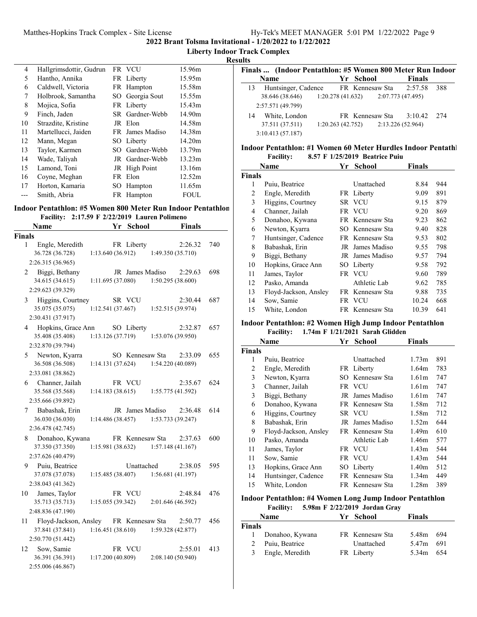**Liberty Indoor Track Complex**

## **Results**

| 4  | Hallgrimsdottir, Gudrun | FR VCU          | 15.96m |
|----|-------------------------|-----------------|--------|
| 5  | Hantho, Annika          | FR Liberty      | 15.95m |
| 6  | Caldwell, Victoria      | FR Hampton      | 15.58m |
| 7  | Holbrook, Samantha      | SO Georgia Sout | 15.55m |
| 8  | Mojica, Sofia           | FR Liberty      | 15.43m |
| 9  | Finch, Jaden            | SR Gardner-Webb | 14.90m |
| 10 | Strazdite, Kristine     | JR Elon         | 14.58m |
| 11 | Martellucci, Jaiden     | FR James Madiso | 14.38m |
| 12 | Mann, Megan             | SO Liberty      | 14.20m |
| 13 | Taylor, Karmen          | SO Gardner-Webb | 13.79m |
| 14 | Wade, Taliyah           | JR Gardner-Webb | 13.23m |
| 15 | Lamond, Toni            | JR High Point   | 13.16m |
| 16 | Coyne, Meghan           | FR Elon         | 12.52m |
| 17 | Horton, Kamaria         | SO Hampton      | 11.65m |
|    | Smith, Abria            | FR Hampton      | FOUL   |

#### **Indoor Pentathlon: #5 Women 800 Meter Run Indoor Pentathlon Facility:** 2:17.59 **F** 2/22/2019 Lauren Polimeno

| <b>Name</b>                                                                              |                                | Yr School       |                                                  | <b>Finals</b>  |
|------------------------------------------------------------------------------------------|--------------------------------|-----------------|--------------------------------------------------|----------------|
| <b>Finals</b>                                                                            |                                |                 |                                                  |                |
| Engle, Meredith<br>$\mathbf{1}$<br>36.728 (36.728)                                       | 1:13.640(36.912)               | FR Liberty      | 2:26.32<br>1:49.350 (35.710)                     | 740            |
| 2:26.315 (36.965)                                                                        |                                |                 |                                                  |                |
| 2 Biggi, Bethany<br>34.615 (34.615)<br>2:29.623 (39.329)                                 | 1:11.695(37.080)               | JR James Madiso | 2:29.63<br>1:50.295(38.600)                      | 698            |
| 3 Higgins, Courtney<br>35.075 (35.075)<br>2:30.431 (37.917)                              | 1:12.541(37.467)               | SR VCU          | 1:52.515 (39.974)                                | 2:30.44<br>687 |
| 4 Hopkins, Grace Ann<br>35.408 (35.408)<br>2:32.870 (39.794)                             | SO Liberty<br>1:13.126(37.719) |                 | 1:53.076 (39.950)                                | 2:32.87<br>657 |
| 5 Newton, Kyarra<br>36.508 (36.508)<br>2:33.081 (38.862)                                 | 1:14.131 (37.624)              | SO Kennesaw Sta | 2:33.09<br>1:54.220 (40.089)                     | 655            |
| 6 Channer, Jailah<br>35.568 (35.568)<br>2:35.666 (39.892)                                | 1:14.183(38.615)               | FR VCU          | 1:55.775 (41.592)                                | 624<br>2:35.67 |
| 7 Babashak, Erin<br>36.030 (36.030)<br>2:36.478 (42.745)                                 | 1:14.486(38.457)               | JR James Madiso | 2:36.48<br>1:53.733 (39.247)                     | 614            |
| 8 Donahoo, Kywana<br>37.350 (37.350)<br>2:37.626 (40.479)                                |                                | FR Kennesaw Sta | 2:37.63<br>$1:15.981(38.632)$ $1:57.148(41.167)$ | 600            |
| 9 Puiu, Beatrice<br>37.078 (37.078)<br>2:38.043 (41.362)                                 | 1:15.485 (38.407)              | Unattached      | 2:38.05<br>1:56.681 (41.197)                     | 595            |
| James, Taylor<br>10<br>35.713 (35.713)<br>2:48.836 (47.190)                              | 1:15.055(39.342)               | FR VCU          | 2:01.646 (46.592)                                | 476<br>2:48.84 |
| 11 Floyd-Jackson, Ansley FR Kennesaw Sta 2:50.77<br>37.841 (37.841)<br>2:50.770 (51.442) | 1:16.451 (38.610)              |                 | 1:59.328 (42.877)                                | 456            |
| Sow, Samie<br>12<br>36.391 (36.391)<br>2:55.006 (46.867)                                 | 1:17.200(40.809)               | FR VCU          | 2:55.01<br>2:08.140 (50.940)                     | 413            |

|    | Finals  (Indoor Pentathlon: #5 Women 800 Meter Run Indoor |                  |                 |                   |       |
|----|-----------------------------------------------------------|------------------|-----------------|-------------------|-------|
|    | Name                                                      |                  | Yr School       | <b>Finals</b>     |       |
| 13 | Huntsinger, Cadence FR Kennesaw Sta 2:57.58               |                  |                 |                   | 388   |
|    | 38.646 (38.646) 1:20.278 (41.632) 2:07.773 (47.495)       |                  |                 |                   |       |
|    | 2:57.571 (49.799)                                         |                  |                 |                   |       |
| 14 | White, London                                             |                  | FR Kennesaw Sta | 3:10.42           | - 274 |
|    | 37.511 (37.511)                                           | 1:20.263(42.752) |                 | 2:13.226 (52.964) |       |
|    | 3:10.413(57.187)                                          |                  |                 |                   |       |

#### **Indoor Pentathlon: #1 Women 60 Meter Hurdles Indoor Pentathl Facility:** 8.57 **F** 1/25/2019 Beatrice Puiu

|               | Name                  | Yr | <b>School</b>   | <b>Finals</b> |     |
|---------------|-----------------------|----|-----------------|---------------|-----|
| <b>Finals</b> |                       |    |                 |               |     |
| 1             | Puiu, Beatrice        |    | Unattached      | 8.84          | 944 |
| 2             | Engle, Meredith       |    | FR Liberty      | 9.09          | 891 |
| 3             | Higgins, Courtney     |    | SR VCU          | 9.15          | 879 |
| 4             | Channer, Jailah       |    | FR VCU          | 9.20          | 869 |
| 5             | Donahoo, Kywana       |    | FR Kennesaw Sta | 9.23          | 862 |
| 6             | Newton, Kyarra        |    | SO Kennesaw Sta | 9.40          | 828 |
| 7             | Huntsinger, Cadence   |    | FR Kennesaw Sta | 9.53          | 802 |
| 8             | Babashak, Erin        |    | JR James Madiso | 9.55          | 798 |
| 9             | Biggi, Bethany        |    | JR James Madiso | 9.57          | 794 |
| 10            | Hopkins, Grace Ann    |    | SO Liberty      | 9.58          | 792 |
| 11            | James, Taylor         |    | FR VCU          | 9.60          | 789 |
| 12            | Pasko, Amanda         |    | Athletic Lab    | 9.62          | 785 |
| 13            | Floyd-Jackson, Ansley | FR | Kennesaw Sta    | 9.88          | 735 |
| 14            | Sow, Samie            |    | FR VCU          | 10.24         | 668 |
| 15            | White, London         |    | FR Kennesaw Sta | 10.39         | 641 |

#### **Indoor Pentathlon: #2 Women High Jump Indoor Pentathlon Facility:** 1.74m F 1/21/2021 Sarah Glidden

|               | Name                  | Yr | <b>School</b>   | <b>Finals</b>     |     |
|---------------|-----------------------|----|-----------------|-------------------|-----|
| <b>Finals</b> |                       |    |                 |                   |     |
| 1             | Puiu, Beatrice        |    | Unattached      | 1.73m             | 891 |
| 2             | Engle, Meredith       |    | FR Liberty      | 1.64m             | 783 |
| 3             | Newton, Kyarra        |    | SO Kennesaw Sta | 1.61 <sub>m</sub> | 747 |
| 3             | Channer, Jailah       |    | FR VCU          | 1.61m             | 747 |
| 3             | Biggi, Bethany        | JR | James Madiso    | 1.61m             | 747 |
| 6             | Donahoo, Kywana       |    | FR Kennesaw Sta | 1.58m             | 712 |
| 6             | Higgins, Courtney     |    | SR VCU          | 1.58m             | 712 |
| 8             | Babashak, Erin        |    | JR James Madiso | 1.52m             | 644 |
| 9             | Floyd-Jackson, Ansley |    | FR Kennesaw Sta | 1.49 <sub>m</sub> | 610 |
| 10            | Pasko, Amanda         |    | Athletic Lab    | 1.46m             | 577 |
| 11            | James, Taylor         |    | FR VCU          | 1.43m             | 544 |
| 11            | Sow, Samie            |    | FR VCU          | 1.43m             | 544 |
| 13            | Hopkins, Grace Ann    |    | SO Liberty      | 1.40m             | 512 |
| 14            | Huntsinger, Cadence   |    | FR Kennesaw Sta | 1.34m             | 449 |
| 15            | White, London         |    | FR Kennesaw Sta | 1.28 <sub>m</sub> | 389 |

#### **Indoor Pentathlon: #4 Women Long Jump Indoor Pentathlon Facility:** 5.98m F 2/22/2019 Jordan Gray

|        | <b>Name</b>       | Yr School       | <b>Finals</b> |     |
|--------|-------------------|-----------------|---------------|-----|
| Finals |                   |                 |               |     |
|        | 1 Donahoo, Kywana | FR Kennesaw Sta | 5.48m 694     |     |
|        | 2 Puiu, Beatrice  | Unattached      | 5.47m 691     |     |
| 3      | Engle, Meredith   | FR Liberty      | 5.34m         | 654 |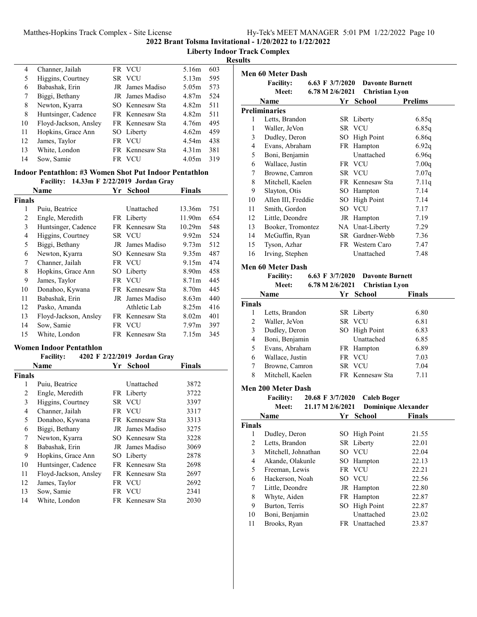# Matthes-Hopkins Track Complex - Site License

|  | Hy-Tek's MEET MANAGER 5:01 PM 1/22/2022 Page 10 |  |  |
|--|-------------------------------------------------|--|--|
|  |                                                 |  |  |

**2022 Brant Tolsma Invitational - 1/20/2022 to 1/22/2022**

**Liberty Indoor Track Complex**

**Results**

| 4  | Channer, Jailah       | FR VCU                 | 5.16m             | 603 |  |
|----|-----------------------|------------------------|-------------------|-----|--|
| 5  | Higgins, Courtney     | SR VCU                 | 5.13m             | 595 |  |
| 6  | Babashak, Erin        | JR James Madiso        | 5.05m             | 573 |  |
| 7  | Biggi, Bethany        | <b>IR</b> James Madiso | 4.87m             | 524 |  |
| 8  | Newton, Kyarra        | SO Kennesaw Sta        | 4.82m             | 511 |  |
| 8  | Huntsinger, Cadence   | FR Kennesaw Sta        | 4.82 <sub>m</sub> | 511 |  |
| 10 | Floyd-Jackson, Ansley | <b>FR</b> Kennesaw Sta | 4.76m             | 495 |  |
| 11 | Hopkins, Grace Ann    | SO Liberty             | 4.62m             | 459 |  |
| 12 | James, Taylor         | FR VCU                 | 4.54m             | 438 |  |
| 13 | White, London         | FR Kennesaw Sta        | 4.31 <sub>m</sub> | 381 |  |
| 14 | Sow, Samie            | FR VCU                 | 4.05m             | 319 |  |

# **Indoor Pentathlon: #3 Women Shot Put Indoor Pentathlon**

**Facility:** 14.33m **F** 2/22/2019 Jordan Gray **Name Vr** School **Finals** 

|                | Name                  | r r | SCHOOL          | r ınaıs           |     |
|----------------|-----------------------|-----|-----------------|-------------------|-----|
| <b>Finals</b>  |                       |     |                 |                   |     |
| 1              | Puiu, Beatrice        |     | Unattached      | 13.36m            | 751 |
| 2              | Engle, Meredith       |     | FR Liberty      | 11.90m            | 654 |
| 3              | Huntsinger, Cadence   |     | FR Kennesaw Sta | 10.29m            | 548 |
| $\overline{4}$ | Higgins, Courtney     |     | SR VCU          | 9.92m             | 524 |
| 5              | Biggi, Bethany        | JR  | James Madiso    | 9.73 <sub>m</sub> | 512 |
| 6              | Newton, Kyarra        |     | SO Kennesaw Sta | 9.35m             | 487 |
| 7              | Channer, Jailah       |     | FR VCU          | 9.15m             | 474 |
| 8              | Hopkins, Grace Ann    |     | SO Liberty      | 8.90m             | 458 |
| 9              | James, Taylor         |     | FR VCU          | 8.71 <sub>m</sub> | 445 |
| 10             | Donahoo, Kywana       |     | FR Kennesaw Sta | 8.70m             | 445 |
| 11             | Babashak, Erin        | JR  | James Madiso    | 8.63 <sub>m</sub> | 440 |
| 12             | Pasko, Amanda         |     | Athletic Lab    | 8.25m             | 416 |
| 13             | Floyd-Jackson, Ansley |     | FR Kennesaw Sta | 8.02m             | 401 |
| 14             | Sow, Samie            |     | FR VCU          | 7.97 <sub>m</sub> | 397 |
| 15             | White, London         |     | FR Kennesaw Sta | 7.15m             | 345 |
|                |                       |     |                 |                   |     |

## **Women Indoor Pentathlon**

# Facility: 4202 F 2/22/2019 Jordan Gray

|               | Name                  | Yr School              | Finals |
|---------------|-----------------------|------------------------|--------|
| <b>Finals</b> |                       |                        |        |
| 1             | Puiu, Beatrice        | <b>Unattached</b>      | 3872   |
| 2             | Engle, Meredith       | FR Liberty             | 3722   |
| 3             | Higgins, Courtney     | SR VCU                 | 3397   |
| 4             | Channer, Jailah       | FR VCU                 | 3317   |
| 5             | Donahoo, Kywana       | FR Kennesaw Sta        | 3313   |
| 6             | Biggi, Bethany        | JR James Madiso        | 3275   |
| 7             | Newton, Kyarra        | SO Kennesaw Sta        | 3228   |
| 8             | Babashak, Erin        | <b>IR</b> James Madiso | 3069   |
| 9             | Hopkins, Grace Ann    | SO Liberty             | 2878   |
| 10            | Huntsinger, Cadence   | FR Kennesaw Sta        | 2698   |
| 11            | Floyd-Jackson, Ansley | FR Kennesaw Sta        | 2697   |
| 12            | James, Taylor         | FR VCU                 | 2692   |
| 13            | Sow, Samie            | FR VCU                 | 2341   |
| 14            | White, London         | FR Kennesaw Sta        | 2030   |

|    | Men 60 Meter Dash<br><b>Facility:</b> | 6.63 F $3/7/2020$ | <b>Davonte Burnett</b> |                |
|----|---------------------------------------|-------------------|------------------------|----------------|
|    | <b>Meet:</b>                          | 6.78 M 2/6/2021   | <b>Christian Lyon</b>  |                |
|    | Name                                  | Yr                | <b>School</b>          | <b>Prelims</b> |
|    | <b>Preliminaries</b>                  |                   |                        |                |
| 1  | Letts, Brandon                        |                   | SR Liberty             | 6.85q          |
| 1  | Waller, JeVon                         |                   | SR VCU                 | 6.85q          |
| 3  | Dudley, Deron                         | SO                | High Point             | 6.86q          |
| 4  | Evans, Abraham                        |                   | FR Hampton             | 6.92q          |
| 5  | Boni, Benjamin                        |                   | Unattached             | 6.96q          |
| 6  | Wallace, Justin                       |                   | FR VCU                 | 7.00q          |
| 7  | Browne, Camron                        |                   | SR VCU                 | 7.07q          |
| 8  | Mitchell, Kaelen                      |                   | FR Kennesaw Sta        | 7.11q          |
| 9  | Slayton, Otis                         | SO                | Hampton                | 7.14           |
| 10 | Allen III, Freddie                    | SO                | High Point             | 7.14           |
| 11 | Smith, Gordon                         |                   | SO VCU                 | 7.17           |
| 12 | Little, Deondre                       |                   | JR Hampton             | 7.19           |
| 13 | Booker, Tromontez                     |                   | NA Unat-Liberty        | 7.29           |
| 14 | McGuffin, Ryan                        | SR -              | Gardner-Webb           | 7.36           |
| 15 | Tyson, Azhar                          |                   | FR Western Caro        | 7.47           |
| 16 | Irving, Stephen                       |                   | Unattached             | 7.48           |
|    | Men 60 Meter Dash                     |                   |                        |                |
|    | <b>Facility:</b>                      | 6.63 F $3/7/2020$ | <b>Davonte Burnett</b> |                |
|    | Meet:                                 | 6.78 M 2/6/2021   | Christian Lyon         |                |

|                | Name                                 | Yr  | <b>School</b>              | Finals |  |
|----------------|--------------------------------------|-----|----------------------------|--------|--|
| <b>Finals</b>  |                                      |     |                            |        |  |
| 1              | Letts, Brandon                       |     | SR Liberty                 | 6.80   |  |
| $\overline{2}$ | Waller, JeVon                        |     | SR VCU                     | 6.81   |  |
| 3              | Dudley, Deron                        | SO  | <b>High Point</b>          | 6.83   |  |
| 4              | Boni, Benjamin                       |     | Unattached                 | 6.85   |  |
| 5              | Evans, Abraham                       |     | FR Hampton                 | 6.89   |  |
| 6              | Wallace, Justin                      |     | FR VCU                     | 7.03   |  |
| 7              | Browne, Camron                       |     | SR VCU                     | 7.04   |  |
| 8              | Mitchell, Kaelen                     |     | FR Kennesaw Sta            | 7.11   |  |
|                | Men 200 Meter Dash                   |     |                            |        |  |
|                | <b>Facility:</b><br>20.68 F 3/7/2020 |     | <b>Caleb Boger</b>         |        |  |
|                | 21.17 M 2/6/2021<br>Meet:            |     | <b>Dominique Alexander</b> |        |  |
|                | Name                                 |     | Yr School                  | Finals |  |
| <b>Finals</b>  |                                      |     |                            |        |  |
| 1              | Dudley, Deron                        | SO  | <b>High Point</b>          | 21.55  |  |
| 2              | Letts, Brandon                       |     | SR Liberty                 | 22.01  |  |
| 3              | Mitchell, Johnathan                  |     | SO VCU                     | 22.04  |  |
| 4              | Akande, Olakunle                     | SO. | Hampton                    | 22.13  |  |
| 5              | Freeman, Lewis                       |     | FR VCU                     | 22.21  |  |
| 6              | Hackerson, Noah                      |     | SO VCU                     | 22.56  |  |
| 7              | Little, Deondre                      | JR  | Hampton                    | 22.80  |  |
| 8              | Whyte, Aiden                         |     | FR Hampton                 | 22.87  |  |
| 9              | Burton, Terris                       | SO. | <b>High Point</b>          | 22.87  |  |
| 10             | Boni, Benjamin                       |     | Unattached                 | 23.02  |  |
| 11             | Brooks, Ryan                         |     | FR Unattached              | 23.87  |  |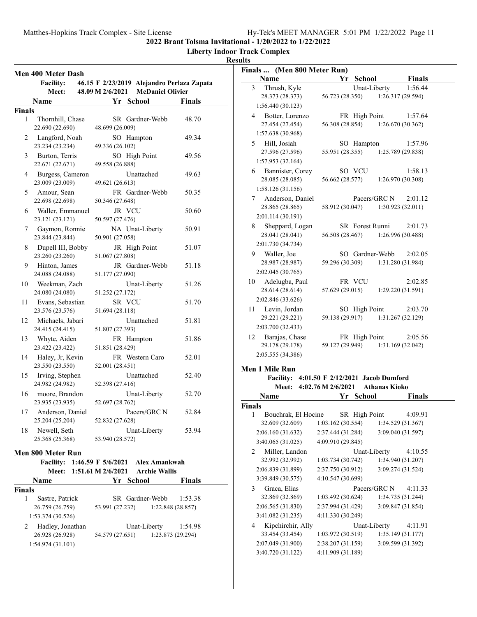**Liberty Indoor Track Complex**

# **Results**

|               | Men 400 Meter Dash                  |                    |    |        |                                  |                                            |
|---------------|-------------------------------------|--------------------|----|--------|----------------------------------|--------------------------------------------|
|               | <b>Facility:</b>                    |                    |    |        |                                  | 46.15 F 2/23/2019 Alejandro Perlaza Zapata |
|               | Meet:                               | 48.09 M 2/6/2021   |    |        | <b>McDaniel Olivier</b>          |                                            |
|               | Name                                |                    |    |        | Yr School                        | <b>Finals</b>                              |
| <b>Finals</b> |                                     |                    |    |        |                                  |                                            |
| 1             | Thornhill, Chase                    |                    |    |        | SR Gardner-Webb                  | 48.70                                      |
|               | 22.690 (22.690)                     | 48.699 (26.009)    |    |        |                                  |                                            |
| 2             | Langford, Noah                      |                    |    |        | SO Hampton                       | 49.34                                      |
|               | 23.234 (23.234)                     | 49.336 (26.102)    |    |        |                                  |                                            |
| 3             | Burton, Terris                      |                    |    |        | SO High Point                    | 49.56                                      |
|               | 22.671 (22.671)                     | 49.558 (26.888)    |    |        |                                  |                                            |
| 4             | Burgess, Cameron                    |                    |    |        | Unattached                       | 49.63                                      |
|               | 23.009 (23.009)                     | 49.621 (26.613)    |    |        |                                  |                                            |
| 5             | Amour, Sean<br>22.698 (22.698)      | 50.346 (27.648)    |    |        | FR Gardner-Webb                  | 50.35                                      |
| 6             |                                     |                    |    | JR VCU |                                  | 50.60                                      |
|               | Waller, Emmanuel<br>23.121 (23.121) | 50.597 (27.476)    |    |        |                                  |                                            |
| 7             | Gaymon, Ronnie                      |                    |    |        | NA Unat-Liberty                  | 50.91                                      |
|               | 23.844 (23.844)                     | 50.901 (27.058)    |    |        |                                  |                                            |
| 8             | Dupell III, Bobby                   |                    |    |        | JR High Point                    | 51.07                                      |
|               | 23.260 (23.260)                     | 51.067 (27.808)    |    |        |                                  |                                            |
| 9             | Hinton, James                       |                    |    |        | JR Gardner-Webb                  | 51.18                                      |
|               | 24.088 (24.088)                     | 51.177 (27.090)    |    |        |                                  |                                            |
| 10            | Weekman, Zach                       |                    |    |        | Unat-Liberty                     | 51.26                                      |
|               | 24.080 (24.080)                     | 51.252 (27.172)    |    |        |                                  |                                            |
| 11            | Evans, Sebastian                    |                    |    | SR VCU |                                  | 51.70                                      |
|               | 23.576 (23.576)                     | 51.694 (28.118)    |    |        |                                  |                                            |
| 12            | Michaels, Jabari                    |                    |    |        | Unattached                       | 51.81                                      |
| 13            | 24.415 (24.415)<br>Whyte, Aiden     | 51.807 (27.393)    |    |        |                                  | 51.86                                      |
|               | 23.422 (23.422)                     | 51.851 (28.429)    |    |        | FR Hampton                       |                                            |
| 14            | Haley, Jr, Kevin                    |                    |    |        | FR Western Caro                  | 52.01                                      |
|               | 23.550 (23.550)                     | 52.001 (28.451)    |    |        |                                  |                                            |
| 15            | Irving, Stephen                     |                    |    |        | Unattached                       | 52.40                                      |
|               | 24.982 (24.982)                     | 52.398 (27.416)    |    |        |                                  |                                            |
| 16            | moore, Brandon                      |                    |    |        | Unat-Liberty                     | 52.70                                      |
|               | 23.935 (23.935)                     | 52.697 (28.762)    |    |        |                                  |                                            |
| 17            | Anderson, Daniel                    |                    |    |        | Pacers/GRC N                     | 52.84                                      |
|               | 25.204 (25.204)                     | 52.832 (27.628)    |    |        |                                  |                                            |
| 18            | Newell, Seth                        |                    |    |        | Unat-Liberty                     | 53.94                                      |
|               | 25.368 (25.368)                     | 53.940 (28.572)    |    |        |                                  |                                            |
|               | Men 800 Meter Run                   |                    |    |        |                                  |                                            |
|               | <b>Facility:</b>                    |                    |    |        | 1:46.59 F 5/6/2021 Alex Amankwah |                                            |
|               | <b>Meet:</b>                        | 1:51.61 M 2/6/2021 |    |        | <b>Archie Wallis</b>             |                                            |
|               | Name                                |                    | Yr |        | – School                         | Finals                                     |
| <b>Finals</b> |                                     |                    |    |        |                                  |                                            |
| 1             | Sastre, Patrick<br>26.759 (26.759)  | 53.991 (27.232)    |    |        | SR Gardner-Webb                  | 1:53.38<br>1:22.848 (28.857)               |
|               |                                     |                    |    |        |                                  |                                            |

| 1:53.374(30.526) |                 |              |                   |         |
|------------------|-----------------|--------------|-------------------|---------|
| Hadley, Jonathan |                 | Unat-Liberty |                   | 1:54.98 |
| 26.928 (26.928)  | 54.579 (27.651) |              | 1:23.873 (29.294) |         |
| 1:54.974(31.101) |                 |              |                   |         |

| Finals  (Men 800 Meter Run)       |                 |                   |
|-----------------------------------|-----------------|-------------------|
| Name                              | Yr School       | <b>Finals</b>     |
| $\overline{3}$<br>Thrush, Kyle    | Unat-Liberty    | 1:56.44           |
| 28.373 (28.373)                   | 56.723 (28.350) | 1:26.317 (29.594) |
| 1:56.440 (30.123)                 |                 |                   |
| Botter, Lorenzo<br>$\overline{4}$ | FR High Point   | 1:57.64           |
| 27.454 (27.454)                   | 56.308 (28.854) | 1:26.670(30.362)  |
| 1:57.638 (30.968)                 |                 |                   |
| Hill, Josiah<br>5 <sup>7</sup>    | SO Hampton      | 1:57.96           |
| 27.596 (27.596)                   | 55.951 (28.355) | 1:25.789 (29.838) |
| 1:57.953 (32.164)                 |                 |                   |
| Bannister, Corey<br>6             | SO VCU          | 1:58.13           |
| 28.085 (28.085)                   | 56.662 (28.577) | 1:26.970 (30.308) |
| 1:58.126(31.156)                  |                 |                   |
| Anderson, Daniel<br>$7\degree$    | Pacers/GRC N    | 2:01.12           |
| 28.865 (28.865)                   | 58.912 (30.047) | 1:30.923(32.011)  |
| 2:01.114 (30.191)                 |                 |                   |
| Sheppard, Logan<br>8              | SR Forest Runni | 2:01.73           |
| 28.041 (28.041)                   | 56.508 (28.467) | 1:26.996 (30.488) |
| 2:01.730 (34.734)                 |                 |                   |
| Waller, Joe<br>9                  | SO Gardner-Webb | 2:02.05           |
| 28.987 (28.987)                   | 59.296 (30.309) | 1:31.280 (31.984) |
| 2:02.045 (30.765)                 |                 |                   |
| Adelugba, Paul<br>10              | FR VCU          | 2:02.85           |
| 28.614 (28.614)                   | 57.629 (29.015) | 1:29.220 (31.591) |
| 2:02.846 (33.626)                 |                 |                   |
| Levin, Jordan<br>$11 -$           | SO High Point   | 2:03.70           |
| 29.221 (29.221)                   | 59.138 (29.917) | 1:31.267 (32.129) |
| 2:03.700 (32.433)                 |                 |                   |
| Barajas, Chase<br>12              | FR High Point   | 2:05.56           |
| 29.178 (29.178)                   | 59.127 (29.949) | 1:31.169 (32.042) |
| 2:05.555 (34.386)                 |                 |                   |
|                                   |                 |                   |

## **Men 1 Mile Run**

**Facility:** 4:01.50 F 2/12/2021 Jacob Dumford **Meet: 4:02.76 M 2/6/2021 Athanas Kioko**

| <b>Name</b>                  |                   | Yr | <b>School</b> |                   | <b>Finals</b> |
|------------------------------|-------------------|----|---------------|-------------------|---------------|
| <b>Finals</b>                |                   |    |               |                   |               |
| Bouchrak, El Hocine<br>1     |                   |    |               | SR High Point     | 4:09.91       |
| 32.609 (32.609)              | 1:03.162(30.554)  |    |               | 1:34.529 (31.367) |               |
| 2:06.160(31.632)             | 2:37.444 (31.284) |    |               | 3:09.040 (31.597) |               |
| 3:40.065 (31.025)            | 4:09.910 (29.845) |    |               |                   |               |
| Miller, Landon<br>2          |                   |    |               | Unat-Liberty      | 4:10.55       |
| 32.992 (32.992)              | 1:03.734(30.742)  |    |               | 1:34.940 (31.207) |               |
| 2:06.839 (31.899)            | 2:37.750 (30.912) |    |               | 3:09.274 (31.524) |               |
| 3:39.849 (30.575)            | 4:10.547 (30.699) |    |               |                   |               |
| $\mathbf{3}$<br>Graca, Elias |                   |    |               | Pacers/GRC N      | 4:11.33       |
| 32.869 (32.869)              | 1:03.492(30.624)  |    |               | 1:34.735 (31.244) |               |
| 2:06.565 (31.830)            | 2:37.994 (31.429) |    |               | 3:09.847 (31.854) |               |
| 3:41.082 (31.235)            | 4:11.330 (30.249) |    |               |                   |               |
| Kipchirchir, Ally<br>4       |                   |    |               | Unat-Liberty      | 4:11.91       |
| 33.454 (33.454)              | 1:03.972(30.519)  |    |               | 1:35.149(31.177)  |               |
| 2:07.049 (31.900)            | 2:38.207 (31.159) |    |               | 3:09.599 (31.392) |               |
| 3:40.720 (31.122)            | 4:11.909 (31.189) |    |               |                   |               |
|                              |                   |    |               |                   |               |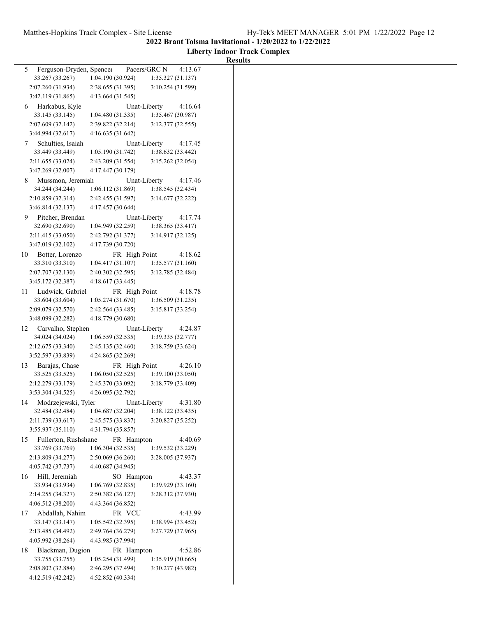**Liberty Indoor Track Complex**

|                                                                                                             | <b>Results</b> |
|-------------------------------------------------------------------------------------------------------------|----------------|
| Ferguson-Dryden, Spencer<br>Pacers/GRC N<br>4:13.67<br>5                                                    |                |
| 33.267 (33.267)<br>1:04.190(30.924)<br>1:35.327 (31.137)                                                    |                |
| 2:38.655 (31.395)<br>3:10.254 (31.599)<br>2:07.260 (31.934)                                                 |                |
| 3:42.119 (31.865)<br>4:13.664(31.545)                                                                       |                |
| Unat-Liberty<br>4:16.64<br>Harkabus, Kyle<br>6                                                              |                |
| 1:35.467 (30.987)<br>33.145 (33.145)<br>1:04.480(31.335)                                                    |                |
| 2:07.609 (32.142)<br>3:12.377 (32.555)<br>2:39.822 (32.214)                                                 |                |
| 3:44.994 (32.617)<br>4:16.635(31.642)                                                                       |                |
| Unat-Liberty<br>Schulties, Isaiah<br>4:17.45<br>7                                                           |                |
| 33.449 (33.449)<br>1:38.632 (33.442)<br>1:05.190(31.742)                                                    |                |
| 3:15.262 (32.054)<br>2:11.655 (33.024)<br>2:43.209 (31.554)                                                 |                |
| 3:47.269 (32.007)<br>4:17.447 (30.179)                                                                      |                |
| Mussmon, Jeremiah<br>Unat-Liberty<br>4:17.46<br>8                                                           |                |
| 1:06.112 (31.869)<br>1:38.545 (32.434)<br>34.244 (34.244)                                                   |                |
| 2:10.859 (32.314)<br>2:42.455 (31.597)<br>3:14.677 (32.222)                                                 |                |
| 3:46.814 (32.137)<br>4:17.457 (30.644)                                                                      |                |
| Pitcher, Brendan<br>9<br>Unat-Liberty<br>4:17.74                                                            |                |
| 32.690 (32.690)<br>1:38.365(33.417)<br>1:04.949(32.259)                                                     |                |
| 2:11.415 (33.050)<br>3:14.917(32.125)<br>2:42.792 (31.377)                                                  |                |
| 3:47.019 (32.102)<br>4:17.739 (30.720)                                                                      |                |
| Botter, Lorenzo<br>4:18.62<br>10<br>FR High Point                                                           |                |
| 33.310 (33.310)<br>1:35.577(31.160)<br>1:04.417(31.107)                                                     |                |
| 2:07.707 (32.130)<br>2:40.302 (32.595)<br>3:12.785 (32.484)                                                 |                |
| 3:45.172 (32.387)<br>4:18.617(33.445)                                                                       |                |
| Ludwick, Gabriel<br>4:18.78<br>11<br>FR High Point                                                          |                |
| 33.604 (33.604)<br>1:05.274(31.670)<br>1:36.509(31.235)                                                     |                |
| 2:42.564 (33.485)<br>3:15.817 (33.254)<br>2:09.079 (32.570)                                                 |                |
| 4:18.779 (30.680)<br>3:48.099 (32.282)                                                                      |                |
| Carvalho, Stephen<br>Unat-Liberty<br>12<br>4:24.87                                                          |                |
| 34.024 (34.024)<br>1:39.335(32.777)<br>1:06.559(32.535)                                                     |                |
| 3:18.759 (33.624)<br>2:12.675 (33.340)<br>2:45.135 (32.460)                                                 |                |
| 3:52.597 (33.839)<br>4:24.865 (32.269)                                                                      |                |
| Barajas, Chase<br>4:26.10<br>FR High Point<br>13<br>1:39.100(33.050)<br>33.525 (33.525)<br>1:06.050(32.525) |                |
| 3:18.779 (33.409)<br>2:12.279 (33.179)<br>2:45.370 (33.092)                                                 |                |
| 3:53.304 (34.525)<br>4:26.095 (32.792)                                                                      |                |
| Modrzejewski, Tyler<br>Unat-Liberty<br>4:31.80<br>14                                                        |                |
| 32.484 (32.484)<br>1:04.687 (32.204)<br>1:38.122 (33.435)                                                   |                |
| 2:11.739 (33.617)<br>2:45.575 (33.837)<br>3:20.827 (35.252)                                                 |                |
| 3:55.937 (35.110)<br>4:31.794 (35.857)                                                                      |                |
| Fullerton, Rushshane<br>FR Hampton<br>4:40.69<br>15                                                         |                |
| 33.769 (33.769)<br>1:06.304(32.535)<br>1:39.532 (33.229)                                                    |                |
| 2:13.809 (34.277)<br>2:50.069 (36.260)<br>3:28.005 (37.937)                                                 |                |
| 4:40.687 (34.945)<br>4:05.742 (37.737)                                                                      |                |
| Hill, Jeremiah<br>SO Hampton<br>4:43.37<br>16                                                               |                |
| 33.934 (33.934)<br>1:06.769 (32.835)<br>1:39.929 (33.160)                                                   |                |
| 2:14.255 (34.327)<br>3:28.312 (37.930)<br>2:50.382 (36.127)                                                 |                |
| 4:06.512 (38.200)<br>4:43.364 (36.852)                                                                      |                |
| Abdallah, Nahim<br>4:43.99<br>FR VCU<br>17                                                                  |                |
| 33.147 (33.147)<br>1:05.542(32.395)<br>1:38.994 (33.452)                                                    |                |
| 2:13.485 (34.492)<br>3:27.729 (37.965)<br>2:49.764 (36.279)                                                 |                |
| 4:05.992 (38.264)<br>4:43.985 (37.994)                                                                      |                |
| Blackman, Dugion<br>FR Hampton<br>4:52.86<br>18                                                             |                |
| 33.755 (33.755)<br>1:05.254 (31.499)<br>1:35.919 (30.665)                                                   |                |
| 2:08.802 (32.884)<br>2:46.295 (37.494)<br>3:30.277 (43.982)                                                 |                |
| 4:12.519 (42.242)<br>4:52.852 (40.334)                                                                      |                |
|                                                                                                             |                |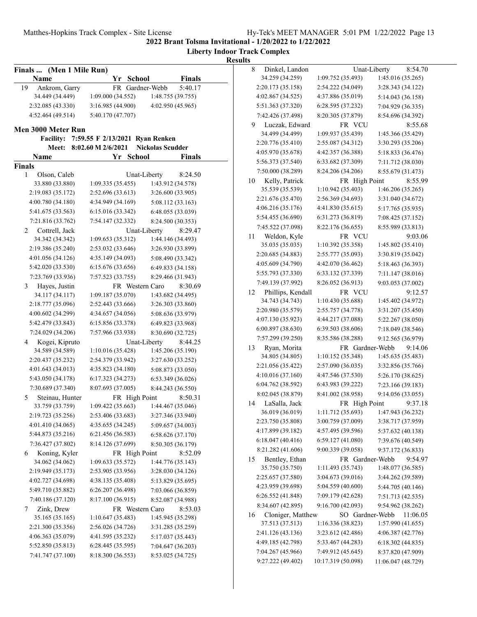**Liberty Indoor Track Complex**

| Finals  (Men 1 Mile Run) |                                 |                         |
|--------------------------|---------------------------------|-------------------------|
| Name                     | Yr School                       | <b>Finals</b>           |
| 19<br>Ankrom, Garry      | FR Gardner-Webb                 | 5:40.17                 |
| 34.449 (34.449)          | 1:09.000(34.552)                | 1:48.755 (39.755)       |
| 2:32.085 (43.330)        | 3:16.985 (44.900)               | 4:02.950 (45.965)       |
| 4:52.464 (49.514)        | 5:40.170 (47.707)               |                         |
| Men 3000 Meter Run       |                                 |                         |
| <b>Facility:</b>         | 7:59.55 F 2/13/2021 Ryan Renken |                         |
| Meet:                    | 8:02.60 M 2/6/2021              | <b>Nickolas Scudder</b> |
| Name                     | Yr<br><b>School</b>             | <b>Finals</b>           |
| <b>Finals</b>            |                                 |                         |
| 1<br>Olson, Caleb        | Unat-Liberty                    | 8:24.50                 |
| 33.880 (33.880)          | 1:09.335(35.455)                | 1:43.912 (34.578)       |
| 2:19.083 (35.172)        | 2:52.696 (33.613)               | 3:26.600 (33.905)       |
| 4:00.780 (34.180)        | 4:34.949 (34.169)               | 5:08.112 (33.163)       |
| 5:41.675 (33.563)        | 6:15.016 (33.342)               | 6:48.055 (33.039)       |
| 7:21.816 (33.762)        | 7:54.147 (32.332)               | 8:24.500 (30.353)       |
| Cottrell, Jack<br>2      | Unat-Liberty                    | 8:29.47                 |
| 34.342 (34.342)          | 1:09.653(35.312)                | 1:44.146 (34.493)       |
| 2:19.386 (35.240)        | 2:53.032 (33.646)               | 3:26.930 (33.899)       |
| 4:01.056 (34.126)        | 4:35.149 (34.093)               | 5:08.490 (33.342)       |
| 5:42.020 (33.530)        | 6:15.676 (33.656)               | 6:49.833 (34.158)       |
| 7:23.769 (33.936)        | 7:57.523 (33.755)               | 8:29.466 (31.943)       |
| Hayes, Justin<br>3       | FR Western Caro                 | 8:30.69                 |
| 34.117 (34.117)          | 1:09.187 (35.070)               | 1:43.682 (34.495)       |
| 2:18.777 (35.096)        | 2:52.443 (33.666)               | 3:26.303 (33.860)       |
| 4:00.602 (34.299)        | 4:34.657 (34.056)               | 5:08.636 (33.979)       |
| 5:42.479 (33.843)        | 6:15.856 (33.378)               | 6:49.823 (33.968)       |
| 7:24.029 (34.206)        | 7:57.966 (33.938)               | 8:30.690 (32.725)       |
| Kogei, Kipruto<br>4      | Unat-Liberty                    | 8:44.25                 |
| 34.589 (34.589)          | 1:10.016(35.428)                | 1:45.206 (35.190)       |
| 2:20.437 (35.232)        | 2:54.379 (33.942)               | 3:27.630 (33.252)       |
| 4:01.643 (34.013)        | 4:35.823 (34.180)               | 5:08.873 (33.050)       |
| 5:43.050 (34.178)        | 6:17.323 (34.273)               | 6:53.349 (36.026)       |
| 7:30.689 (37.340)        | 8:07.693 (37.005)               | 8:44.243 (36.550)       |
| Steinau, Hunter<br>5     | FR High Point                   | 8:50.31                 |
| 33.759 (33.759)          | 1:09.422 (35.663)               | 1:44.467 (35.046)       |
| 2:19.723 (35.256)        | 2:53.406 (33.683)               | 3:27.346 (33.940)       |
| 4:01.410 (34.065)        | 4:35.655 (34.245)               | 5:09.657 (34.003)       |
| 5:44.873 (35.216)        | 6:21.456 (36.583)               | 6:58.626 (37.170)       |
| 7:36.427 (37.802)        | 8:14.126 (37.699)               | 8:50.305 (36.179)       |
| 6<br>Koning, Kyler       | FR High Point                   | 8:52.09                 |
| 34.062 (34.062)          | 1:09.633(35.572)                | 1:44.776 (35.143)       |
| 2:19.949 (35.173)        | 2:53.905 (33.956)               | 3:28.030 (34.126)       |
| 4:02.727 (34.698)        | 4:38.135 (35.408)               | 5:13.829 (35.695)       |
| 5:49.710 (35.882)        | 6:26.207 (36.498)               | 7:03.066 (36.859)       |
| 7:40.186 (37.120)        | 8:17.100 (36.915)               | 8:52.087 (34.988)       |
| 7<br>Zink, Drew          | FR Western Caro                 | 8:53.03                 |
| 35.165 (35.165)          | 1:10.647(35.483)                | 1:45.945 (35.298)       |
| 2:21.300 (35.356)        | 2:56.026 (34.726)               | 3:31.285 (35.259)       |
| 4:06.363 (35.079)        | 4:41.595 (35.232)               | 5:17.037 (35.443)       |
| 5:52.850 (35.813)        | 6:28.445 (35.595)               | 7:04.647 (36.203)       |
| 7:41.747 (37.100)        | 8:18.300 (36.553)               | 8:53.025 (34.725)       |

| 34.259 (34.259)<br>1:09.752 (35.493)<br>1:45.016 (35.265)<br>2:20.173 (35.158)<br>2:54.222 (34.049)<br>3:28.343 (34.122)<br>4:02.867 (34.525)<br>4:37.886 (35.019)<br>5:14.043 (36.158)<br>5:51.363 (37.320)<br>6:28.595 (37.232)<br>7:04.929 (36.335)<br>7:42.426 (37.498)<br>8:20.305 (37.879)<br>8:54.696 (34.392)<br>Luczak, Edward<br>8:55.68<br>9<br>FR VCU<br>34.499 (34.499)<br>1:09.937 (35.439)<br>1:45.366 (35.429)<br>2:20.776 (35.410)<br>2:55.087 (34.312)<br>3:30.293 (35.206)<br>4:05.970 (35.678)<br>4:42.357 (36.388)<br>5:18.833 (36.476)<br>5:56.373 (37.540)<br>6:33.682 (37.309)<br>7:11.712 (38.030)<br>7:50.000 (38.289)<br>8:24.206 (34.206)<br>8:55.679 (31.473)<br>Kelly, Patrick<br>8:55.99<br>FR High Point<br>10<br>35.539 (35.539)<br>1:10.942 (35.403)<br>1:46.206 (35.265)<br>2:21.676 (35.470)<br>2:56.369 (34.693)<br>3:31.040 (34.672)<br>4:06.216 (35.176)<br>4:41.830 (35.615)<br>5:17.765 (35.935)<br>5:54.455 (36.690)<br>6:31.273 (36.819)<br>7:08.425 (37.152)<br>7:45.522 (37.098)<br>8:22.176 (36.655)<br>8:55.989 (33.813)<br>Weldon, Kyle<br>FR VCU<br>9:03.06<br>11<br>35.035 (35.035)<br>1:10.392 (35.358)<br>1:45.802 (35.410)<br>2:20.685 (34.883)<br>2:55.777 (35.093)<br>3:30.819 (35.042)<br>4:05.609 (34.790)<br>4:42.070 (36.462)<br>5:18.463 (36.393)<br>5:55.793 (37.330)<br>6:33.132 (37.339)<br>7:11.147 (38.016)<br>7:49.139 (37.992)<br>8:26.052 (36.913)<br>9:03.053 (37.002)<br>Phillips, Kendall<br>FR VCU<br>9:12.57<br>12<br>34.743 (34.743)<br>1:45.402 (34.972)<br>1:10.430(35.688)<br>2:20.980 (35.579)<br>2:55.757 (34.778)<br>3:31.207 (35.450)<br>4:07.130 (35.923)<br>4:44.217 (37.088)<br>5:22.267 (38.050)<br>6:00.897 (38.630)<br>6:39.503 (38.606)<br>7:18.049 (38.546)<br>7:57.299 (39.250)<br>8:35.586 (38.288)<br>9:12.565 (36.979)<br>Ryan, Morita<br>FR Gardner-Webb<br>13<br>9:14.06<br>34.805 (34.805)<br>1:10.152(35.348)<br>1:45.635 (35.483)<br>2:21.056 (35.422)<br>2:57.090 (36.035)<br>3:32.856 (35.766)<br>4:10.016(37.160)<br>4:47.546 (37.530)<br>5:26.170 (38.625)<br>6:04.762 (38.592)<br>6:43.983 (39.222)<br>7:23.166 (39.183)<br>8:02.045 (38.879)<br>8:41.002 (38.958)<br>9:14.056 (33.055)<br>LaSalla, Jack<br>14<br>FR High Point<br>9:37.18<br>36.019 (36.019)<br>1:11.712 (35.693)<br>1:47.943 (36.232)<br>2:23.750 (35.808)<br>3:00.759 (37.009)<br>3:38.717 (37.959)<br>4:17.899 (39.182)<br>4:57.495 (39.596)<br>5:37.632 (40.138)<br>6:18.047 (40.416)<br>6:59.127 (41.080)<br>7:39.676 (40.549)<br>8:21.282 (41.606)<br>9:00.339 (39.058)<br>9:37.172 (36.833)<br>Bentley, Ethan<br>FR Gardner-Webb<br>9:54.97<br>35.750 (35.750)<br>1:11.493 (35.743)<br>1:48.077 (36.585)<br>2:25.657 (37.580)<br>3:04.673 (39.016)<br>3:44.262 (39.589)<br>4:23.959 (39.698)<br>5:04.559 (40.600)<br>5:44.705 (40.146)<br>6:26.552 (41.848)<br>7:09.179 (42.628)<br>7:51.713 (42.535)<br>8:34.607 (42.895)<br>9:16.700 (42.093)<br>9:54.962 (38.262)<br>Cloniger, Matthew<br>SO Gardner-Webb<br>11:06.05<br>16<br>37.513 (37.513)<br>1:16.336 (38.823)<br>1:57.990 (41.655)<br>2:41.126 (43.136)<br>3:23.612 (42.486)<br>4:06.387 (42.776)<br>4:49.185 (42.798)<br>5:33.467 (44.283)<br>6:18.302 (44.835)<br>7:04.267 (45.966)<br>7:49.912 (45.645)<br>8:37.820 (47.909) | 8  | Dinkel, Landon |  | Unat-Liberty | 8:54.70 |
|-------------------------------------------------------------------------------------------------------------------------------------------------------------------------------------------------------------------------------------------------------------------------------------------------------------------------------------------------------------------------------------------------------------------------------------------------------------------------------------------------------------------------------------------------------------------------------------------------------------------------------------------------------------------------------------------------------------------------------------------------------------------------------------------------------------------------------------------------------------------------------------------------------------------------------------------------------------------------------------------------------------------------------------------------------------------------------------------------------------------------------------------------------------------------------------------------------------------------------------------------------------------------------------------------------------------------------------------------------------------------------------------------------------------------------------------------------------------------------------------------------------------------------------------------------------------------------------------------------------------------------------------------------------------------------------------------------------------------------------------------------------------------------------------------------------------------------------------------------------------------------------------------------------------------------------------------------------------------------------------------------------------------------------------------------------------------------------------------------------------------------------------------------------------------------------------------------------------------------------------------------------------------------------------------------------------------------------------------------------------------------------------------------------------------------------------------------------------------------------------------------------------------------------------------------------------------------------------------------------------------------------------------------------------------------------------------------------------------------------------------------------------------------------------------------------------------------------------------------------------------------------------------------------------------------------------------------------------------------------------------------------------------------------------------------------------------------------------------------------------------------------------------------------------------------------------------------------------------------------------------------------------------|----|----------------|--|--------------|---------|
|                                                                                                                                                                                                                                                                                                                                                                                                                                                                                                                                                                                                                                                                                                                                                                                                                                                                                                                                                                                                                                                                                                                                                                                                                                                                                                                                                                                                                                                                                                                                                                                                                                                                                                                                                                                                                                                                                                                                                                                                                                                                                                                                                                                                                                                                                                                                                                                                                                                                                                                                                                                                                                                                                                                                                                                                                                                                                                                                                                                                                                                                                                                                                                                                                                                                         |    |                |  |              |         |
|                                                                                                                                                                                                                                                                                                                                                                                                                                                                                                                                                                                                                                                                                                                                                                                                                                                                                                                                                                                                                                                                                                                                                                                                                                                                                                                                                                                                                                                                                                                                                                                                                                                                                                                                                                                                                                                                                                                                                                                                                                                                                                                                                                                                                                                                                                                                                                                                                                                                                                                                                                                                                                                                                                                                                                                                                                                                                                                                                                                                                                                                                                                                                                                                                                                                         |    |                |  |              |         |
|                                                                                                                                                                                                                                                                                                                                                                                                                                                                                                                                                                                                                                                                                                                                                                                                                                                                                                                                                                                                                                                                                                                                                                                                                                                                                                                                                                                                                                                                                                                                                                                                                                                                                                                                                                                                                                                                                                                                                                                                                                                                                                                                                                                                                                                                                                                                                                                                                                                                                                                                                                                                                                                                                                                                                                                                                                                                                                                                                                                                                                                                                                                                                                                                                                                                         |    |                |  |              |         |
|                                                                                                                                                                                                                                                                                                                                                                                                                                                                                                                                                                                                                                                                                                                                                                                                                                                                                                                                                                                                                                                                                                                                                                                                                                                                                                                                                                                                                                                                                                                                                                                                                                                                                                                                                                                                                                                                                                                                                                                                                                                                                                                                                                                                                                                                                                                                                                                                                                                                                                                                                                                                                                                                                                                                                                                                                                                                                                                                                                                                                                                                                                                                                                                                                                                                         |    |                |  |              |         |
|                                                                                                                                                                                                                                                                                                                                                                                                                                                                                                                                                                                                                                                                                                                                                                                                                                                                                                                                                                                                                                                                                                                                                                                                                                                                                                                                                                                                                                                                                                                                                                                                                                                                                                                                                                                                                                                                                                                                                                                                                                                                                                                                                                                                                                                                                                                                                                                                                                                                                                                                                                                                                                                                                                                                                                                                                                                                                                                                                                                                                                                                                                                                                                                                                                                                         |    |                |  |              |         |
|                                                                                                                                                                                                                                                                                                                                                                                                                                                                                                                                                                                                                                                                                                                                                                                                                                                                                                                                                                                                                                                                                                                                                                                                                                                                                                                                                                                                                                                                                                                                                                                                                                                                                                                                                                                                                                                                                                                                                                                                                                                                                                                                                                                                                                                                                                                                                                                                                                                                                                                                                                                                                                                                                                                                                                                                                                                                                                                                                                                                                                                                                                                                                                                                                                                                         |    |                |  |              |         |
|                                                                                                                                                                                                                                                                                                                                                                                                                                                                                                                                                                                                                                                                                                                                                                                                                                                                                                                                                                                                                                                                                                                                                                                                                                                                                                                                                                                                                                                                                                                                                                                                                                                                                                                                                                                                                                                                                                                                                                                                                                                                                                                                                                                                                                                                                                                                                                                                                                                                                                                                                                                                                                                                                                                                                                                                                                                                                                                                                                                                                                                                                                                                                                                                                                                                         |    |                |  |              |         |
|                                                                                                                                                                                                                                                                                                                                                                                                                                                                                                                                                                                                                                                                                                                                                                                                                                                                                                                                                                                                                                                                                                                                                                                                                                                                                                                                                                                                                                                                                                                                                                                                                                                                                                                                                                                                                                                                                                                                                                                                                                                                                                                                                                                                                                                                                                                                                                                                                                                                                                                                                                                                                                                                                                                                                                                                                                                                                                                                                                                                                                                                                                                                                                                                                                                                         |    |                |  |              |         |
|                                                                                                                                                                                                                                                                                                                                                                                                                                                                                                                                                                                                                                                                                                                                                                                                                                                                                                                                                                                                                                                                                                                                                                                                                                                                                                                                                                                                                                                                                                                                                                                                                                                                                                                                                                                                                                                                                                                                                                                                                                                                                                                                                                                                                                                                                                                                                                                                                                                                                                                                                                                                                                                                                                                                                                                                                                                                                                                                                                                                                                                                                                                                                                                                                                                                         |    |                |  |              |         |
|                                                                                                                                                                                                                                                                                                                                                                                                                                                                                                                                                                                                                                                                                                                                                                                                                                                                                                                                                                                                                                                                                                                                                                                                                                                                                                                                                                                                                                                                                                                                                                                                                                                                                                                                                                                                                                                                                                                                                                                                                                                                                                                                                                                                                                                                                                                                                                                                                                                                                                                                                                                                                                                                                                                                                                                                                                                                                                                                                                                                                                                                                                                                                                                                                                                                         |    |                |  |              |         |
|                                                                                                                                                                                                                                                                                                                                                                                                                                                                                                                                                                                                                                                                                                                                                                                                                                                                                                                                                                                                                                                                                                                                                                                                                                                                                                                                                                                                                                                                                                                                                                                                                                                                                                                                                                                                                                                                                                                                                                                                                                                                                                                                                                                                                                                                                                                                                                                                                                                                                                                                                                                                                                                                                                                                                                                                                                                                                                                                                                                                                                                                                                                                                                                                                                                                         |    |                |  |              |         |
|                                                                                                                                                                                                                                                                                                                                                                                                                                                                                                                                                                                                                                                                                                                                                                                                                                                                                                                                                                                                                                                                                                                                                                                                                                                                                                                                                                                                                                                                                                                                                                                                                                                                                                                                                                                                                                                                                                                                                                                                                                                                                                                                                                                                                                                                                                                                                                                                                                                                                                                                                                                                                                                                                                                                                                                                                                                                                                                                                                                                                                                                                                                                                                                                                                                                         |    |                |  |              |         |
|                                                                                                                                                                                                                                                                                                                                                                                                                                                                                                                                                                                                                                                                                                                                                                                                                                                                                                                                                                                                                                                                                                                                                                                                                                                                                                                                                                                                                                                                                                                                                                                                                                                                                                                                                                                                                                                                                                                                                                                                                                                                                                                                                                                                                                                                                                                                                                                                                                                                                                                                                                                                                                                                                                                                                                                                                                                                                                                                                                                                                                                                                                                                                                                                                                                                         |    |                |  |              |         |
|                                                                                                                                                                                                                                                                                                                                                                                                                                                                                                                                                                                                                                                                                                                                                                                                                                                                                                                                                                                                                                                                                                                                                                                                                                                                                                                                                                                                                                                                                                                                                                                                                                                                                                                                                                                                                                                                                                                                                                                                                                                                                                                                                                                                                                                                                                                                                                                                                                                                                                                                                                                                                                                                                                                                                                                                                                                                                                                                                                                                                                                                                                                                                                                                                                                                         |    |                |  |              |         |
|                                                                                                                                                                                                                                                                                                                                                                                                                                                                                                                                                                                                                                                                                                                                                                                                                                                                                                                                                                                                                                                                                                                                                                                                                                                                                                                                                                                                                                                                                                                                                                                                                                                                                                                                                                                                                                                                                                                                                                                                                                                                                                                                                                                                                                                                                                                                                                                                                                                                                                                                                                                                                                                                                                                                                                                                                                                                                                                                                                                                                                                                                                                                                                                                                                                                         |    |                |  |              |         |
|                                                                                                                                                                                                                                                                                                                                                                                                                                                                                                                                                                                                                                                                                                                                                                                                                                                                                                                                                                                                                                                                                                                                                                                                                                                                                                                                                                                                                                                                                                                                                                                                                                                                                                                                                                                                                                                                                                                                                                                                                                                                                                                                                                                                                                                                                                                                                                                                                                                                                                                                                                                                                                                                                                                                                                                                                                                                                                                                                                                                                                                                                                                                                                                                                                                                         |    |                |  |              |         |
|                                                                                                                                                                                                                                                                                                                                                                                                                                                                                                                                                                                                                                                                                                                                                                                                                                                                                                                                                                                                                                                                                                                                                                                                                                                                                                                                                                                                                                                                                                                                                                                                                                                                                                                                                                                                                                                                                                                                                                                                                                                                                                                                                                                                                                                                                                                                                                                                                                                                                                                                                                                                                                                                                                                                                                                                                                                                                                                                                                                                                                                                                                                                                                                                                                                                         |    |                |  |              |         |
|                                                                                                                                                                                                                                                                                                                                                                                                                                                                                                                                                                                                                                                                                                                                                                                                                                                                                                                                                                                                                                                                                                                                                                                                                                                                                                                                                                                                                                                                                                                                                                                                                                                                                                                                                                                                                                                                                                                                                                                                                                                                                                                                                                                                                                                                                                                                                                                                                                                                                                                                                                                                                                                                                                                                                                                                                                                                                                                                                                                                                                                                                                                                                                                                                                                                         |    |                |  |              |         |
|                                                                                                                                                                                                                                                                                                                                                                                                                                                                                                                                                                                                                                                                                                                                                                                                                                                                                                                                                                                                                                                                                                                                                                                                                                                                                                                                                                                                                                                                                                                                                                                                                                                                                                                                                                                                                                                                                                                                                                                                                                                                                                                                                                                                                                                                                                                                                                                                                                                                                                                                                                                                                                                                                                                                                                                                                                                                                                                                                                                                                                                                                                                                                                                                                                                                         |    |                |  |              |         |
|                                                                                                                                                                                                                                                                                                                                                                                                                                                                                                                                                                                                                                                                                                                                                                                                                                                                                                                                                                                                                                                                                                                                                                                                                                                                                                                                                                                                                                                                                                                                                                                                                                                                                                                                                                                                                                                                                                                                                                                                                                                                                                                                                                                                                                                                                                                                                                                                                                                                                                                                                                                                                                                                                                                                                                                                                                                                                                                                                                                                                                                                                                                                                                                                                                                                         |    |                |  |              |         |
|                                                                                                                                                                                                                                                                                                                                                                                                                                                                                                                                                                                                                                                                                                                                                                                                                                                                                                                                                                                                                                                                                                                                                                                                                                                                                                                                                                                                                                                                                                                                                                                                                                                                                                                                                                                                                                                                                                                                                                                                                                                                                                                                                                                                                                                                                                                                                                                                                                                                                                                                                                                                                                                                                                                                                                                                                                                                                                                                                                                                                                                                                                                                                                                                                                                                         |    |                |  |              |         |
|                                                                                                                                                                                                                                                                                                                                                                                                                                                                                                                                                                                                                                                                                                                                                                                                                                                                                                                                                                                                                                                                                                                                                                                                                                                                                                                                                                                                                                                                                                                                                                                                                                                                                                                                                                                                                                                                                                                                                                                                                                                                                                                                                                                                                                                                                                                                                                                                                                                                                                                                                                                                                                                                                                                                                                                                                                                                                                                                                                                                                                                                                                                                                                                                                                                                         |    |                |  |              |         |
|                                                                                                                                                                                                                                                                                                                                                                                                                                                                                                                                                                                                                                                                                                                                                                                                                                                                                                                                                                                                                                                                                                                                                                                                                                                                                                                                                                                                                                                                                                                                                                                                                                                                                                                                                                                                                                                                                                                                                                                                                                                                                                                                                                                                                                                                                                                                                                                                                                                                                                                                                                                                                                                                                                                                                                                                                                                                                                                                                                                                                                                                                                                                                                                                                                                                         |    |                |  |              |         |
|                                                                                                                                                                                                                                                                                                                                                                                                                                                                                                                                                                                                                                                                                                                                                                                                                                                                                                                                                                                                                                                                                                                                                                                                                                                                                                                                                                                                                                                                                                                                                                                                                                                                                                                                                                                                                                                                                                                                                                                                                                                                                                                                                                                                                                                                                                                                                                                                                                                                                                                                                                                                                                                                                                                                                                                                                                                                                                                                                                                                                                                                                                                                                                                                                                                                         |    |                |  |              |         |
|                                                                                                                                                                                                                                                                                                                                                                                                                                                                                                                                                                                                                                                                                                                                                                                                                                                                                                                                                                                                                                                                                                                                                                                                                                                                                                                                                                                                                                                                                                                                                                                                                                                                                                                                                                                                                                                                                                                                                                                                                                                                                                                                                                                                                                                                                                                                                                                                                                                                                                                                                                                                                                                                                                                                                                                                                                                                                                                                                                                                                                                                                                                                                                                                                                                                         |    |                |  |              |         |
|                                                                                                                                                                                                                                                                                                                                                                                                                                                                                                                                                                                                                                                                                                                                                                                                                                                                                                                                                                                                                                                                                                                                                                                                                                                                                                                                                                                                                                                                                                                                                                                                                                                                                                                                                                                                                                                                                                                                                                                                                                                                                                                                                                                                                                                                                                                                                                                                                                                                                                                                                                                                                                                                                                                                                                                                                                                                                                                                                                                                                                                                                                                                                                                                                                                                         |    |                |  |              |         |
|                                                                                                                                                                                                                                                                                                                                                                                                                                                                                                                                                                                                                                                                                                                                                                                                                                                                                                                                                                                                                                                                                                                                                                                                                                                                                                                                                                                                                                                                                                                                                                                                                                                                                                                                                                                                                                                                                                                                                                                                                                                                                                                                                                                                                                                                                                                                                                                                                                                                                                                                                                                                                                                                                                                                                                                                                                                                                                                                                                                                                                                                                                                                                                                                                                                                         |    |                |  |              |         |
|                                                                                                                                                                                                                                                                                                                                                                                                                                                                                                                                                                                                                                                                                                                                                                                                                                                                                                                                                                                                                                                                                                                                                                                                                                                                                                                                                                                                                                                                                                                                                                                                                                                                                                                                                                                                                                                                                                                                                                                                                                                                                                                                                                                                                                                                                                                                                                                                                                                                                                                                                                                                                                                                                                                                                                                                                                                                                                                                                                                                                                                                                                                                                                                                                                                                         |    |                |  |              |         |
|                                                                                                                                                                                                                                                                                                                                                                                                                                                                                                                                                                                                                                                                                                                                                                                                                                                                                                                                                                                                                                                                                                                                                                                                                                                                                                                                                                                                                                                                                                                                                                                                                                                                                                                                                                                                                                                                                                                                                                                                                                                                                                                                                                                                                                                                                                                                                                                                                                                                                                                                                                                                                                                                                                                                                                                                                                                                                                                                                                                                                                                                                                                                                                                                                                                                         |    |                |  |              |         |
|                                                                                                                                                                                                                                                                                                                                                                                                                                                                                                                                                                                                                                                                                                                                                                                                                                                                                                                                                                                                                                                                                                                                                                                                                                                                                                                                                                                                                                                                                                                                                                                                                                                                                                                                                                                                                                                                                                                                                                                                                                                                                                                                                                                                                                                                                                                                                                                                                                                                                                                                                                                                                                                                                                                                                                                                                                                                                                                                                                                                                                                                                                                                                                                                                                                                         |    |                |  |              |         |
|                                                                                                                                                                                                                                                                                                                                                                                                                                                                                                                                                                                                                                                                                                                                                                                                                                                                                                                                                                                                                                                                                                                                                                                                                                                                                                                                                                                                                                                                                                                                                                                                                                                                                                                                                                                                                                                                                                                                                                                                                                                                                                                                                                                                                                                                                                                                                                                                                                                                                                                                                                                                                                                                                                                                                                                                                                                                                                                                                                                                                                                                                                                                                                                                                                                                         |    |                |  |              |         |
|                                                                                                                                                                                                                                                                                                                                                                                                                                                                                                                                                                                                                                                                                                                                                                                                                                                                                                                                                                                                                                                                                                                                                                                                                                                                                                                                                                                                                                                                                                                                                                                                                                                                                                                                                                                                                                                                                                                                                                                                                                                                                                                                                                                                                                                                                                                                                                                                                                                                                                                                                                                                                                                                                                                                                                                                                                                                                                                                                                                                                                                                                                                                                                                                                                                                         |    |                |  |              |         |
|                                                                                                                                                                                                                                                                                                                                                                                                                                                                                                                                                                                                                                                                                                                                                                                                                                                                                                                                                                                                                                                                                                                                                                                                                                                                                                                                                                                                                                                                                                                                                                                                                                                                                                                                                                                                                                                                                                                                                                                                                                                                                                                                                                                                                                                                                                                                                                                                                                                                                                                                                                                                                                                                                                                                                                                                                                                                                                                                                                                                                                                                                                                                                                                                                                                                         |    |                |  |              |         |
|                                                                                                                                                                                                                                                                                                                                                                                                                                                                                                                                                                                                                                                                                                                                                                                                                                                                                                                                                                                                                                                                                                                                                                                                                                                                                                                                                                                                                                                                                                                                                                                                                                                                                                                                                                                                                                                                                                                                                                                                                                                                                                                                                                                                                                                                                                                                                                                                                                                                                                                                                                                                                                                                                                                                                                                                                                                                                                                                                                                                                                                                                                                                                                                                                                                                         |    |                |  |              |         |
|                                                                                                                                                                                                                                                                                                                                                                                                                                                                                                                                                                                                                                                                                                                                                                                                                                                                                                                                                                                                                                                                                                                                                                                                                                                                                                                                                                                                                                                                                                                                                                                                                                                                                                                                                                                                                                                                                                                                                                                                                                                                                                                                                                                                                                                                                                                                                                                                                                                                                                                                                                                                                                                                                                                                                                                                                                                                                                                                                                                                                                                                                                                                                                                                                                                                         |    |                |  |              |         |
|                                                                                                                                                                                                                                                                                                                                                                                                                                                                                                                                                                                                                                                                                                                                                                                                                                                                                                                                                                                                                                                                                                                                                                                                                                                                                                                                                                                                                                                                                                                                                                                                                                                                                                                                                                                                                                                                                                                                                                                                                                                                                                                                                                                                                                                                                                                                                                                                                                                                                                                                                                                                                                                                                                                                                                                                                                                                                                                                                                                                                                                                                                                                                                                                                                                                         |    |                |  |              |         |
|                                                                                                                                                                                                                                                                                                                                                                                                                                                                                                                                                                                                                                                                                                                                                                                                                                                                                                                                                                                                                                                                                                                                                                                                                                                                                                                                                                                                                                                                                                                                                                                                                                                                                                                                                                                                                                                                                                                                                                                                                                                                                                                                                                                                                                                                                                                                                                                                                                                                                                                                                                                                                                                                                                                                                                                                                                                                                                                                                                                                                                                                                                                                                                                                                                                                         |    |                |  |              |         |
|                                                                                                                                                                                                                                                                                                                                                                                                                                                                                                                                                                                                                                                                                                                                                                                                                                                                                                                                                                                                                                                                                                                                                                                                                                                                                                                                                                                                                                                                                                                                                                                                                                                                                                                                                                                                                                                                                                                                                                                                                                                                                                                                                                                                                                                                                                                                                                                                                                                                                                                                                                                                                                                                                                                                                                                                                                                                                                                                                                                                                                                                                                                                                                                                                                                                         |    |                |  |              |         |
|                                                                                                                                                                                                                                                                                                                                                                                                                                                                                                                                                                                                                                                                                                                                                                                                                                                                                                                                                                                                                                                                                                                                                                                                                                                                                                                                                                                                                                                                                                                                                                                                                                                                                                                                                                                                                                                                                                                                                                                                                                                                                                                                                                                                                                                                                                                                                                                                                                                                                                                                                                                                                                                                                                                                                                                                                                                                                                                                                                                                                                                                                                                                                                                                                                                                         |    |                |  |              |         |
|                                                                                                                                                                                                                                                                                                                                                                                                                                                                                                                                                                                                                                                                                                                                                                                                                                                                                                                                                                                                                                                                                                                                                                                                                                                                                                                                                                                                                                                                                                                                                                                                                                                                                                                                                                                                                                                                                                                                                                                                                                                                                                                                                                                                                                                                                                                                                                                                                                                                                                                                                                                                                                                                                                                                                                                                                                                                                                                                                                                                                                                                                                                                                                                                                                                                         |    |                |  |              |         |
|                                                                                                                                                                                                                                                                                                                                                                                                                                                                                                                                                                                                                                                                                                                                                                                                                                                                                                                                                                                                                                                                                                                                                                                                                                                                                                                                                                                                                                                                                                                                                                                                                                                                                                                                                                                                                                                                                                                                                                                                                                                                                                                                                                                                                                                                                                                                                                                                                                                                                                                                                                                                                                                                                                                                                                                                                                                                                                                                                                                                                                                                                                                                                                                                                                                                         |    |                |  |              |         |
|                                                                                                                                                                                                                                                                                                                                                                                                                                                                                                                                                                                                                                                                                                                                                                                                                                                                                                                                                                                                                                                                                                                                                                                                                                                                                                                                                                                                                                                                                                                                                                                                                                                                                                                                                                                                                                                                                                                                                                                                                                                                                                                                                                                                                                                                                                                                                                                                                                                                                                                                                                                                                                                                                                                                                                                                                                                                                                                                                                                                                                                                                                                                                                                                                                                                         |    |                |  |              |         |
|                                                                                                                                                                                                                                                                                                                                                                                                                                                                                                                                                                                                                                                                                                                                                                                                                                                                                                                                                                                                                                                                                                                                                                                                                                                                                                                                                                                                                                                                                                                                                                                                                                                                                                                                                                                                                                                                                                                                                                                                                                                                                                                                                                                                                                                                                                                                                                                                                                                                                                                                                                                                                                                                                                                                                                                                                                                                                                                                                                                                                                                                                                                                                                                                                                                                         | 15 |                |  |              |         |
|                                                                                                                                                                                                                                                                                                                                                                                                                                                                                                                                                                                                                                                                                                                                                                                                                                                                                                                                                                                                                                                                                                                                                                                                                                                                                                                                                                                                                                                                                                                                                                                                                                                                                                                                                                                                                                                                                                                                                                                                                                                                                                                                                                                                                                                                                                                                                                                                                                                                                                                                                                                                                                                                                                                                                                                                                                                                                                                                                                                                                                                                                                                                                                                                                                                                         |    |                |  |              |         |
|                                                                                                                                                                                                                                                                                                                                                                                                                                                                                                                                                                                                                                                                                                                                                                                                                                                                                                                                                                                                                                                                                                                                                                                                                                                                                                                                                                                                                                                                                                                                                                                                                                                                                                                                                                                                                                                                                                                                                                                                                                                                                                                                                                                                                                                                                                                                                                                                                                                                                                                                                                                                                                                                                                                                                                                                                                                                                                                                                                                                                                                                                                                                                                                                                                                                         |    |                |  |              |         |
|                                                                                                                                                                                                                                                                                                                                                                                                                                                                                                                                                                                                                                                                                                                                                                                                                                                                                                                                                                                                                                                                                                                                                                                                                                                                                                                                                                                                                                                                                                                                                                                                                                                                                                                                                                                                                                                                                                                                                                                                                                                                                                                                                                                                                                                                                                                                                                                                                                                                                                                                                                                                                                                                                                                                                                                                                                                                                                                                                                                                                                                                                                                                                                                                                                                                         |    |                |  |              |         |
|                                                                                                                                                                                                                                                                                                                                                                                                                                                                                                                                                                                                                                                                                                                                                                                                                                                                                                                                                                                                                                                                                                                                                                                                                                                                                                                                                                                                                                                                                                                                                                                                                                                                                                                                                                                                                                                                                                                                                                                                                                                                                                                                                                                                                                                                                                                                                                                                                                                                                                                                                                                                                                                                                                                                                                                                                                                                                                                                                                                                                                                                                                                                                                                                                                                                         |    |                |  |              |         |
|                                                                                                                                                                                                                                                                                                                                                                                                                                                                                                                                                                                                                                                                                                                                                                                                                                                                                                                                                                                                                                                                                                                                                                                                                                                                                                                                                                                                                                                                                                                                                                                                                                                                                                                                                                                                                                                                                                                                                                                                                                                                                                                                                                                                                                                                                                                                                                                                                                                                                                                                                                                                                                                                                                                                                                                                                                                                                                                                                                                                                                                                                                                                                                                                                                                                         |    |                |  |              |         |
|                                                                                                                                                                                                                                                                                                                                                                                                                                                                                                                                                                                                                                                                                                                                                                                                                                                                                                                                                                                                                                                                                                                                                                                                                                                                                                                                                                                                                                                                                                                                                                                                                                                                                                                                                                                                                                                                                                                                                                                                                                                                                                                                                                                                                                                                                                                                                                                                                                                                                                                                                                                                                                                                                                                                                                                                                                                                                                                                                                                                                                                                                                                                                                                                                                                                         |    |                |  |              |         |
|                                                                                                                                                                                                                                                                                                                                                                                                                                                                                                                                                                                                                                                                                                                                                                                                                                                                                                                                                                                                                                                                                                                                                                                                                                                                                                                                                                                                                                                                                                                                                                                                                                                                                                                                                                                                                                                                                                                                                                                                                                                                                                                                                                                                                                                                                                                                                                                                                                                                                                                                                                                                                                                                                                                                                                                                                                                                                                                                                                                                                                                                                                                                                                                                                                                                         |    |                |  |              |         |
|                                                                                                                                                                                                                                                                                                                                                                                                                                                                                                                                                                                                                                                                                                                                                                                                                                                                                                                                                                                                                                                                                                                                                                                                                                                                                                                                                                                                                                                                                                                                                                                                                                                                                                                                                                                                                                                                                                                                                                                                                                                                                                                                                                                                                                                                                                                                                                                                                                                                                                                                                                                                                                                                                                                                                                                                                                                                                                                                                                                                                                                                                                                                                                                                                                                                         |    |                |  |              |         |
|                                                                                                                                                                                                                                                                                                                                                                                                                                                                                                                                                                                                                                                                                                                                                                                                                                                                                                                                                                                                                                                                                                                                                                                                                                                                                                                                                                                                                                                                                                                                                                                                                                                                                                                                                                                                                                                                                                                                                                                                                                                                                                                                                                                                                                                                                                                                                                                                                                                                                                                                                                                                                                                                                                                                                                                                                                                                                                                                                                                                                                                                                                                                                                                                                                                                         |    |                |  |              |         |
|                                                                                                                                                                                                                                                                                                                                                                                                                                                                                                                                                                                                                                                                                                                                                                                                                                                                                                                                                                                                                                                                                                                                                                                                                                                                                                                                                                                                                                                                                                                                                                                                                                                                                                                                                                                                                                                                                                                                                                                                                                                                                                                                                                                                                                                                                                                                                                                                                                                                                                                                                                                                                                                                                                                                                                                                                                                                                                                                                                                                                                                                                                                                                                                                                                                                         |    |                |  |              |         |
| 9:27.222 (49.402)<br>10:17.319 (50.098)<br>11:06.047 (48.729)                                                                                                                                                                                                                                                                                                                                                                                                                                                                                                                                                                                                                                                                                                                                                                                                                                                                                                                                                                                                                                                                                                                                                                                                                                                                                                                                                                                                                                                                                                                                                                                                                                                                                                                                                                                                                                                                                                                                                                                                                                                                                                                                                                                                                                                                                                                                                                                                                                                                                                                                                                                                                                                                                                                                                                                                                                                                                                                                                                                                                                                                                                                                                                                                           |    |                |  |              |         |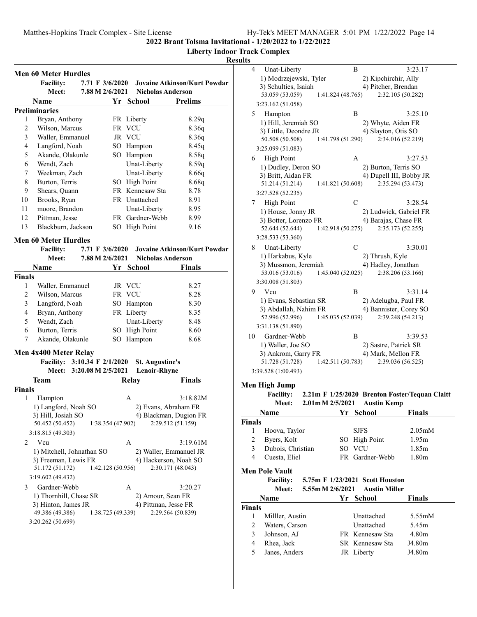**Liberty Indoor Track Complex**

|                | <b>Men 60 Meter Hurdles</b><br><b>Facility:</b> | 7.71 F 3/6/2020 |                   |                        | <b>Jovaine Atkinson/Kurt Powdar</b> |
|----------------|-------------------------------------------------|-----------------|-------------------|------------------------|-------------------------------------|
|                | Meet:                                           | 7.88 M 2/6/2021 |                   |                        | <b>Nicholas Anderson</b>            |
|                | Name                                            |                 | Yr                | <b>School</b>          | <b>Prelims</b>                      |
|                | <b>Preliminaries</b>                            |                 |                   |                        |                                     |
| 1              | Bryan, Anthony                                  |                 |                   | FR Liberty             | 8.29q                               |
| $\overline{c}$ | Wilson, Marcus                                  |                 |                   | FR VCU                 | 8.36q                               |
| 3              | Waller, Emmanuel                                |                 |                   | JR VCU                 | 8.36q                               |
| 4              | Langford, Noah                                  |                 |                   | SO Hampton             | 8.45q                               |
| 5              | Akande, Olakunle                                |                 |                   | SO Hampton             | 8.58q                               |
| 6              | Wendt, Zach                                     |                 |                   | Unat-Liberty           | 8.59q                               |
| 7              | Weekman, Zach                                   |                 |                   | Unat-Liberty           | 8.66q                               |
| 8              | Burton, Terris                                  |                 |                   | SO High Point          | 8.68q                               |
| 9              | Shears, Quann                                   |                 |                   | FR Kennesaw Sta        | 8.78                                |
| 10             | Brooks, Ryan                                    |                 |                   | FR Unattached          | 8.91                                |
| 11             | moore, Brandon                                  |                 |                   | Unat-Liberty           | 8.95                                |
| 12             | Pittman, Jesse                                  |                 |                   | FR Gardner-Webb        | 8.99                                |
| 13             | Blackburn, Jackson                              |                 |                   | SO High Point          | 9.16                                |
|                |                                                 |                 |                   |                        |                                     |
|                | <b>Men 60 Meter Hurdles</b>                     | 7.71 F 3/6/2020 |                   |                        |                                     |
|                | <b>Facility:</b><br>Meet:                       |                 |                   |                        | <b>Jovaine Atkinson/Kurt Powdar</b> |
|                |                                                 | 7.88 M 2/6/2021 |                   |                        | <b>Nicholas Anderson</b>            |
|                | <b>Name</b>                                     |                 |                   | Yr School              | <b>Finals</b>                       |
| <b>Finals</b>  |                                                 |                 |                   |                        |                                     |
| 1              | Waller, Emmanuel                                |                 |                   | JR VCU                 | 8.27                                |
| 2              | Wilson, Marcus                                  |                 |                   | FR VCU                 | 8.28                                |
| 3              | Langford, Noah                                  |                 |                   | SO Hampton             | 8.30                                |
| 4              | Bryan, Anthony                                  |                 |                   | FR Liberty             | 8.35                                |
| 5              | Wendt, Zach                                     |                 |                   | Unat-Liberty           | 8.48                                |
| 6              | Burton, Terris                                  |                 |                   | SO High Point          | 8.60                                |
| 7              | Akande, Olakunle                                |                 |                   | SO Hampton             | 8.68                                |
|                | Men 4x400 Meter Relay                           |                 |                   |                        |                                     |
|                | Facility: 3:10.34 F 2/1/2020                    |                 |                   | <b>St. Augustine's</b> |                                     |
|                | Meet: 3:20.08 M 2/5/2021                        |                 |                   | <b>Lenoir-Rhyne</b>    |                                     |
|                | <b>Team</b>                                     |                 |                   | <b>Relay</b>           | <b>Finals</b>                       |
|                |                                                 |                 |                   |                        |                                     |
|                |                                                 |                 |                   | A                      | 3:18.82M                            |
| 1              | Hampton                                         |                 |                   |                        |                                     |
|                | 1) Langford, Noah SO                            |                 |                   |                        | 2) Evans, Abraham FR                |
| <b>Finals</b>  | 3) Hill, Josiah SO                              |                 |                   |                        | 4) Blackman, Dugion FR              |
|                | 50.452 (50.452)                                 |                 | 1:38.354 (47.902) |                        | 2:29.512 (51.159)                   |
|                | 3:18.815 (49.303)                               |                 |                   |                        |                                     |
| 2              | Vcu                                             |                 |                   | A                      | 3:19.61M                            |
|                | 1) Mitchell, Johnathan SO                       |                 |                   |                        | 2) Waller, Emmanuel JR              |
|                | 3) Freeman, Lewis FR                            |                 |                   |                        | 4) Hackerson, Noah SO               |
|                | 51.172 (51.172)                                 |                 | 1:42.128 (50.956) |                        | 2:30.171 (48.043)                   |
|                | 3:19.602 (49.432)                               |                 |                   |                        |                                     |
| 3              | Gardner-Webb                                    |                 |                   | A                      | 3:20.27                             |
|                | 1) Thornhill, Chase SR                          |                 |                   |                        | 2) Amour, Sean FR                   |
|                | 3) Hinton, James JR                             |                 |                   |                        | 4) Pittman, Jesse FR                |
|                | 49.386 (49.386)<br>3:20.262 (50.699)            |                 | 1:38.725 (49.339) |                        | 2:29.564 (50.839)                   |

| ults           |                        |                                 |    |                 |                                                |
|----------------|------------------------|---------------------------------|----|-----------------|------------------------------------------------|
| 4              | Unat-Liberty           |                                 |    | В               | 3:23.17                                        |
|                | 1) Modrzejewski, Tyler |                                 |    |                 | 2) Kipchirchir, Ally                           |
|                | 3) Schulties, Isaiah   |                                 |    |                 | 4) Pitcher, Brendan                            |
|                | 53.059 (53.059)        | 1:41.824 (48.765)               |    |                 | 2:32.105 (50.282)                              |
|                | 3:23.162 (51.058)      |                                 |    |                 |                                                |
| 5              | Hampton                |                                 |    | B               | 3:25.10                                        |
|                | 1) Hill, Jeremiah SO   |                                 |    |                 | 2) Whyte, Aiden FR                             |
|                | 3) Little, Deondre JR  |                                 |    |                 | 4) Slayton, Otis SO                            |
|                | 50.508 (50.508)        | 1:41.798 (51.290)               |    |                 | 2:34.016 (52.219)                              |
|                | 3:25.099 (51.083)      |                                 |    |                 |                                                |
|                |                        |                                 |    |                 |                                                |
| 6              | <b>High Point</b>      |                                 |    | А               | 3:27.53                                        |
|                | 1) Dudley, Deron SO    |                                 |    |                 | 2) Burton, Terris SO                           |
|                | 3) Britt, Aidan FR     |                                 |    |                 | 4) Dupell III, Bobby JR                        |
|                | 51.214 (51.214)        | 1:41.821 (50.608)               |    |                 | 2:35.294 (53.473)                              |
|                | 3:27.528 (52.235)      |                                 |    |                 |                                                |
| 7              | <b>High Point</b>      |                                 |    | С               | 3:28.54                                        |
|                | 1) House, Jonny JR     |                                 |    |                 | 2) Ludwick, Gabriel FR                         |
|                | 3) Botter, Lorenzo FR  |                                 |    |                 | 4) Barajas, Chase FR                           |
|                | 52.644 (52.644)        | 1:42.918 (50.275)               |    |                 | 2:35.173 (52.255)                              |
|                | 3:28.533 (53.360)      |                                 |    |                 |                                                |
| 8              | Unat-Liberty           |                                 |    | C               | 3:30.01                                        |
|                | 1) Harkabus, Kyle      |                                 |    |                 | 2) Thrush, Kyle                                |
|                | 3) Mussmon, Jeremiah   |                                 |    |                 | 4) Hadley, Jonathan                            |
|                | 53.016 (53.016)        | 1:45.040 (52.025)               |    |                 | 2:38.206 (53.166)                              |
|                | 3:30.008 (51.803)      |                                 |    |                 |                                                |
|                |                        |                                 |    |                 |                                                |
| 9              | Vcu                    |                                 |    | B               | 3:31.14                                        |
|                | 1) Evans, Sebastian SR |                                 |    |                 | 2) Adelugba, Paul FR                           |
|                | 3) Abdallah, Nahim FR  |                                 |    |                 | 4) Bannister, Corey SO                         |
|                | 52.996 (52.996)        | 1:45.035 (52.039)               |    |                 | 2:39.248 (54.213)                              |
|                | 3:31.138 (51.890)      |                                 |    |                 |                                                |
| 10             | Gardner-Webb           |                                 |    | B               | 3:39.53                                        |
|                | 1) Waller, Joe SO      |                                 |    |                 | 2) Sastre, Patrick SR                          |
|                | 3) Ankrom, Garry FR    |                                 |    |                 | 4) Mark, Mellon FR                             |
|                | 51.728 (51.728)        | 1:42.511 (50.783)               |    |                 | 2:39.036 (56.525)                              |
|                | 3:39.528 (1:00.493)    |                                 |    |                 |                                                |
|                |                        |                                 |    |                 |                                                |
|                | Men High Jump          |                                 |    |                 |                                                |
|                | <b>Facility:</b>       |                                 |    |                 | 2.21m F 1/25/2020 Brenton Foster/Tequan Claitt |
|                | <b>Meet:</b>           | 2.01m M 2/5/2021                |    |                 | <b>Austin Kemp</b>                             |
|                | Name                   |                                 | Yr | <b>School</b>   | Finals                                         |
| <b>Finals</b>  |                        |                                 |    |                 |                                                |
| 1              | Hoova, Taylor          |                                 |    | <b>SJFS</b>     | 2.05 <sub>m</sub> M                            |
| $\overline{2}$ | Byers, Kolt            |                                 |    | SO High Point   | 1.95m                                          |
| 3              | Dubois, Christian      |                                 |    | SO VCU          | 1.85m                                          |
| 4              | Cuesta, Eliel          |                                 |    | FR Gardner-Webb | 1.80m                                          |
|                |                        |                                 |    |                 |                                                |
|                | <b>Men Pole Vault</b>  |                                 |    |                 |                                                |
|                | <b>Facility:</b>       | 5.75m F 1/23/2021 Scott Houston |    |                 |                                                |
|                | <b>Meet:</b>           | 5.55m M 2/6/2021                |    |                 | <b>Austin Miller</b>                           |
|                | Name                   |                                 |    | Yr School       | Finals                                         |
| <b>Finals</b>  |                        |                                 |    |                 |                                                |
| 1              | Miller, Austin         |                                 |    | Unattached      | 5.55mM                                         |
| $\overline{c}$ | Waters, Carson         |                                 |    | Unattached      | 5.45m                                          |
| 3              | Johnson, AJ            |                                 |    | FR Kennesaw Sta | 4.80m                                          |
| $\overline{4}$ | Rhea, Jack             |                                 |    | SR Kennesaw Sta | J4.80m                                         |
| 5              | Janes, Anders          |                                 |    |                 | J4.80m                                         |
|                |                        |                                 |    | JR Liberty      |                                                |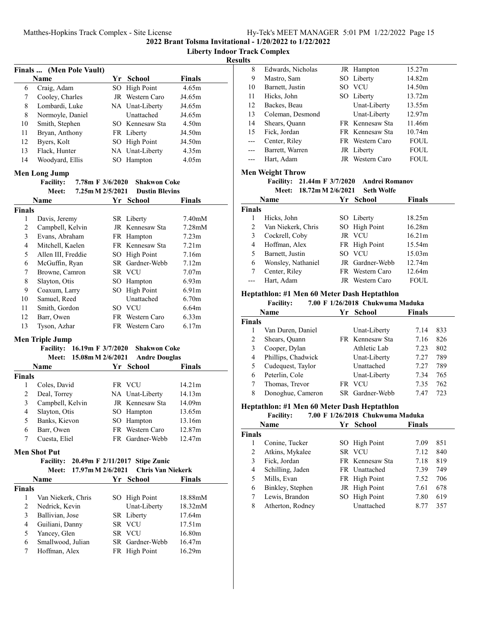**Liberty Indoor Track Complex**

**Results**

|                | Finals  (Men Pole Vault)                 |    |                          |                     |
|----------------|------------------------------------------|----|--------------------------|---------------------|
|                | <b>Name</b>                              |    | Yr School                | <b>Finals</b>       |
| 6              | Craig, Adam                              |    | SO High Point            | 4.65m               |
| 7              | Cooley, Charles                          |    | JR Western Caro          | J4.65m              |
| 8              | Lombardi, Luke                           |    | NA Unat-Liberty          | J4.65m              |
| 8              | Normoyle, Daniel                         |    | Unattached               | J4.65m              |
| 10             | Smith, Stephen                           |    | SO Kennesaw Sta          | 4.50 <sub>m</sub>   |
| 11             | Bryan, Anthony                           |    | FR Liberty               | J4.50m              |
| 12             | Byers, Kolt                              |    | SO High Point            | J4.50m              |
| 13             | Flack, Hunter                            |    | NA Unat-Liberty          | 4.35m               |
| 14             | Woodyard, Ellis                          |    | SO Hampton               | 4.05m               |
|                |                                          |    |                          |                     |
|                | <b>Men Long Jump</b><br>7.78m F 3/6/2020 |    | <b>Shakwon Coke</b>      |                     |
|                | <b>Facility:</b>                         |    |                          |                     |
|                | Meet:<br>7.25m M 2/5/2021                |    | <b>Dustin Blevins</b>    |                     |
|                | Name                                     |    | Yr School                | Finals              |
| <b>Finals</b>  |                                          |    |                          |                     |
| 1              | Davis, Jeremy                            |    | SR Liberty               | 7.40 <sub>m</sub> M |
| 2              | Campbell, Kelvin                         |    | JR Kennesaw Sta          | 7.28 <sub>m</sub> M |
| 3              | Evans, Abraham                           |    | FR Hampton               | 7.23 <sub>m</sub>   |
| 4              | Mitchell, Kaelen                         |    | FR Kennesaw Sta          | 7.21 <sub>m</sub>   |
| 5              | Allen III, Freddie                       |    | SO High Point            | 7.16m               |
| 6              | McGuffin, Ryan                           |    | SR Gardner-Webb          | 7.12m               |
| 7              | Browne, Camron                           |    | SR VCU                   | 7.07 <sub>m</sub>   |
| 8              | Slayton, Otis                            |    | SO Hampton               | 6.93m               |
| 9              | Coaxum, Larry                            |    | SO High Point            | 6.91m               |
| 10             | Samuel, Reed                             |    | Unattached               | 6.70m               |
| 11             | Smith, Gordon                            |    | SO VCU                   | 6.64m               |
| 12             | Barr, Owen                               |    | FR Western Caro          | 6.33 <sub>m</sub>   |
| 13             | Tyson, Azhar                             |    | FR Western Caro          | 6.17m               |
|                | <b>Men Triple Jump</b>                   |    |                          |                     |
|                | 16.19m F 3/7/2020<br><b>Facility:</b>    |    | <b>Shakwon Coke</b>      |                     |
|                | 15.08m M 2/6/2021<br><b>Meet:</b>        |    | <b>Andre Douglas</b>     |                     |
|                | Name                                     |    | Yr School                | Finals              |
| <b>Finals</b>  |                                          |    |                          |                     |
| 1              | Coles, David                             |    | FR VCU                   | 14.21m              |
| 2              | Deal, Torrey                             |    | NA Unat-Liberty          | 14.13m              |
| 3              | Campbell, Kelvin                         |    | JR Kennesaw Sta          | 14.09m              |
| $\overline{4}$ | Slayton, Otis                            |    | SO Hampton               | 13.65m              |
| 5              | Banks, Kievon                            |    | SO Hampton               | 13.16m              |
| 6              | Barr, Owen                               | FR | Western Caro             | 12.87m              |
| 7              | Cuesta, Eliel                            |    | FR Gardner-Webb          | 12.47m              |
|                |                                          |    |                          |                     |
|                | <b>Men Shot Put</b>                      |    |                          |                     |
|                | <b>Facility:</b><br>20.49m F 2/11/2017   |    | <b>Stipe Zunic</b>       |                     |
|                | 17.97m M 2/6/2021<br>Meet:               |    | <b>Chris Van Niekerk</b> |                     |
|                | Name                                     |    | Yr School                | <b>Finals</b>       |
| <b>Finals</b>  |                                          |    |                          |                     |
| 1              | Van Niekerk, Chris                       |    | SO High Point            | 18.88mM             |
| 2              | Nedrick, Kevin                           |    | Unat-Liberty             | 18.32mM             |
| 3              | Ballivian, Jose                          |    | SR Liberty               | 17.64m              |
| 4              | Guiliani, Danny                          |    | SR VCU                   | 17.51m              |
| 5              | Yancey, Glen                             |    | SR VCU                   | 16.80m              |
| 6              | Smallwood, Julian                        |    | SR Gardner-Webb          | 16.47m              |
| 7              | Hoffman, Alex                            |    | FR High Point            | 16.29m              |
|                |                                          |    |                          |                     |

| 8   | Edwards, Nicholas | JR Hampton      | 15.27m      |
|-----|-------------------|-----------------|-------------|
| 9   | Mastro, Sam       | SO Liberty      | 14.82m      |
| 10  | Barnett, Justin   | SO VCU          | 14.50m      |
| 11  | Hicks, John       | SO Liberty      | 13.72m      |
| 12  | Backes, Beau      | Unat-Liberty    | 13.55m      |
| 13  | Coleman, Desmond  | Unat-Liberty    | 12.97m      |
| 14  | Shears, Quann     | FR Kennesaw Sta | 11.46m      |
| 15  | Fick, Jordan      | FR Kennesaw Sta | 10.74m      |
|     | Center, Riley     | FR Western Caro | <b>FOUL</b> |
| --- | Barrett, Warren   | JR Liberty      | <b>FOUL</b> |
|     | Hart, Adam        | JR Western Caro | <b>FOUL</b> |
|     |                   |                 |             |

# **Men Weight Throw**

Facility: 21.44m F  $3/7/2020$  Andrei Romanov

**Meet: 18.72mM 2/6/2021 Seth Wolfe**

|               | Name               |     | Yr School       | <b>Finals</b> |  |
|---------------|--------------------|-----|-----------------|---------------|--|
| <b>Finals</b> |                    |     |                 |               |  |
|               | Hicks, John        |     | SO Liberty      | 18.25m        |  |
| 2             | Van Niekerk, Chris |     | SO High Point   | 16.28m        |  |
| 3             | Cockrell, Coby     |     | JR VCU          | 16.21m        |  |
| 4             | Hoffman, Alex      |     | FR High Point   | 15.54m        |  |
| 5             | Barnett, Justin    | SO. | <b>VCU</b>      | 15.03m        |  |
| 6             | Wonsley, Nathaniel |     | JR Gardner-Webb | 12.74m        |  |
|               | Center, Riley      |     | FR Western Caro | 12.64m        |  |
|               | Hart, Adam         |     | JR Western Caro | <b>FOUL</b>   |  |

## **Heptathlon: #1 Men 60 Meter Dash Heptathlon**

## **Facility:** 7.00 F 1/26/2018 Chukwuma Maduka

|               | Name               | Yr - | <b>School</b>   | <b>Finals</b> |     |
|---------------|--------------------|------|-----------------|---------------|-----|
| <b>Finals</b> |                    |      |                 |               |     |
|               | Van Duren, Daniel  |      | Unat-Liberty    | 7.14          | 833 |
| 2             | Shears, Quann      |      | FR Kennesaw Sta | 7.16          | 826 |
| 3             | Cooper, Dylan      |      | Athletic Lab    | 7.23          | 802 |
| 4             | Phillips, Chadwick |      | Unat-Liberty    | 7.27          | 789 |
| 5             | Cudequest, Taylor  |      | Unattached      | 7.27          | 789 |
| 6             | Peterlin, Cole     |      | Unat-Liberty    | 7.34          | 765 |
|               | Thomas, Trevor     | FR.  | VCU             | 7.35          | 762 |
| 8             | Donoghue, Cameron  |      | SR Gardner-Webb | 7.47          | 723 |

## **Heptathlon: #1 Men 60 Meter Dash Heptathlon**

#### **Facility:** 7.00 F 1/26/2018 Chukwuma Maduka

|               | Name             | Yr | <b>School</b>   | <b>Finals</b> |     |
|---------------|------------------|----|-----------------|---------------|-----|
| <b>Finals</b> |                  |    |                 |               |     |
|               | Conine, Tucker   |    | SO High Point   | 7.09          | 851 |
| 2             | Atkins, Mykalee  |    | SR VCU          | 7.12          | 840 |
| 3             | Fick, Jordan     |    | FR Kennesaw Sta | 7.18          | 819 |
| 4             | Schilling, Jaden |    | FR Unattached   | 7.39          | 749 |
| 5             | Mills, Evan      |    | FR High Point   | 7.52          | 706 |
| 6             | Binkley, Stephen |    | JR High Point   | 7.61          | 678 |
|               | Lewis, Brandon   |    | SO High Point   | 7.80          | 619 |
| 8             | Atherton, Rodney |    | Unattached      | 8.77          | 357 |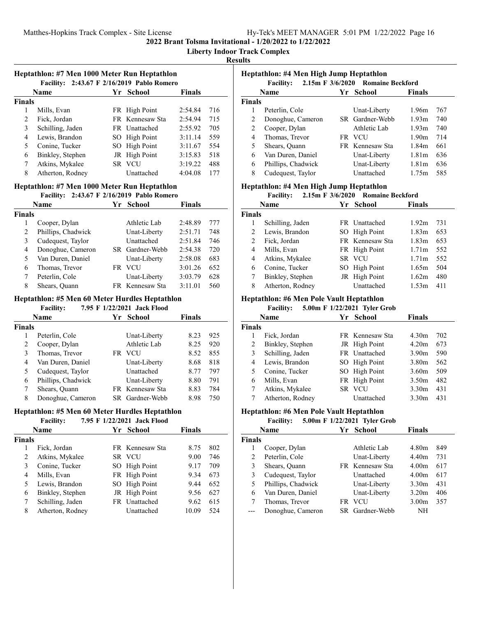### **Liberty Indoor Track Complex**

**Results**

## **Heptathlon: #7 Men 1000 Meter Run Heptathlon**

|               | <b>Facility:</b> | 2:43.67 F 2/16/2019 Pablo Romero |               |     |
|---------------|------------------|----------------------------------|---------------|-----|
|               | Name             | Yr School                        | <b>Finals</b> |     |
| <b>Finals</b> |                  |                                  |               |     |
|               | Mills, Evan      | FR High Point                    | 2:54.84       | 716 |
| 2             | Fick, Jordan     | FR Kennesaw Sta                  | 2:54.94       | 715 |
| 3             | Schilling, Jaden | FR Unattached                    | 2:55.92       | 705 |
| 4             | Lewis, Brandon   | SO High Point                    | 3:11.14       | 559 |
| 5             | Conine, Tucker   | SO High Point                    | 3:11.67       | 554 |
| 6             | Binkley, Stephen | JR High Point                    | 3:15.83       | 518 |
| 7             | Atkins, Mykalee  | SR VCU                           | 3:19.22       | 488 |
| 8             | Atherton, Rodney | Unattached                       | 4:04.08       | 177 |

#### **Heptathlon: #7 Men 1000 Meter Run Heptathlon Facility: 2:43.67 F 2/16/2019** Pablo Romero

| Name               |     |              | Finals                                          |                     |  |  |
|--------------------|-----|--------------|-------------------------------------------------|---------------------|--|--|
| Finals             |     |              |                                                 |                     |  |  |
| Cooper, Dylan      |     | Athletic Lab | 2:48.89                                         | 777                 |  |  |
| Phillips, Chadwick |     | Unat-Liberty | 2:51.71                                         | 748                 |  |  |
| Cudequest, Taylor  |     | Unattached   | 2:51.84                                         | 746                 |  |  |
| Donoghue, Cameron  |     |              | 2:54.38                                         | 720                 |  |  |
| Van Duren, Daniel  |     | Unat-Liberty | 2:58.08                                         | 683                 |  |  |
| Thomas, Trevor     | FR. | VCU          | 3:01.26                                         | 652                 |  |  |
| Peterlin, Cole     |     | Unat-Liberty | 3:03.79                                         | 628                 |  |  |
| Shears, Quann      |     |              | 3:11.01                                         | 560                 |  |  |
|                    | .   |              | Yr School<br>SR Gardner-Webb<br>FR Kennesaw Sta | $= 10001 + 2010000$ |  |  |

#### **Heptathlon: #5 Men 60 Meter Hurdles Heptathlon**

|        | <b>Facility:</b>   |    | 7.95 F 1/22/2021 Jack Flood |        |     |
|--------|--------------------|----|-----------------------------|--------|-----|
|        | Name               | Yr | <b>School</b>               | Finals |     |
| Finals |                    |    |                             |        |     |
|        | Peterlin, Cole     |    | Unat-Liberty                | 8.23   | 925 |
| 2      | Cooper, Dylan      |    | Athletic Lab                | 8.25   | 920 |
| 3      | Thomas, Trevor     | FR | <b>VCU</b>                  | 8.52   | 855 |
| 4      | Van Duren, Daniel  |    | Unat-Liberty                | 8.68   | 818 |
| 5      | Cudequest, Taylor  |    | Unattached                  | 8.77   | 797 |
| 6      | Phillips, Chadwick |    | Unat-Liberty                | 8.80   | 791 |
|        | Shears, Quann      |    | FR Kennesaw Sta             | 8.83   | 784 |
| 8      | Donoghue, Cameron  |    | SR Gardner-Webb             | 8.98   | 750 |

# **Heptathlon: #5 Men 60 Meter Hurdles Heptathlon**

## **Facility:** 7.95 F 1/22/2021 Jack Flood

|               | <b>Name</b>      | Yг | School          | <b>Finals</b> |     |
|---------------|------------------|----|-----------------|---------------|-----|
| <b>Finals</b> |                  |    |                 |               |     |
|               | Fick, Jordan     |    | FR Kennesaw Sta | 8.75          | 802 |
| 2             | Atkins, Mykalee  |    | SR VCU          | 9.00          | 746 |
| 3             | Conine, Tucker   |    | SO High Point   | 9.17          | 709 |
| 4             | Mills, Evan      |    | FR High Point   | 9.34          | 673 |
| 5             | Lewis, Brandon   |    | SO High Point   | 9.44          | 652 |
| 6             | Binkley, Stephen |    | JR High Point   | 9.56          | 627 |
| 7             | Schilling, Jaden |    | FR Unattached   | 9.62          | 615 |
| 8             | Atherton, Rodney |    | Unattached      | 10.09         | 524 |

| Heptathlon: #4 Men High Jump Heptathlon<br>2.15m F 3/6/2020 Romaine Beckford<br><b>Facility:</b> |                    |  |                 |                   |     |  |  |
|--------------------------------------------------------------------------------------------------|--------------------|--|-----------------|-------------------|-----|--|--|
|                                                                                                  | <b>Name</b>        |  | Yr School       | <b>Finals</b>     |     |  |  |
| <b>Finals</b>                                                                                    |                    |  |                 |                   |     |  |  |
| 1                                                                                                | Peterlin, Cole     |  | Unat-Liberty    | 1.96m             | 767 |  |  |
| 2                                                                                                | Donoghue, Cameron  |  | SR Gardner-Webb | 1.93m             | 740 |  |  |
| 2                                                                                                | Cooper, Dylan      |  | Athletic Lab    | 1.93m             | 740 |  |  |
| 4                                                                                                | Thomas, Trevor     |  | FR VCU          | 1.90 <sub>m</sub> | 714 |  |  |
| 5                                                                                                | Shears, Quann      |  | FR Kennesaw Sta | 1.84m             | 661 |  |  |
| 6                                                                                                | Van Duren, Daniel  |  | Unat-Liberty    | 1.81 <sub>m</sub> | 636 |  |  |
| 6                                                                                                | Phillips, Chadwick |  | Unat-Liberty    | 1.81 <sub>m</sub> | 636 |  |  |
| 8                                                                                                | Cudequest, Taylor  |  | Unattached      | 1.75m             | 585 |  |  |

# **Heptathlon: #4 Men High Jump Heptathlon**

# **Facility:** 2.15m F 3/6/2020 Romaine Beckford

|               | Name             | Yr | School          | <b>Finals</b>     |     |
|---------------|------------------|----|-----------------|-------------------|-----|
| <b>Finals</b> |                  |    |                 |                   |     |
|               | Schilling, Jaden |    | FR Unattached   | 1.92m             | 731 |
| 2             | Lewis, Brandon   |    | SO High Point   | 1.83 <sub>m</sub> | 653 |
| 2             | Fick, Jordan     |    | FR Kennesaw Sta | 1.83m             | 653 |
| 4             | Mills, Evan      |    | FR High Point   | 1.71m             | 552 |
| 4             | Atkins, Mykalee  |    | SR VCU          | 1.71m             | 552 |
| 6             | Conine, Tucker   |    | SO High Point   | 1.65m             | 504 |
| 7             | Binkley, Stephen |    | JR High Point   | 1.62m             | 480 |
| 8             | Atherton, Rodney |    | Unattached      | 1.53m             | 411 |

## **Heptathlon: #6 Men Pole Vault Heptathlon**

# **Facility:** 5.00m **F** 1/22/2021 Tyler Grob

|        | Name             | Үr | <b>School</b>   | <b>Finals</b>     |     |
|--------|------------------|----|-----------------|-------------------|-----|
| Finals |                  |    |                 |                   |     |
|        | Fick, Jordan     |    | FR Kennesaw Sta | 4.30m             | 702 |
| 2      | Binkley, Stephen |    | JR High Point   | 4.20m             | 673 |
| 3      | Schilling, Jaden |    | FR Unattached   | 3.90 <sub>m</sub> | 590 |
| 4      | Lewis, Brandon   |    | SO High Point   | 3.80 <sub>m</sub> | 562 |
| 5.     | Conine, Tucker   |    | SO High Point   | 3.60 <sub>m</sub> | 509 |
| 6      | Mills, Evan      |    | FR High Point   | 3.50 <sub>m</sub> | 482 |
|        | Atkins, Mykalee  |    | SR VCU          | 3.30 <sub>m</sub> | 431 |
|        | Atherton, Rodney |    | Unattached      | 3.30 <sub>m</sub> | 431 |

# **Heptathlon: #6 Men Pole Vault Heptathlon**

## **Facility:** 5.00m **F** 1/22/2021 Tyler Grob **Name Finals Property Property Property Property Property Property Property Property Property Property Property Property Property Property Property Property Property Property Propert Finals** 1 4.80m 849 Cooper, Dylan Athletic Lab 2 Peterlin, Cole Unat-Liberty 4.40m 731 3 Shears, Quann FR Kennesaw Sta 4.00m 617 3 4.00m 617 Cudequest, Taylor Unattached 5 Phillips, Chadwick Unat-Liberty 3.30m 431

| Van Duren, Daniel     | Unat-Liberty    | $3.20m$ 406   |  |
|-----------------------|-----------------|---------------|--|
| 7 Thomas, Trevor      | FR VCU          | $3.00m$ $357$ |  |
| --- Donoghue, Cameron | SR Gardner-Webb | NH            |  |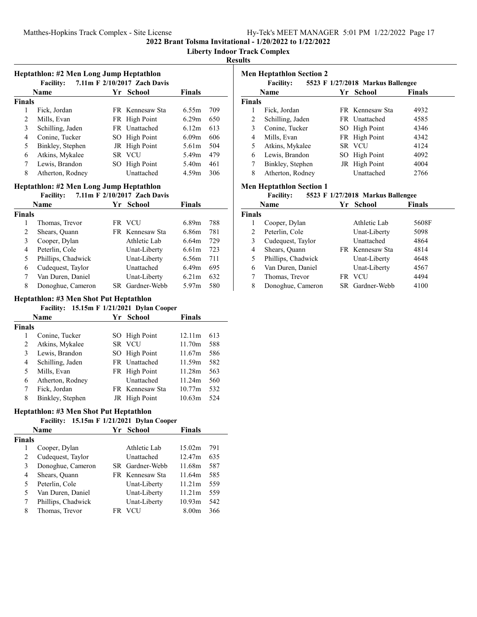**Liberty Indoor Track Complex**

## **Results**

|               | Heptathlon: #2 Men Long Jump Heptathlon<br>7.11m F 2/10/2017 Zach Davis<br><b>Facility:</b> |  |                 |                   |     |  |  |  |
|---------------|---------------------------------------------------------------------------------------------|--|-----------------|-------------------|-----|--|--|--|
|               | <b>Name</b>                                                                                 |  | Yr School       | <b>Finals</b>     |     |  |  |  |
| <b>Finals</b> |                                                                                             |  |                 |                   |     |  |  |  |
| 1             | Fick, Jordan                                                                                |  | FR Kennesaw Sta | 6.55m             | 709 |  |  |  |
| 2             | Mills, Evan                                                                                 |  | FR High Point   | 6.29m             | 650 |  |  |  |
| 3             | Schilling, Jaden                                                                            |  | FR Unattached   | 6.12 <sub>m</sub> | 613 |  |  |  |
| 4             | Conine, Tucker                                                                              |  | SO High Point   | 6.09m             | 606 |  |  |  |
| 5             | Binkley, Stephen                                                                            |  | JR High Point   | 5.61 <sub>m</sub> | 504 |  |  |  |
| 6             | Atkins, Mykalee                                                                             |  | SR VCU          | 5.49m             | 479 |  |  |  |
| 7             | Lewis, Brandon                                                                              |  | SO High Point   | 5.40 <sub>m</sub> | 461 |  |  |  |
| 8             | Atherton, Rodney                                                                            |  | Unattached      | 4.59m             | 306 |  |  |  |

# **Heptathlon: #2 Men Long Jump Heptathlon**

# **Facility:** 7.11m **F** 2/10/2017 Zach Davis

|               | Name               |     | Yr School       | <b>Finals</b> |     |
|---------------|--------------------|-----|-----------------|---------------|-----|
| <b>Finals</b> |                    |     |                 |               |     |
|               | Thomas, Trevor     |     | FR VCU          | 6.89m         | 788 |
| 2             | Shears, Quann      |     | FR Kennesaw Sta | 6.86m         | 781 |
| 3             | Cooper, Dylan      |     | Athletic Lab    | 6.64m         | 729 |
| 4             | Peterlin, Cole     |     | Unat-Liberty    | 6.61 m        | 723 |
| 5             | Phillips, Chadwick |     | Unat-Liberty    | 6.56m         | 711 |
| 6             | Cudequest, Taylor  |     | Unattached      | 6.49m         | 695 |
|               | Van Duren, Daniel  |     | Unat-Liberty    | 6.21m         | 632 |
| 8             | Donoghue, Cameron  | SR. | Gardner-Webb    | 5.97 $m$      | 580 |

## **Heptathlon: #3 Men Shot Put Heptathlon**

|               | <b>Facility:</b> |    | 15.15m F 1/21/2021 Dylan Cooper |        |     |
|---------------|------------------|----|---------------------------------|--------|-----|
|               | Name             | Yr | <b>School</b>                   | Finals |     |
| <b>Finals</b> |                  |    |                                 |        |     |
|               | Conine, Tucker   |    | SO High Point                   | 12.11m | 613 |
| 2             | Atkins, Mykalee  |    | SR VCU                          | 11.70m | 588 |
| 3             | Lewis, Brandon   |    | SO High Point                   | 11.67m | 586 |
| 4             | Schilling, Jaden |    | FR Unattached                   | 11.59m | 582 |
| 5             | Mills, Evan      |    | FR High Point                   | 11.28m | 563 |
| 6             | Atherton, Rodney |    | Unattached                      | 11.24m | 560 |
| 7             | Fick, Jordan     |    | FR Kennesaw Sta                 | 10.77m | 532 |
| 8             | Binkley, Stephen |    | JR High Point                   | 10.63m | 524 |

# **Heptathlon: #3 Men Shot Put Heptathlon**

## **Facility: 15.15m F 1/21/2021 Dylan Cooper**

|               | <b>Name</b>        | Yг  | School          | <b>Finals</b> |     |
|---------------|--------------------|-----|-----------------|---------------|-----|
| <b>Finals</b> |                    |     |                 |               |     |
|               | Cooper, Dylan      |     | Athletic Lab    | 15.02m        | 791 |
| 2             | Cudequest, Taylor  |     | Unattached      | 12.47m        | 635 |
| 3             | Donoghue, Cameron  |     | SR Gardner-Webb | 11.68m        | 587 |
| 4             | Shears, Quann      |     | FR Kennesaw Sta | 11.64m        | 585 |
| 5             | Peterlin, Cole     |     | Unat-Liberty    | 11.21m        | 559 |
| 5             | Van Duren, Daniel  |     | Unat-Liberty    | 11.21m        | 559 |
|               | Phillips, Chadwick |     | Unat-Liberty    | 10.93m        | 542 |
| 8             | Thomas, Trevor     | FR. | VCU             | 8.00m         | 366 |

| <b>Men Heptathlon Section 2</b><br>5523 F 1/27/2018 Markus Ballengee<br><b>Facility:</b> |                  |    |                        |               |  |  |  |  |
|------------------------------------------------------------------------------------------|------------------|----|------------------------|---------------|--|--|--|--|
|                                                                                          | Name             | Yr | <b>School</b>          | <b>Finals</b> |  |  |  |  |
| <b>Finals</b>                                                                            |                  |    |                        |               |  |  |  |  |
| 1                                                                                        | Fick, Jordan     |    | <b>FR</b> Kennesaw Sta | 4932          |  |  |  |  |
| 2                                                                                        | Schilling, Jaden |    | FR Unattached          | 4585          |  |  |  |  |
| 3                                                                                        | Conine, Tucker   |    | SO High Point          | 4346          |  |  |  |  |
| 4                                                                                        | Mills, Evan      |    | FR High Point          | 4342          |  |  |  |  |
| 5                                                                                        | Atkins, Mykalee  |    | SR VCU                 | 4124          |  |  |  |  |
| 6                                                                                        | Lewis, Brandon   |    | SO High Point          | 4092          |  |  |  |  |
| 7                                                                                        | Binkley, Stephen |    | JR High Point          | 4004          |  |  |  |  |
| 8                                                                                        | Atherton, Rodney |    | Unattached             | 2766          |  |  |  |  |

# **Men Heptathlon Section 1**

## **Facility:** 5523 F 1/27/2018 Markus Ballengee

|               | <b>Name</b>        | Yr - | <b>School</b>   | <b>Finals</b> |  |  |
|---------------|--------------------|------|-----------------|---------------|--|--|
| <b>Finals</b> |                    |      |                 |               |  |  |
|               | Cooper, Dylan      |      | Athletic Lab    | 5608F         |  |  |
| 2             | Peterlin, Cole     |      | Unat-Liberty    | 5098          |  |  |
| 3             | Cudequest, Taylor  |      | Unattached      | 4864          |  |  |
| 4             | Shears, Quann      |      | FR Kennesaw Sta | 4814          |  |  |
| 5             | Phillips, Chadwick |      | Unat-Liberty    | 4648          |  |  |
| 6             | Van Duren, Daniel  |      | Unat-Liberty    | 4567          |  |  |
|               | Thomas, Trevor     | FR   | VCU             | 4494          |  |  |
| 8             | Donoghue, Cameron  |      | SR Gardner-Webb | 4100          |  |  |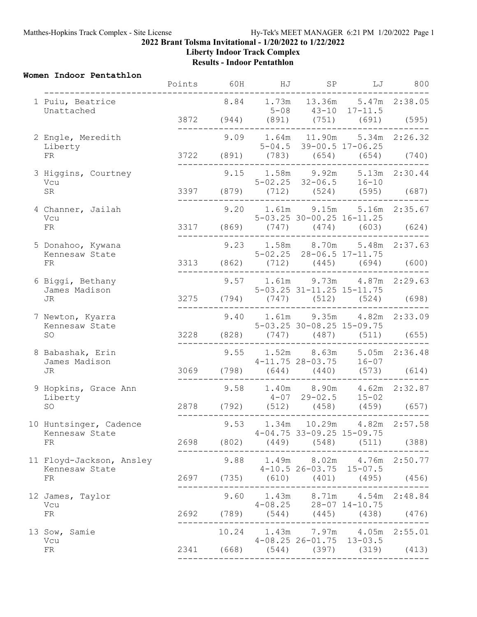**Liberty Indoor Track Complex**

**Results - Indoor Pentathlon**

## **Women Indoor Pentathlon**

|  |                                            | Points | 60H | HJ | SP                           | LJ                                                                      | 800 |
|--|--------------------------------------------|--------|-----|----|------------------------------|-------------------------------------------------------------------------|-----|
|  | 1 Puiu, Beatrice<br>Unattached             |        |     |    |                              | 8.84 1.73m 13.36m 5.47m 2:38.05                                         |     |
|  |                                            |        |     |    |                              | $5-08$ $43-10$ $17-11.5$<br>3872 (944) (891) (751) (691) (595)          |     |
|  | 2 Engle, Meredith                          |        |     |    |                              | 9.09 1.64m 11.90m 5.34m 2:26.32<br>$5-04.5$ 39-00.5 17-06.25            |     |
|  | Liberty<br>FR                              |        |     |    |                              | 3722 (891) $(783)$ (654) (654) (740)                                    |     |
|  | 3 Higgins, Courtney<br>Vcu                 |        |     |    |                              | 9.15 1.58m 9.92m 5.13m 2:30.44<br>$5-02.25$ $32-06.5$ $16-10$           |     |
|  | SR                                         |        |     |    |                              | 3397 (879) (712) (524) (595) (687)                                      |     |
|  | 4 Channer, Jailah                          |        |     |    |                              | 9.20 1.61m 9.15m 5.16m 2:35.67                                          |     |
|  | Vcu<br>${\rm FR}$                          |        |     |    |                              | $5-03.25$ $30-00.25$ $16-11.25$<br>$3317$ (869) (747) (474) (603) (624) |     |
|  | 5 Donahoo, Kywana<br>Kennesaw State        |        |     |    |                              | 9.23 1.58m 8.70m 5.48m 2:37.63<br>5-02.25 28-06.5 17-11.75              |     |
|  | ${\rm FR}$                                 |        |     |    | ---------------------------- | 3313 (862) (712) (445) (694) (600)                                      |     |
|  | 6 Biggi, Bethany<br>James Madison<br>JR    |        |     |    | 5-03.25 31-11.25 15-11.75    | 9.57 1.61m 9.73m 4.87m 2:29.63                                          |     |
|  |                                            |        |     |    |                              | 3275 (794) (747) (512) (524) (698)                                      |     |
|  | 7 Newton, Kyarra<br>Kennesaw State<br>SO   |        |     |    |                              | 9.40 1.61m 9.35m 4.82m 2:33.09<br>$5 - 03.25$ 30-08.25 15-09.75         |     |
|  |                                            |        |     |    |                              | 3228 (828) (747) (487) (511) (655)                                      |     |
|  | 8 Babashak, Erin                           |        |     |    |                              | 9.55 1.52m 8.63m 5.05m 2:36.48<br>$4-11.75$ 28-03.75 16-07              |     |
|  | James Madison<br>JR                        |        |     |    |                              | 3069 (798) (644) (440) (573) (614)                                      |     |
|  | 9 Hopkins, Grace Ann                       |        |     |    |                              | 9.58 1.40m 8.90m 4.62m 2:32.87<br>$4-07$ 29-02.5 15-02                  |     |
|  | Liberty<br>SO                              |        |     |    |                              | 2878 (792) (512) (458) (459) (657)                                      |     |
|  | 10 Huntsinger, Cadence                     |        |     |    |                              | 9.53 1.34m 10.29m 4.82m 2:57.58                                         |     |
|  | Kennesaw State<br>FR                       |        |     |    | $4-04.75$ 33-09.25 15-09.75  | 2698 (802) (449) (548) (511) (388)                                      |     |
|  | 11 Floyd-Jackson, Ansley<br>Kennesaw State |        |     |    |                              | 9.88 1.49m 8.02m 4.76m 2:50.77<br>$4-10.5$ 26-03.75 15-07.5             |     |
|  | FR                                         |        |     |    |                              | 2697 (735) (610) (401) (495) (456)                                      |     |
|  | 12 James, Taylor<br>Vcu                    |        |     |    |                              | 9.60 1.43m 8.71m 4.54m 2:48.84<br>$4-08.25$ $28-07$ $14-10.75$          |     |
|  | FR                                         |        |     |    |                              | 2692 (789) (544) (445) (438) (476)                                      |     |
|  | 13 Sow, Samie                              |        |     |    | $4-08.25$ 26-01.75 13-03.5   | 10.24 1.43m 7.97m 4.05m 2:55.01                                         |     |
|  | Vcu<br>FR                                  |        |     |    |                              | 2341 (668) (544) (397) (319) (413)                                      |     |
|  |                                            |        |     |    |                              |                                                                         |     |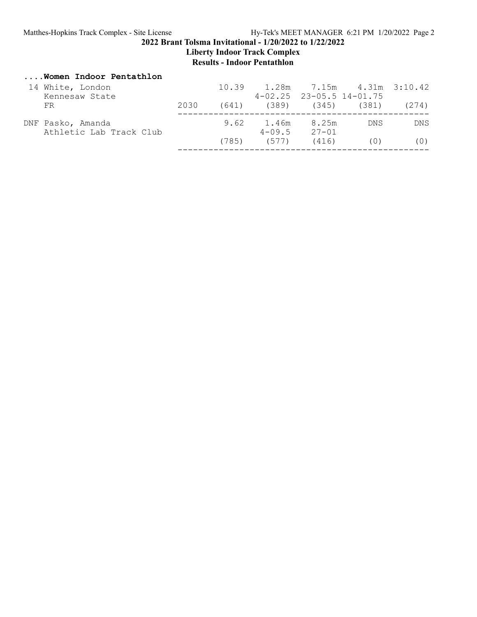**Liberty Indoor Track Complex**

# **Results - Indoor Pentathlon**

# **....Women Indoor Pentathlon**

| 14 White, London<br>Kennesaw State           |      |                  |                      | $10.39$ $1.28m$ $7.15m$ $4.31m$ $3:10.42$<br>$4 - 02.25$ 23-05.5 14-01.75 |            |
|----------------------------------------------|------|------------------|----------------------|---------------------------------------------------------------------------|------------|
| FR.                                          | 2030 |                  |                      | $(641)$ $(389)$ $(345)$ $(381)$ $(274)$                                   |            |
| DNF Pasko, Amanda<br>Athletic Lab Track Club |      | 9.62 1.46m 8.25m | $4 - 09.5$ $27 - 01$ | DN S                                                                      | <b>DNS</b> |
|                                              |      | $(785)$ $(577)$  | (416)                | (0)                                                                       | (0)        |
|                                              |      |                  |                      |                                                                           |            |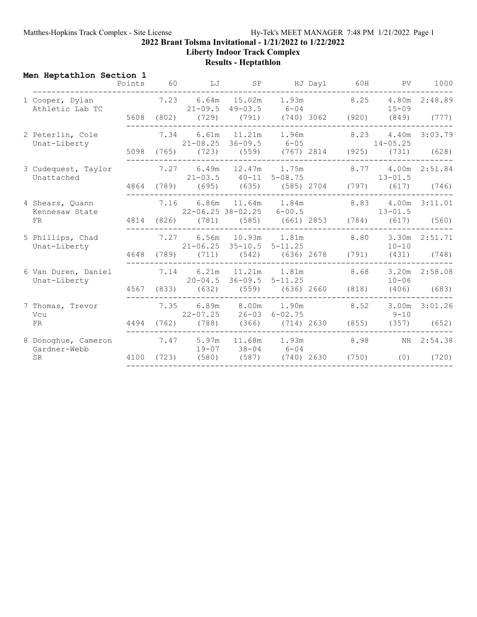Matthes-Hopkins Track Complex - Site License Hy-Tek's MEET MANAGER 7:48 PM 1/21/2022 Page 1

**2022 Brant Tolsma Invitational - 1/21/2022 to 1/22/2022**

**Liberty Indoor Track Complex**

# **Results - Heptathlon**

| Men Heptathlon Section 1            |      |      |                                                                        |  | Points 60 LJ SP HJ Day1 60H PV 1000                                                    |                   |
|-------------------------------------|------|------|------------------------------------------------------------------------|--|----------------------------------------------------------------------------------------|-------------------|
| 1 Cooper, Dylan<br>Athletic Lab TC  |      |      | $21-09.5$ $49-03.5$ $6-04$                                             |  | $7.23$ 6.64m 15.02m 1.93m 8.25 4.80m 2:48.89<br>$15 - 09$                              |                   |
|                                     |      |      |                                                                        |  | 5608 (802) (729) (791) (740) 3062 (920) (849) (777)                                    |                   |
| 2 Peterlin, Cole<br>Unat-Liberty    |      |      | 7.34 6.61m 11.21m 1.96m 8.23<br>$21-08.25$ $36-09.5$ $6-05$ $14-05.25$ |  |                                                                                        | 4.40m 3:03.79     |
|                                     |      |      | _______________________________                                        |  | 5098 (765) (723) (559) (767) 2814 (925) (731) (628)                                    |                   |
| 3 Cudequest, Taylor<br>Unattached   |      |      |                                                                        |  | 7.27 6.49m 12.47m 1.75m 8.77 4.00m 2:51.84<br>$21-03.5$ $40-11$ $5-08.75$ $13-01.5$    |                   |
|                                     |      |      |                                                                        |  | 4864 (789) (695) (635) (585) 2704 (797) (617) (746)                                    |                   |
| 4 Shears, Quann<br>Kennesaw State   |      |      |                                                                        |  | 7.16 6.86m 11.64m 1.84m 8.83 4.00m 3:11.01<br>$22-06.25$ $38-02.25$ $6-00.5$ $13-01.5$ |                   |
| FR                                  |      |      |                                                                        |  | 4814 (826) (781) (585) (661) 2853 (784) (617) (560)                                    |                   |
| 5 Phillips, Chad<br>Unat-Liberty    |      |      | 21-06.25 35-10.5 5-11.25                                               |  | 7.27 6.56m 10.93m 1.81m 8.80 3.30m 2:51.71<br>$10 - 10$                                |                   |
|                                     |      |      | 4648 (789) (711) (542) (636) 2678 (791)                                |  |                                                                                        | $(431)$ $(748)$   |
| 6 Van Duren, Daniel<br>Unat-Liberty |      |      | 7.14 6.21m 11.21m 1.81m 8.68<br>$20 - 04.5$ 36-09.5 5-11.25            |  | $10 - 06$                                                                              | 3.20m 2:58.08     |
|                                     |      |      | 4567 (833) (632) (559) (636) 2660 (818)                                |  |                                                                                        | $(406)$ (683)     |
| 7 Thomas, Trevor<br>Vcu             |      | 7.35 | 6.89m 8.00m 1.90m 8.52<br>$22 - 07.25$ $26 - 03$ $6 - 02.75$           |  | $9 - 10$                                                                               | $3.00m$ $3:01.26$ |
| FR                                  | 4494 |      | $(762)$ $(788)$ $(366)$ $(714)$ 2630 $(855)$                           |  | (357)                                                                                  | (652)             |
| 8 Donoghue, Cameron<br>Gardner-Webb |      |      | 7.47 5.97m 11.68m 1.93m 8.98<br>$19-07$ $38-04$ 6-04                   |  |                                                                                        | NH 2:54.38        |
| <b>SR</b>                           |      |      | 4100 (723) (580) (587) (740) 2630 (750)                                |  | (0)                                                                                    | (720)             |
|                                     |      |      |                                                                        |  |                                                                                        |                   |